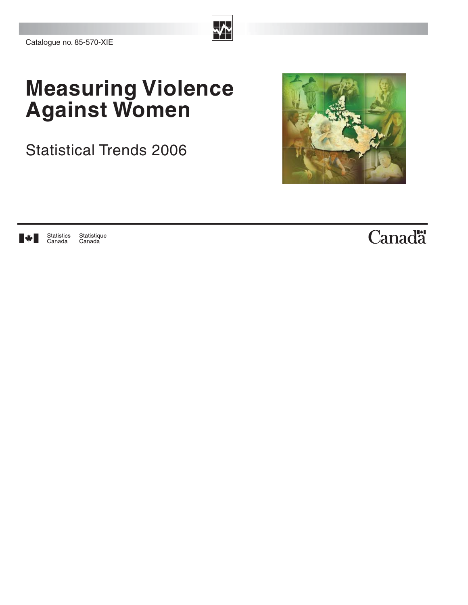

# **Measuring Violence Against Women**

Statistical Trends 2006





Statistics<br>Canada Statistique Canada

# Canadä<sup>t</sup>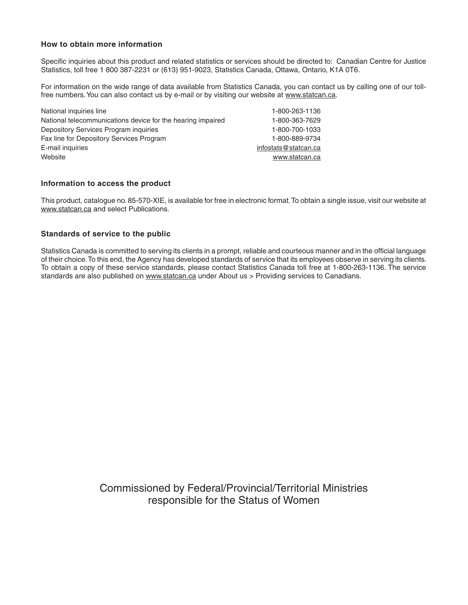#### **How to obtain more information**

Specific inquiries about this product and related statistics or services should be directed to: Canadian Centre for Justice Statistics, toll free 1 800 387-2231 or (613) 951-9023, Statistics Canada, Ottawa, Ontario, K1A 0T6.

For information on the wide range of data available from Statistics Canada, you can contact us by calling one of our tollfree numbers. You can also contact us by e-mail or by visiting our website at www.statcan.ca.

| 1-800-263-1136       |
|----------------------|
| 1-800-363-7629       |
| 1-800-700-1033       |
| 1-800-889-9734       |
| infostats@statcan.ca |
| www.statcan.ca       |
|                      |

#### **Information to access the product**

This product, catalogue no. 85-570-XIE, is available for free in electronic format. To obtain a single issue, visit our website at www.statcan.ca and select Publications.

#### **Standards of service to the public**

Statistics Canada is committed to serving its clients in a prompt, reliable and courteous manner and in the official language of their choice. To this end, the Agency has developed standards of service that its employees observe in serving its clients. To obtain a copy of these service standards, please contact Statistics Canada toll free at 1-800-263-1136. The service standards are also published on www.statcan.ca under About us > Providing services to Canadians.

> Commissioned by Federal/Provincial/Territorial Ministries responsible for the Status of Women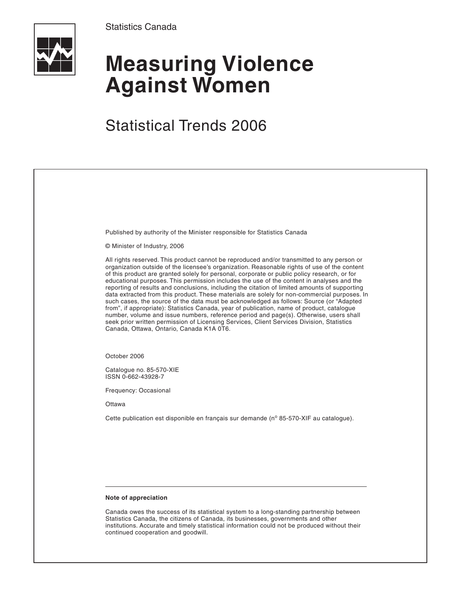

# **Measuring Violence Against Women**

## Statistical Trends 2006

| Published by authority of the Minister responsible for Statistics Canada                                                                                                                                                                                                                                                                                                                                                                                                                                                                                                                                                                                                                                                                                                                                                                                                                                                                                                                                             |
|----------------------------------------------------------------------------------------------------------------------------------------------------------------------------------------------------------------------------------------------------------------------------------------------------------------------------------------------------------------------------------------------------------------------------------------------------------------------------------------------------------------------------------------------------------------------------------------------------------------------------------------------------------------------------------------------------------------------------------------------------------------------------------------------------------------------------------------------------------------------------------------------------------------------------------------------------------------------------------------------------------------------|
| © Minister of Industry, 2006                                                                                                                                                                                                                                                                                                                                                                                                                                                                                                                                                                                                                                                                                                                                                                                                                                                                                                                                                                                         |
| All rights reserved. This product cannot be reproduced and/or transmitted to any person or<br>organization outside of the licensee's organization. Reasonable rights of use of the content<br>of this product are granted solely for personal, corporate or public policy research, or for<br>educational purposes. This permission includes the use of the content in analyses and the<br>reporting of results and conclusions, including the citation of limited amounts of supporting<br>data extracted from this product. These materials are solely for non-commercial purposes. In<br>such cases, the source of the data must be acknowledged as follows: Source (or "Adapted<br>from", if appropriate): Statistics Canada, year of publication, name of product, catalogue<br>number, volume and issue numbers, reference period and page(s). Otherwise, users shall<br>seek prior written permission of Licensing Services, Client Services Division, Statistics<br>Canada, Ottawa, Ontario, Canada K1A 0T6. |
| October 2006                                                                                                                                                                                                                                                                                                                                                                                                                                                                                                                                                                                                                                                                                                                                                                                                                                                                                                                                                                                                         |
| Catalogue no. 85-570-XIE<br>ISSN 0-662-43928-7                                                                                                                                                                                                                                                                                                                                                                                                                                                                                                                                                                                                                                                                                                                                                                                                                                                                                                                                                                       |
| Frequency: Occasional                                                                                                                                                                                                                                                                                                                                                                                                                                                                                                                                                                                                                                                                                                                                                                                                                                                                                                                                                                                                |
| Ottawa                                                                                                                                                                                                                                                                                                                                                                                                                                                                                                                                                                                                                                                                                                                                                                                                                                                                                                                                                                                                               |
| Cette publication est disponible en français sur demande ( $n^{\circ}$ 85-570-XIF au catalogue).                                                                                                                                                                                                                                                                                                                                                                                                                                                                                                                                                                                                                                                                                                                                                                                                                                                                                                                     |
|                                                                                                                                                                                                                                                                                                                                                                                                                                                                                                                                                                                                                                                                                                                                                                                                                                                                                                                                                                                                                      |
|                                                                                                                                                                                                                                                                                                                                                                                                                                                                                                                                                                                                                                                                                                                                                                                                                                                                                                                                                                                                                      |
|                                                                                                                                                                                                                                                                                                                                                                                                                                                                                                                                                                                                                                                                                                                                                                                                                                                                                                                                                                                                                      |
|                                                                                                                                                                                                                                                                                                                                                                                                                                                                                                                                                                                                                                                                                                                                                                                                                                                                                                                                                                                                                      |
| Note of appreciation                                                                                                                                                                                                                                                                                                                                                                                                                                                                                                                                                                                                                                                                                                                                                                                                                                                                                                                                                                                                 |
| Canada owes the success of its statistical system to a long-standing partnership between<br>Statistics Canada, the citizens of Canada, its businesses, governments and other<br>institutions. Accurate and timely statistical information could not be produced without their<br>continued cooperation and goodwill.                                                                                                                                                                                                                                                                                                                                                                                                                                                                                                                                                                                                                                                                                                 |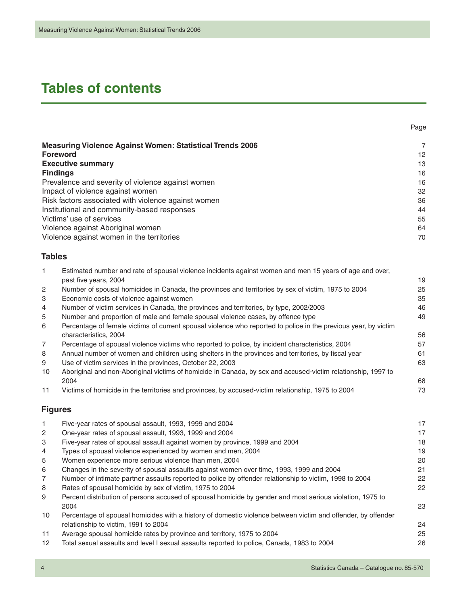## **Tables of contents**

| Page |
|------|

| 7  |
|----|
| 12 |
| 13 |
| 16 |
| 16 |
| 32 |
| 36 |
| 44 |
| 55 |
| 64 |
| 70 |
|    |

#### **Tables**

| $\mathbf{1}$         | Estimated number and rate of spousal violence incidents against women and men 15 years of age and over,         |    |
|----------------------|-----------------------------------------------------------------------------------------------------------------|----|
|                      | past five years, 2004                                                                                           | 19 |
| $\mathbf{2}^{\circ}$ | Number of spousal homicides in Canada, the provinces and territories by sex of victim, 1975 to 2004             | 25 |
| 3                    | Economic costs of violence against women                                                                        | 35 |
| $\overline{4}$       | Number of victim services in Canada, the provinces and territories, by type, 2002/2003                          | 46 |
| 5                    | Number and proportion of male and female spousal violence cases, by offence type                                | 49 |
| 6                    | Percentage of female victims of current spousal violence who reported to police in the previous year, by victim |    |
|                      | characteristics, 2004                                                                                           | 56 |
| $\overline{7}$       | Percentage of spousal violence victims who reported to police, by incident characteristics, 2004                | 57 |
| 8                    | Annual number of women and children using shelters in the provinces and territories, by fiscal year             | 61 |
| 9                    | Use of victim services in the provinces, October 22, 2003                                                       | 63 |
| 10                   | Aboriginal and non-Aboriginal victims of homicide in Canada, by sex and accused-victim relationship, 1997 to    |    |
|                      | 2004                                                                                                            | 68 |
| 11                   | Victims of homicide in the territories and provinces, by accused-victim relationship, 1975 to 2004              | 73 |

### **Figures**

| 1                 | Five-year rates of spousal assault, 1993, 1999 and 2004                                                      | 17 |
|-------------------|--------------------------------------------------------------------------------------------------------------|----|
| $\overline{2}$    | One-year rates of spousal assault, 1993, 1999 and 2004                                                       | 17 |
| 3                 | Five-year rates of spousal assault against women by province, 1999 and 2004                                  | 18 |
| $\overline{4}$    | Types of spousal violence experienced by women and men, 2004                                                 | 19 |
| 5                 | Women experience more serious violence than men, 2004                                                        | 20 |
| 6                 | Changes in the severity of spousal assaults against women over time, 1993, 1999 and 2004                     | 21 |
| $\overline{7}$    | Number of intimate partner assaults reported to police by offender relationship to victim, 1998 to 2004      | 22 |
| 8                 | Rates of spousal homicide by sex of victim, 1975 to 2004                                                     | 22 |
| 9                 | Percent distribution of persons accused of spousal homicide by gender and most serious violation, 1975 to    |    |
|                   | 2004                                                                                                         | 23 |
| 10                | Percentage of spousal homicides with a history of domestic violence between victim and offender, by offender |    |
|                   | relationship to victim, 1991 to 2004                                                                         | 24 |
| 11                | Average spousal homicide rates by province and territory, 1975 to 2004                                       | 25 |
| $12 \overline{ }$ | Total sexual assaults and level I sexual assaults reported to police, Canada, 1983 to 2004                   | 26 |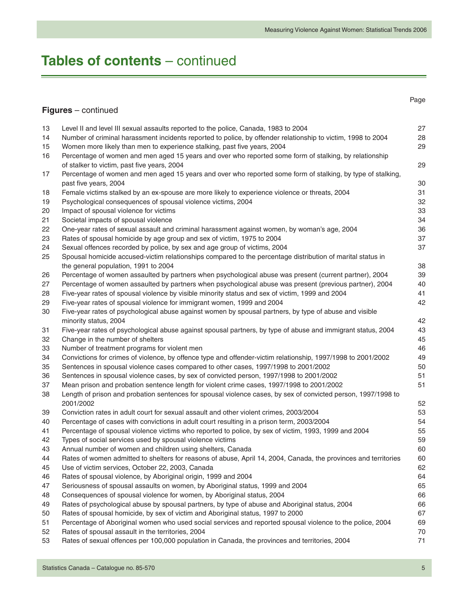## **Tables of contents** – continued

|          | Figures - continued                                                                                                                                                            | Page     |
|----------|--------------------------------------------------------------------------------------------------------------------------------------------------------------------------------|----------|
| 13       | Level II and level III sexual assaults reported to the police, Canada, 1983 to 2004                                                                                            | 27       |
| 14       | Number of criminal harassment incidents reported to police, by offender relationship to victim, 1998 to 2004                                                                   | 28       |
| 15       | Women more likely than men to experience stalking, past five years, 2004                                                                                                       | 29       |
| 16       | Percentage of women and men aged 15 years and over who reported some form of stalking, by relationship                                                                         |          |
|          | of stalker to victim, past five years, 2004                                                                                                                                    | 29       |
| 17       | Percentage of women and men aged 15 years and over who reported some form of stalking, by type of stalking,                                                                    |          |
|          | past five years, 2004                                                                                                                                                          | 30       |
| 18       | Female victims stalked by an ex-spouse are more likely to experience violence or threats, 2004                                                                                 | 31       |
| 19       | Psychological consequences of spousal violence victims, 2004                                                                                                                   | 32       |
| 20       | Impact of spousal violence for victims                                                                                                                                         | 33       |
| 21       | Societal impacts of spousal violence                                                                                                                                           | 34       |
| 22       | One-year rates of sexual assault and criminal harassment against women, by woman's age, 2004                                                                                   | 36       |
| 23       | Rates of spousal homicide by age group and sex of victim, 1975 to 2004                                                                                                         | 37       |
| 24       | Sexual offences recorded by police, by sex and age group of victims, 2004                                                                                                      | 37       |
| 25       | Spousal homicide accused-victim relationships compared to the percentage distribution of marital status in                                                                     |          |
|          | the general population, 1991 to 2004                                                                                                                                           | 38       |
| 26       | Percentage of women assaulted by partners when psychological abuse was present (current partner), 2004                                                                         | 39       |
| 27       | Percentage of women assaulted by partners when psychological abuse was present (previous partner), 2004                                                                        | 40       |
| 28       | Five-year rates of spousal violence by visible minority status and sex of victim, 1999 and 2004                                                                                | 41       |
| 29       | Five-year rates of spousal violence for immigrant women, 1999 and 2004                                                                                                         | 42       |
| 30       | Five-year rates of psychological abuse against women by spousal partners, by type of abuse and visible                                                                         |          |
|          | minority status, 2004                                                                                                                                                          | 42       |
| 31       | Five-year rates of psychological abuse against spousal partners, by type of abuse and immigrant status, 2004                                                                   | 43       |
| 32       | Change in the number of shelters                                                                                                                                               | 45       |
| 33       | Number of treatment programs for violent men                                                                                                                                   | 46       |
| 34       | Convictions for crimes of violence, by offence type and offender-victim relationship, 1997/1998 to 2001/2002                                                                   | 49<br>50 |
| 35<br>36 | Sentences in spousal violence cases compared to other cases, 1997/1998 to 2001/2002<br>Sentences in spousal violence cases, by sex of convicted person, 1997/1998 to 2001/2002 | 51       |
| 37       | Mean prison and probation sentence length for violent crime cases, 1997/1998 to 2001/2002                                                                                      | 51       |
| 38       | Length of prison and probation sentences for spousal violence cases, by sex of convicted person, 1997/1998 to                                                                  |          |
|          | 2001/2002                                                                                                                                                                      | 52       |
| 39       | Conviction rates in adult court for sexual assault and other violent crimes, 2003/2004                                                                                         | 53       |
| 40       | Percentage of cases with convictions in adult court resulting in a prison term, 2003/2004                                                                                      | 54       |
| 41       | Percentage of spousal violence victims who reported to police, by sex of victim, 1993, 1999 and 2004                                                                           | 55       |
| 42       | Types of social services used by spousal violence victims                                                                                                                      | 59       |
| 43       | Annual number of women and children using shelters, Canada                                                                                                                     | 60       |
| 44       | Rates of women admitted to shelters for reasons of abuse, April 14, 2004, Canada, the provinces and territories                                                                | 60       |
| 45       | Use of victim services, October 22, 2003, Canada                                                                                                                               | 62       |
| 46       | Rates of spousal violence, by Aboriginal origin, 1999 and 2004                                                                                                                 | 64       |
| 47       | Seriousness of spousal assaults on women, by Aboriginal status, 1999 and 2004                                                                                                  | 65       |
| 48       | Consequences of spousal violence for women, by Aboriginal status, 2004                                                                                                         | 66       |
| 49       | Rates of psychological abuse by spousal partners, by type of abuse and Aboriginal status, 2004                                                                                 | 66       |
| 50       | Rates of spousal homicide, by sex of victim and Aboriginal status, 1997 to 2000                                                                                                | 67       |
| 51       | Percentage of Aboriginal women who used social services and reported spousal violence to the police, 2004                                                                      | 69       |
| 52       | Rates of spousal assault in the territories, 2004                                                                                                                              | 70       |
| 53       | Rates of sexual offences per 100,000 population in Canada, the provinces and territories, 2004                                                                                 | 71       |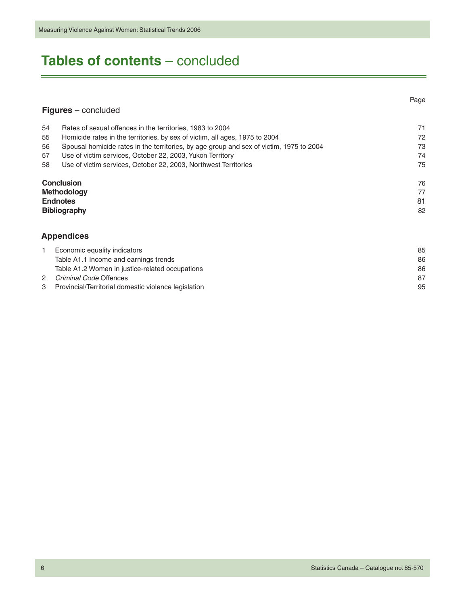## **Tables of contents** – concluded

|    | $Figures – concluded$                                                                   |          |
|----|-----------------------------------------------------------------------------------------|----------|
| 54 | Rates of sexual offences in the territories, 1983 to 2004                               | 71       |
| 55 | Homicide rates in the territories, by sex of victim, all ages, 1975 to 2004             | 72       |
| 56 | Spousal homicide rates in the territories, by age group and sex of victim, 1975 to 2004 | 73       |
| 57 | Use of victim services, October 22, 2003, Yukon Territory                               | 74       |
| 58 | Use of victim services, October 22, 2003, Northwest Territories                         | 75       |
|    | <b>Conclusion</b><br><b>Methodology</b>                                                 | 76<br>77 |
|    | <b>Endnotes</b>                                                                         | 81       |
|    | <b>Bibliography</b>                                                                     | 82       |
|    | <b>Appendices</b>                                                                       |          |

na di pagenda di pagenda di pagenda di pagenda di pagenda di pagenda di pagenda di pagenda di pagenda di pagen<br>Pagenda di pagenda di pagenda di pagenda di pagenda di pagenda di pagenda di pagenda di pagenda di pagenda di

|   | Economic equality indicators                         | 85 |
|---|------------------------------------------------------|----|
|   | Table A1.1 Income and earnings trends                | 86 |
|   | Table A1.2 Women in justice-related occupations      | 86 |
| 2 | Criminal Code Offences                               | 87 |
|   | Provincial/Territorial domestic violence legislation | 95 |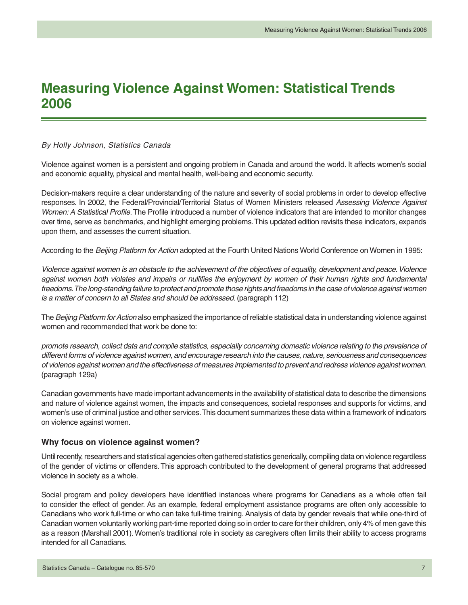## <span id="page-6-0"></span>**Measuring Violence Against Women: Statistical Trends 2006**

#### *By Holly Johnson, Statistics Canada*

Violence against women is a persistent and ongoing problem in Canada and around the world. It affects women's social and economic equality, physical and mental health, well-being and economic security.

Decision-makers require a clear understanding of the nature and severity of social problems in order to develop effective responses. In 2002, the Federal/Provincial/Territorial Status of Women Ministers released *Assessing Violence Against Women: A Statistical Profile*. The Profile introduced a number of violence indicators that are intended to monitor changes over time, serve as benchmarks, and highlight emerging problems. This updated edition revisits these indicators, expands upon them, and assesses the current situation.

According to the *Beijing Platform for Action* adopted at the Fourth United Nations World Conference on Women in 1995:

*Violence against women is an obstacle to the achievement of the objectives of equality, development and peace. Violence*  against women both violates and impairs or nullifies the enjoyment by women of their human rights and fundamental *freedoms. The long-standing failure to protect and promote those rights and freedoms in the case of violence against women is a matter of concern to all States and should be addressed*. (paragraph 112)

The *Beijing Platform for Action* also emphasized the importance of reliable statistical data in understanding violence against women and recommended that work be done to:

*promote research, collect data and compile statistics, especially concerning domestic violence relating to the prevalence of different forms of violence against women, and encourage research into the causes, nature, seriousness and consequences of violence against women and the effectiveness of measures implemented to prevent and redress violence against women*. (paragraph 129a)

Canadian governments have made important advancements in the availability of statistical data to describe the dimensions and nature of violence against women, the impacts and consequences, societal responses and supports for victims, and women's use of criminal justice and other services. This document summarizes these data within a framework of indicators on violence against women.

#### **Why focus on violence against women?**

Until recently, researchers and statistical agencies often gathered statistics generically, compiling data on violence regardless of the gender of victims or offenders. This approach contributed to the development of general programs that addressed violence in society as a whole.

Social program and policy developers have identified instances where programs for Canadians as a whole often fail to consider the effect of gender. As an example, federal employment assistance programs are often only accessible to Canadians who work full-time or who can take full-time training. Analysis of data by gender reveals that while one-third of Canadian women voluntarily working part-time reported doing so in order to care for their children, only 4% of men gave this as a reason (Marshall 2001). Women's traditional role in society as caregivers often limits their ability to access programs intended for all Canadians.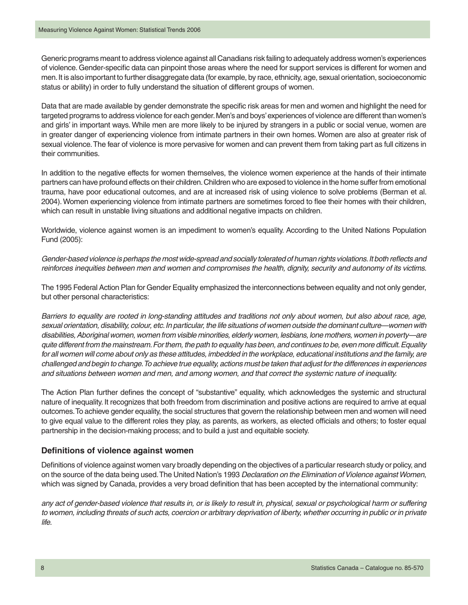Generic programs meant to address violence against all Canadians risk failing to adequately address women's experiences of violence. Gender-specifi c data can pinpoint those areas where the need for support services is different for women and men. It is also important to further disaggregate data (for example, by race, ethnicity, age, sexual orientation, socioeconomic status or ability) in order to fully understand the situation of different groups of women.

Data that are made available by gender demonstrate the specific risk areas for men and women and highlight the need for targeted programs to address violence for each gender. Men's and boys' experiences of violence are different than women's and girls' in important ways. While men are more likely to be injured by strangers in a public or social venue, women are in greater danger of experiencing violence from intimate partners in their own homes. Women are also at greater risk of sexual violence. The fear of violence is more pervasive for women and can prevent them from taking part as full citizens in their communities.

In addition to the negative effects for women themselves, the violence women experience at the hands of their intimate partners can have profound effects on their children. Children who are exposed to violence in the home suffer from emotional trauma, have poor educational outcomes, and are at increased risk of using violence to solve problems (Berman et al. 2004). Women experiencing violence from intimate partners are sometimes forced to flee their homes with their children, which can result in unstable living situations and additional negative impacts on children.

Worldwide, violence against women is an impediment to women's equality. According to the United Nations Population Fund (2005):

Gender-based violence is perhaps the most wide-spread and socially tolerated of human rights violations. It both reflects and *reinforces inequities between men and women and compromises the health, dignity, security and autonomy of its victims.* 

The 1995 Federal Action Plan for Gender Equality emphasized the interconnections between equality and not only gender, but other personal characteristics:

Barriers to equality are rooted in long-standing attitudes and traditions not only about women, but also about race, age, *sexual orientation, disability, colour, etc. In particular, the life situations of women outside the dominant culture—women with disabilities, Aboriginal women, women from visible minorities, elderly women, lesbians, lone mothers, women in poverty—are quite different from the mainstream. For them, the path to equality has been, and continues to be, even more diffi cult. Equality for all women will come about only as these attitudes, imbedded in the workplace, educational institutions and the family, are challenged and begin to change. To achieve true equality, actions must be taken that adjust for the differences in experiences and situations between women and men, and among women, and that correct the systemic nature of inequality.*

The Action Plan further defines the concept of "substantive" equality, which acknowledges the systemic and structural nature of inequality. It recognizes that both freedom from discrimination and positive actions are required to arrive at equal outcomes. To achieve gender equality, the social structures that govern the relationship between men and women will need to give equal value to the different roles they play, as parents, as workers, as elected officials and others; to foster equal partnership in the decision-making process; and to build a just and equitable society.

### **Defi nitions of violence against women**

Definitions of violence against women vary broadly depending on the objectives of a particular research study or policy, and on the source of the data being used. The United Nation's 1993 *Declaration on the Elimination of Violence against Women*, which was signed by Canada, provides a very broad definition that has been accepted by the international community:

*any act of gender-based violence that results in, or is likely to result in, physical, sexual or psychological harm or suffering to women, including threats of such acts, coercion or arbitrary deprivation of liberty, whether occurring in public or in private life.*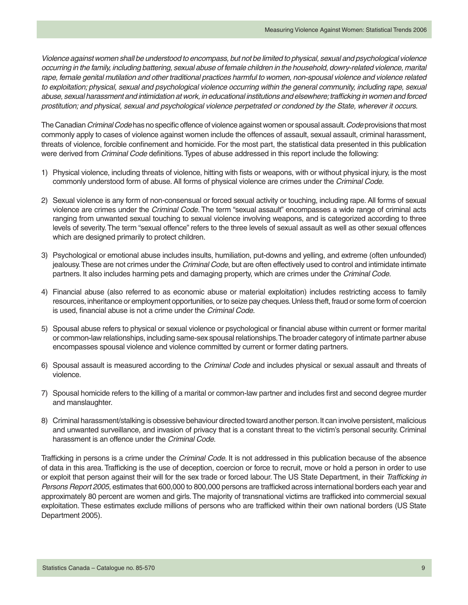*Violence against women shall be understood to encompass, but not be limited to physical, sexual and psychological violence occurring in the family, including battering, sexual abuse of female children in the household, dowry-related violence, marital rape, female genital mutilation and other traditional practices harmful to women, non-spousal violence and violence related to exploitation; physical, sexual and psychological violence occurring within the general community, including rape, sexual*  abuse, sexual harassment and intimidation at work, in educational institutions and elsewhere; trafficking in women and forced *prostitution; and physical, sexual and psychological violence perpetrated or condoned by the State, wherever it occurs.*

The Canadian *Criminal Code* has no specifi c offence of violence against women or spousal assault. *Code* provisions that most commonly apply to cases of violence against women include the offences of assault, sexual assault, criminal harassment, threats of violence, forcible confinement and homicide. For the most part, the statistical data presented in this publication were derived from *Criminal Code* definitions. Types of abuse addressed in this report include the following:

- 1) Physical violence, including threats of violence, hitting with fists or weapons, with or without physical injury, is the most commonly understood form of abuse. All forms of physical violence are crimes under the *Criminal Code*.
- 2) Sexual violence is any form of non-consensual or forced sexual activity or touching, including rape. All forms of sexual violence are crimes under the *Criminal Code*. The term "sexual assault" encompasses a wide range of criminal acts ranging from unwanted sexual touching to sexual violence involving weapons, and is categorized according to three levels of severity. The term "sexual offence" refers to the three levels of sexual assault as well as other sexual offences which are designed primarily to protect children.
- 3) Psychological or emotional abuse includes insults, humiliation, put-downs and yelling, and extreme (often unfounded) jealousy. These are not crimes under the *Criminal Code*, but are often effectively used to control and intimidate intimate partners. It also includes harming pets and damaging property, which are crimes under the *Criminal Code*.
- 4) Financial abuse (also referred to as economic abuse or material exploitation) includes restricting access to family resources, inheritance or employment opportunities, or to seize pay cheques. Unless theft, fraud or some form of coercion is used, financial abuse is not a crime under the *Criminal Code*.
- 5) Spousal abuse refers to physical or sexual violence or psychological or fi nancial abuse within current or former marital or common-law relationships, including same-sex spousal relationships. The broader category of intimate partner abuse encompasses spousal violence and violence committed by current or former dating partners.
- 6) Spousal assault is measured according to the *Criminal Code* and includes physical or sexual assault and threats of violence.
- 7) Spousal homicide refers to the killing of a marital or common-law partner and includes first and second degree murder and manslaughter.
- 8) Criminal harassment/stalking is obsessive behaviour directed toward another person. It can involve persistent, malicious and unwanted surveillance, and invasion of privacy that is a constant threat to the victim's personal security. Criminal harassment is an offence under the *Criminal Code*.

Trafficking in persons is a crime under the *Criminal Code*. It is not addressed in this publication because of the absence of data in this area. Trafficking is the use of deception, coercion or force to recruit, move or hold a person in order to use or exploit that person against their will for the sex trade or forced labour. The US State Department, in their *Traffi cking in Persons Report 2005*, estimates that 600,000 to 800,000 persons are trafficked across international borders each year and approximately 80 percent are women and girls. The majority of transnational victims are trafficked into commercial sexual exploitation. These estimates exclude millions of persons who are trafficked within their own national borders (US State Department 2005).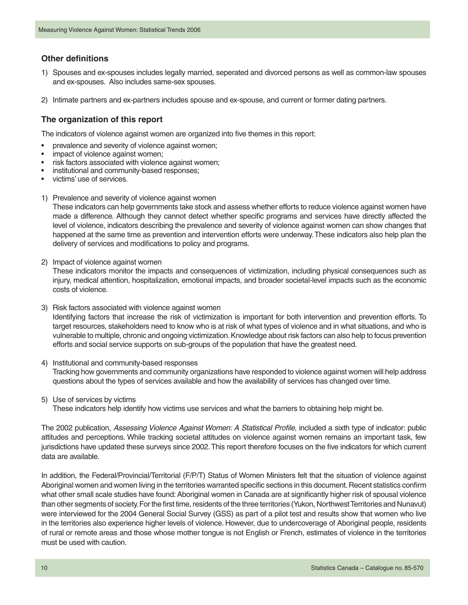#### **Other definitions**

- 1) Spouses and ex-spouses includes legally married, seperated and divorced persons as well as common-law spouses and ex-spouses. Also includes same-sex spouses.
- 2) Intimate partners and ex-partners includes spouse and ex-spouse, and current or former dating partners.

#### **The organization of this report**

The indicators of violence against women are organized into five themes in this report:

- prevalence and severity of violence against women;
- impact of violence against women;
- risk factors associated with violence against women;
- institutional and community-based responses;
- victims' use of services.
- 1) Prevalence and severity of violence against women

 These indicators can help governments take stock and assess whether efforts to reduce violence against women have made a difference. Although they cannot detect whether specific programs and services have directly affected the level of violence, indicators describing the prevalence and severity of violence against women can show changes that happened at the same time as prevention and intervention efforts were underway. These indicators also help plan the delivery of services and modifications to policy and programs.

2) Impact of violence against women

 These indicators monitor the impacts and consequences of victimization, including physical consequences such as injury, medical attention, hospitalization, emotional impacts, and broader societal-level impacts such as the economic costs of violence.

3) Risk factors associated with violence against women

 Identifying factors that increase the risk of victimization is important for both intervention and prevention efforts. To target resources, stakeholders need to know who is at risk of what types of violence and in what situations, and who is vulnerable to multiple, chronic and ongoing victimization. Knowledge about risk factors can also help to focus prevention efforts and social service supports on sub-groups of the population that have the greatest need.

- 4) Institutional and community-based responses Tracking how governments and community organizations have responded to violence against women will help address questions about the types of services available and how the availability of services has changed over time.
- 5) Use of services by victims

These indicators help identify how victims use services and what the barriers to obtaining help might be.

The 2002 publication, Assessing Violence Against Women: A Statistical Profile, included a sixth type of indicator: public attitudes and perceptions. While tracking societal attitudes on violence against women remains an important task, few jurisdictions have updated these surveys since 2002. This report therefore focuses on the five indicators for which current data are available.

In addition, the Federal/Provincial/Territorial (F/P/T) Status of Women Ministers felt that the situation of violence against Aboriginal women and women living in the territories warranted specific sections in this document. Recent statistics confirm what other small scale studies have found: Aboriginal women in Canada are at significantly higher risk of spousal violence than other segments of society. For the first time, residents of the three territories (Yukon, Northwest Territories and Nunavut) were interviewed for the 2004 General Social Survey (GSS) as part of a pilot test and results show that women who live in the territories also experience higher levels of violence. However, due to undercoverage of Aboriginal people, residents of rural or remote areas and those whose mother tongue is not English or French, estimates of violence in the territories must be used with caution.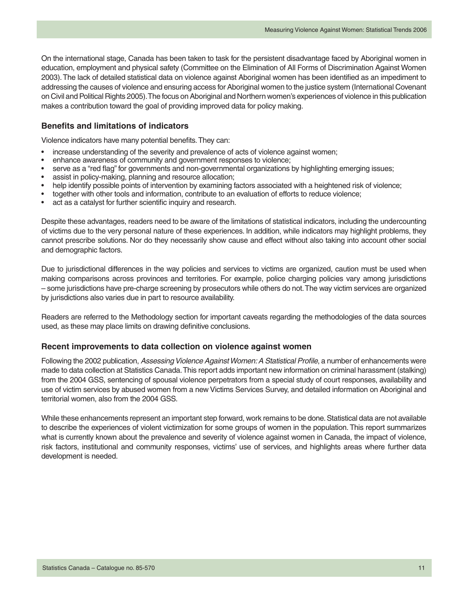On the international stage, Canada has been taken to task for the persistent disadvantage faced by Aboriginal women in education, employment and physical safety (Committee on the Elimination of All Forms of Discrimination Against Women 2003). The lack of detailed statistical data on violence against Aboriginal women has been identified as an impediment to addressing the causes of violence and ensuring access for Aboriginal women to the justice system (International Covenant on Civil and Political Rights 2005). The focus on Aboriginal and Northern women's experiences of violence in this publication makes a contribution toward the goal of providing improved data for policy making.

#### **Benefits and limitations of indicators**

Violence indicators have many potential benefits. They can:

- increase understanding of the severity and prevalence of acts of violence against women;
- enhance awareness of community and government responses to violence;
- serve as a "red flag" for governments and non-governmental organizations by highlighting emerging issues;
- assist in policy-making, planning and resource allocation;
- help identify possible points of intervention by examining factors associated with a heightened risk of violence;
- together with other tools and information, contribute to an evaluation of efforts to reduce violence;
- act as a catalyst for further scientific inquiry and research.

Despite these advantages, readers need to be aware of the limitations of statistical indicators, including the undercounting of victims due to the very personal nature of these experiences. In addition, while indicators may highlight problems, they cannot prescribe solutions. Nor do they necessarily show cause and effect without also taking into account other social and demographic factors.

Due to jurisdictional differences in the way policies and services to victims are organized, caution must be used when making comparisons across provinces and territories. For example, police charging policies vary among jurisdictions – some jurisdictions have pre-charge screening by prosecutors while others do not. The way victim services are organized by jurisdictions also varies due in part to resource availability.

Readers are referred to the Methodology section for important caveats regarding the methodologies of the data sources used, as these may place limits on drawing definitive conclusions.

#### **Recent improvements to data collection on violence against women**

Following the 2002 publication, *Assessing Violence Against Women: A Statistical Profile*, a number of enhancements were made to data collection at Statistics Canada. This report adds important new information on criminal harassment (stalking) from the 2004 GSS, sentencing of spousal violence perpetrators from a special study of court responses, availability and use of victim services by abused women from a new Victims Services Survey, and detailed information on Aboriginal and territorial women, also from the 2004 GSS.

While these enhancements represent an important step forward, work remains to be done. Statistical data are not available to describe the experiences of violent victimization for some groups of women in the population. This report summarizes what is currently known about the prevalence and severity of violence against women in Canada, the impact of violence, risk factors, institutional and community responses, victims' use of services, and highlights areas where further data development is needed.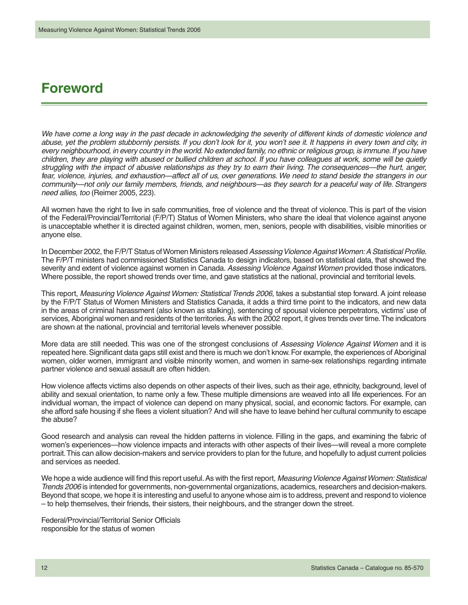### <span id="page-11-0"></span>**Foreword**

We have come a long way in the past decade in acknowledging the severity of different kinds of domestic violence and *abuse, yet the problem stubbornly persists. If you don't look for it, you won't see it. It happens in every town and city, in*  every neighbourhood, in every country in the world. No extended family, no ethnic or religious group, is immune. If you have *children, they are playing with abused or bullied children at school. If you have colleagues at work, some will be quietly struggling with the impact of abusive relationships as they try to earn their living. The consequences—the hurt, anger, fear, violence, injuries, and exhaustion—affect all of us, over generations. We need to stand beside the strangers in our community—not only our family members, friends, and neighbours—as they search for a peaceful way of life. Strangers need allies, too* (Reimer 2005, 223).

All women have the right to live in safe communities, free of violence and the threat of violence. This is part of the vision of the Federal/Provincial/Territorial (F/P/T) Status of Women Ministers, who share the ideal that violence against anyone is unacceptable whether it is directed against children, women, men, seniors, people with disabilities, visible minorities or anyone else.

In December 2002, the F/P/T Status of Women Ministers released *Assessing Violence Against Women: A Statistical Profile*. The F/P/T ministers had commissioned Statistics Canada to design indicators, based on statistical data, that showed the severity and extent of violence against women in Canada. *Assessing Violence Against Women* provided those indicators. Where possible, the report showed trends over time, and gave statistics at the national, provincial and territorial levels.

This report, *Measuring Violence Against Women: Statistical Trends 2006,* takes a substantial step forward. A joint release by the F/P/T Status of Women Ministers and Statistics Canada, it adds a third time point to the indicators, and new data in the areas of criminal harassment (also known as stalking), sentencing of spousal violence perpetrators, victims' use of services, Aboriginal women and residents of the territories. As with the 2002 report, it gives trends over time. The indicators are shown at the national, provincial and territorial levels whenever possible.

More data are still needed. This was one of the strongest conclusions of *Assessing Violence Against Women* and it is repeated here. Significant data gaps still exist and there is much we don't know. For example, the experiences of Aboriginal women, older women, immigrant and visible minority women, and women in same-sex relationships regarding intimate partner violence and sexual assault are often hidden.

How violence affects victims also depends on other aspects of their lives, such as their age, ethnicity, background, level of ability and sexual orientation, to name only a few. These multiple dimensions are weaved into all life experiences. For an individual woman, the impact of violence can depend on many physical, social, and economic factors. For example, can she afford safe housing if she flees a violent situation? And will she have to leave behind her cultural community to escape the abuse?

Good research and analysis can reveal the hidden patterns in violence. Filling in the gaps, and examining the fabric of women's experiences—how violence impacts and interacts with other aspects of their lives—will reveal a more complete portrait. This can allow decision-makers and service providers to plan for the future, and hopefully to adjust current policies and services as needed.

We hope a wide audience will find this report useful. As with the first report, *Measuring Violence Against Women: Statistical Trends 2006* is intended for governments, non-governmental organizations, academics, researchers and decision-makers. Beyond that scope, we hope it is interesting and useful to anyone whose aim is to address, prevent and respond to violence – to help themselves, their friends, their sisters, their neighbours, and the stranger down the street.

Federal/Provincial/Territorial Senior Officials responsible for the status of women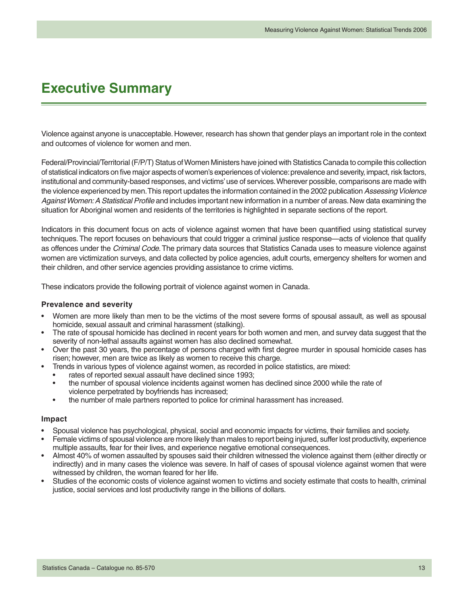## <span id="page-12-0"></span>**Executive Summary**

Violence against anyone is unacceptable. However, research has shown that gender plays an important role in the context and outcomes of violence for women and men.

Federal/Provincial/Territorial (F/P/T) Status of Women Ministers have joined with Statistics Canada to compile this collection of statistical indicators on five major aspects of women's experiences of violence: prevalence and severity, impact, risk factors, institutional and community-based responses, and victims' use of services. Wherever possible, comparisons are made with the violence experienced by men. This report updates the information contained in the 2002 publication *Assessing Violence Against Women: A Statistical Profi le* and includes important new information in a number of areas. New data examining the situation for Aboriginal women and residents of the territories is highlighted in separate sections of the report.

Indicators in this document focus on acts of violence against women that have been quantified using statistical survey techniques. The report focuses on behaviours that could trigger a criminal justice response—acts of violence that qualify as offences under the *Criminal Code*. The primary data sources that Statistics Canada uses to measure violence against women are victimization surveys, and data collected by police agencies, adult courts, emergency shelters for women and their children, and other service agencies providing assistance to crime victims.

These indicators provide the following portrait of violence against women in Canada.

#### **Prevalence and severity**

- Women are more likely than men to be the victims of the most severe forms of spousal assault, as well as spousal homicide, sexual assault and criminal harassment (stalking).
- The rate of spousal homicide has declined in recent years for both women and men, and survey data suggest that the severity of non-lethal assaults against women has also declined somewhat.
- Over the past 30 years, the percentage of persons charged with first degree murder in spousal homicide cases has risen; however, men are twice as likely as women to receive this charge.
- Trends in various types of violence against women, as recorded in police statistics, are mixed:
	- rates of reported sexual assault have declined since 1993;
	- the number of spousal violence incidents against women has declined since 2000 while the rate of violence perpetrated by boyfriends has increased;
	- the number of male partners reported to police for criminal harassment has increased.

#### **Impact**

- Spousal violence has psychological, physical, social and economic impacts for victims, their families and society.
- Female victims of spousal violence are more likely than males to report being injured, suffer lost productivity, experience multiple assaults, fear for their lives, and experience negative emotional consequences.
- Almost 40% of women assaulted by spouses said their children witnessed the violence against them (either directly or indirectly) and in many cases the violence was severe. In half of cases of spousal violence against women that were witnessed by children, the woman feared for her life.
- Studies of the economic costs of violence against women to victims and society estimate that costs to health, criminal justice, social services and lost productivity range in the billions of dollars.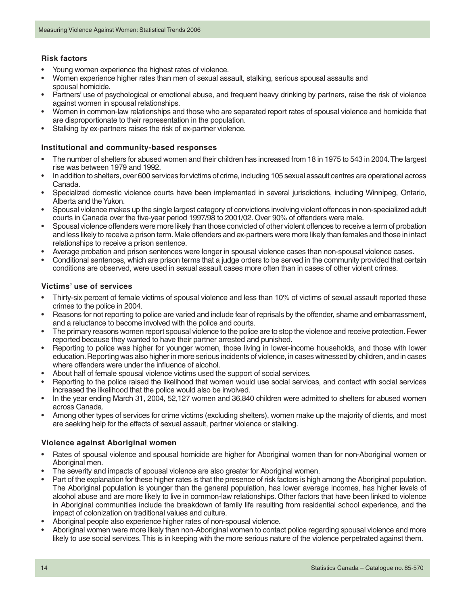#### **Risk factors**

- Young women experience the highest rates of violence.
- Women experience higher rates than men of sexual assault, stalking, serious spousal assaults and spousal homicide.
- Partners' use of psychological or emotional abuse, and frequent heavy drinking by partners, raise the risk of violence against women in spousal relationships.
- Women in common-law relationships and those who are separated report rates of spousal violence and homicide that are disproportionate to their representation in the population.
- Stalking by ex-partners raises the risk of ex-partner violence.

#### **Institutional and community-based responses**

- The number of shelters for abused women and their children has increased from 18 in 1975 to 543 in 2004. The largest rise was between 1979 and 1992.
- In addition to shelters, over 600 services for victims of crime, including 105 sexual assault centres are operational across Canada.
- Specialized domestic violence courts have been implemented in several jurisdictions, including Winnipeg, Ontario, Alberta and the Yukon.
- Spousal violence makes up the single largest category of convictions involving violent offences in non-specialized adult courts in Canada over the five-year period 1997/98 to 2001/02. Over 90% of offenders were male.
- Spousal violence offenders were more likely than those convicted of other violent offences to receive a term of probation and less likely to receive a prison term. Male offenders and ex-partners were more likely than females and those in intact relationships to receive a prison sentence.
- Average probation and prison sentences were longer in spousal violence cases than non-spousal violence cases.
- Conditional sentences, which are prison terms that a judge orders to be served in the community provided that certain conditions are observed, were used in sexual assault cases more often than in cases of other violent crimes.

#### **Victims' use of services**

- Thirty-six percent of female victims of spousal violence and less than 10% of victims of sexual assault reported these crimes to the police in 2004.
- Reasons for not reporting to police are varied and include fear of reprisals by the offender, shame and embarrassment, and a reluctance to become involved with the police and courts.
- The primary reasons women report spousal violence to the police are to stop the violence and receive protection. Fewer reported because they wanted to have their partner arrested and punished.
- Reporting to police was higher for younger women, those living in lower-income households, and those with lower education. Reporting was also higher in more serious incidents of violence, in cases witnessed by children, and in cases where offenders were under the influence of alcohol.
- About half of female spousal violence victims used the support of social services.
- Reporting to the police raised the likelihood that women would use social services, and contact with social services increased the likelihood that the police would also be involved.
- In the year ending March 31, 2004, 52,127 women and 36,840 children were admitted to shelters for abused women across Canada.
- Among other types of services for crime victims (excluding shelters), women make up the majority of clients, and most are seeking help for the effects of sexual assault, partner violence or stalking.

#### **Violence against Aboriginal women**

- Rates of spousal violence and spousal homicide are higher for Aboriginal women than for non-Aboriginal women or Aboriginal men.
- The severity and impacts of spousal violence are also greater for Aboriginal women.
- Part of the explanation for these higher rates is that the presence of risk factors is high among the Aboriginal population. The Aboriginal population is younger than the general population, has lower average incomes, has higher levels of alcohol abuse and are more likely to live in common-law relationships. Other factors that have been linked to violence in Aboriginal communities include the breakdown of family life resulting from residential school experience, and the impact of colonization on traditional values and culture.
- Aboriginal people also experience higher rates of non-spousal violence.
- Aboriginal women were more likely than non-Aboriginal women to contact police regarding spousal violence and more likely to use social services. This is in keeping with the more serious nature of the violence perpetrated against them.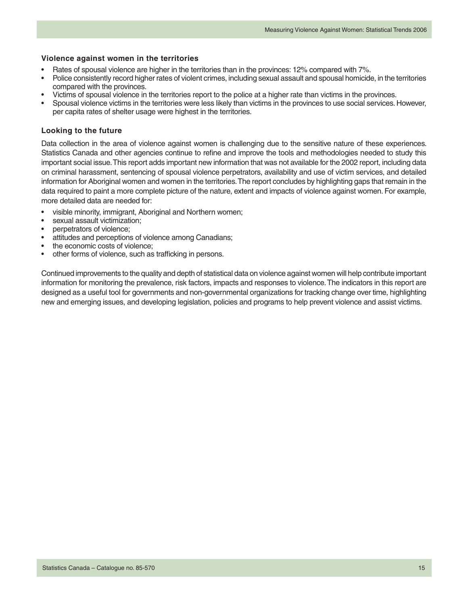#### **Violence against women in the territories**

- Rates of spousal violence are higher in the territories than in the provinces: 12% compared with 7%.
- Police consistently record higher rates of violent crimes, including sexual assault and spousal homicide, in the territories compared with the provinces.
- Victims of spousal violence in the territories report to the police at a higher rate than victims in the provinces.
- Spousal violence victims in the territories were less likely than victims in the provinces to use social services. However, per capita rates of shelter usage were highest in the territories.

#### **Looking to the future**

Data collection in the area of violence against women is challenging due to the sensitive nature of these experiences. Statistics Canada and other agencies continue to refine and improve the tools and methodologies needed to study this important social issue. This report adds important new information that was not available for the 2002 report, including data on criminal harassment, sentencing of spousal violence perpetrators, availability and use of victim services, and detailed information for Aboriginal women and women in the territories. The report concludes by highlighting gaps that remain in the data required to paint a more complete picture of the nature, extent and impacts of violence against women. For example, more detailed data are needed for:

- visible minority, immigrant, Aboriginal and Northern women;
- sexual assault victimization;
- perpetrators of violence;
- attitudes and perceptions of violence among Canadians;
- the economic costs of violence;
- other forms of violence, such as trafficking in persons.

Continued improvements to the quality and depth of statistical data on violence against women will help contribute important information for monitoring the prevalence, risk factors, impacts and responses to violence. The indicators in this report are designed as a useful tool for governments and non-governmental organizations for tracking change over time, highlighting new and emerging issues, and developing legislation, policies and programs to help prevent violence and assist victims.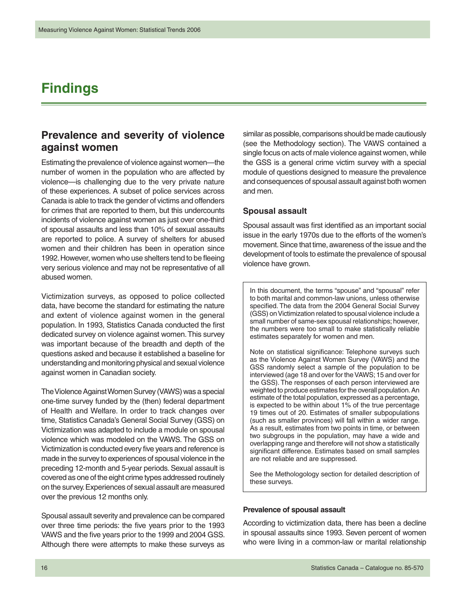## <span id="page-15-0"></span>**Findings**

### **Prevalence and severity of violence against women**

Estimating the prevalence of violence against women—the number of women in the population who are affected by violence—is challenging due to the very private nature of these experiences. A subset of police services across Canada is able to track the gender of victims and offenders for crimes that are reported to them, but this undercounts incidents of violence against women as just over one-third of spousal assaults and less than 10% of sexual assaults are reported to police. A survey of shelters for abused women and their children has been in operation since 1992. However, women who use shelters tend to be fleeing very serious violence and may not be representative of all abused women.

Victimization surveys, as opposed to police collected data, have become the standard for estimating the nature and extent of violence against women in the general population. In 1993, Statistics Canada conducted the first dedicated survey on violence against women. This survey was important because of the breadth and depth of the questions asked and because it established a baseline for understanding and monitoring physical and sexual violence against women in Canadian society.

The Violence Against Women Survey (VAWS) was a special one-time survey funded by the (then) federal department of Health and Welfare. In order to track changes over time, Statistics Canada's General Social Survey (GSS) on Victimization was adapted to include a module on spousal violence which was modeled on the VAWS. The GSS on Victimization is conducted every five years and reference is made in the survey to experiences of spousal violence in the preceding 12-month and 5-year periods. Sexual assault is covered as one of the eight crime types addressed routinely on the survey. Experiences of sexual assault are measured over the previous 12 months only.

Spousal assault severity and prevalence can be compared over three time periods: the five years prior to the 1993 VAWS and the five years prior to the 1999 and 2004 GSS. Although there were attempts to make these surveys as similar as possible, comparisons should be made cautiously (see the Methodology section). The VAWS contained a single focus on acts of male violence against women, while the GSS is a general crime victim survey with a special module of questions designed to measure the prevalence and consequences of spousal assault against both women and men.

#### **Spousal assault**

Spousal assault was first identified as an important social issue in the early 1970s due to the efforts of the women's movement. Since that time, awareness of the issue and the development of tools to estimate the prevalence of spousal violence have grown.

In this document, the terms "spouse" and "spousal" refer to both marital and common-law unions, unless otherwise specified. The data from the 2004 General Social Survey (GSS) on Victimization related to spousal violence include a small number of same-sex spousal relationships; however, the numbers were too small to make statistically reliable estimates separately for women and men.

Note on statistical significance: Telephone surveys such as the Violence Against Women Survey (VAWS) and the GSS randomly select a sample of the population to be interviewed (age 18 and over for the VAWS; 15 and over for the GSS). The responses of each person interviewed are weighted to produce estimates for the overall population. An estimate of the total population, expressed as a percentage, is expected to be within about 1% of the true percentage 19 times out of 20. Estimates of smaller subpopulations (such as smaller provinces) will fall within a wider range. As a result, estimates from two points in time, or between two subgroups in the population, may have a wide and overlapping range and therefore will not show a statistically significant difference. Estimates based on small samples are not reliable and are suppressed.

See the Methologology section for detailed description of these surveys.

#### **Prevalence of spousal assault**

According to victimization data, there has been a decline in spousal assaults since 1993. Seven percent of women who were living in a common-law or marital relationship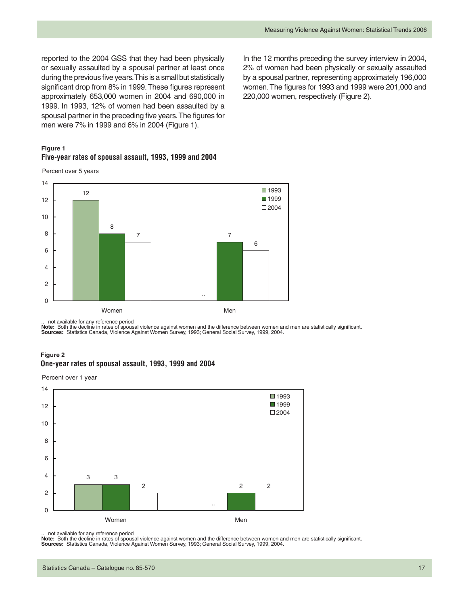<span id="page-16-0"></span>reported to the 2004 GSS that they had been physically or sexually assaulted by a spousal partner at least once during the previous five years. This is a small but statistically significant drop from 8% in 1999. These figures represent approximately 653,000 women in 2004 and 690,000 in 1999. In 1993, 12% of women had been assaulted by a spousal partner in the preceding five years. The figures for men were 7% in 1999 and 6% in 2004 (Figure 1).

In the 12 months preceding the survey interview in 2004, 2% of women had been physically or sexually assaulted by a spousal partner, representing approximately 196,000 women. The figures for 1993 and 1999 were 201,000 and 220,000 women, respectively (Figure 2).

#### **Figure 1 Five-year rates of spousal assault, 1993, 1999 and 2004**

Percent over 5 years



.. not available for any reference period<br>**Note:** Both the decline in rates of spousal violence against women and the difference between women and men are statistically significant. **Sources:** Statistics Canada, Violence Against Women Survey, 1993; General Social Survey, 1999, 2004.

#### **Figure 2 One-year rates of spousal assault, 1993, 1999 and 2004**

Percent over 1 year



.. not available for any reference period

Note: Both the decline in rates of spousal violence against women and the difference between women and men are statistically significant. **Sources:** Statistics Canada, Violence Against Women Survey, 1993; General Social Survey, 1999, 2004.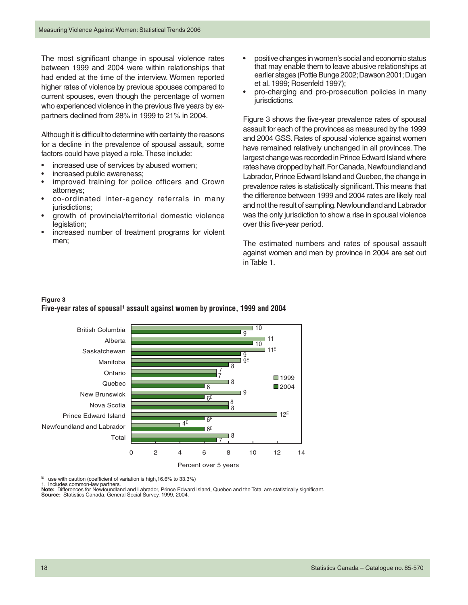<span id="page-17-0"></span>The most significant change in spousal violence rates between 1999 and 2004 were within relationships that had ended at the time of the interview. Women reported higher rates of violence by previous spouses compared to current spouses, even though the percentage of women who experienced violence in the previous five years by expartners declined from 28% in 1999 to 21% in 2004.

Although it is difficult to determine with certainty the reasons for a decline in the prevalence of spousal assault, some factors could have played a role. These include:

- increased use of services by abused women:
- increased public awareness;
- improved training for police officers and Crown attorneys;
- co-ordinated inter-agency referrals in many jurisdictions;
- growth of provincial/territorial domestic violence legislation;
- increased number of treatment programs for violent men;
- positive changes in women's social and economic status that may enable them to leave abusive relationships at earlier stages (Pottie Bunge 2002; Dawson 2001; Dugan et al. 1999; Rosenfeld 1997);
- pro-charging and pro-prosecution policies in many jurisdictions.

Figure 3 shows the five-year prevalence rates of spousal assault for each of the provinces as measured by the 1999 and 2004 GSS. Rates of spousal violence against women have remained relatively unchanged in all provinces. The largest change was recorded in Prince Edward Island where rates have dropped by half. For Canada, Newfoundland and Labrador, Prince Edward Island and Quebec, the change in prevalence rates is statistically significant. This means that the difference between 1999 and 2004 rates are likely real and not the result of sampling. Newfoundland and Labrador was the only jurisdiction to show a rise in spousal violence over this five-year period.

The estimated numbers and rates of spousal assault against women and men by province in 2004 are set out in Table 1.

#### **Figure 3** Five-year rates of spousal<sup>1</sup> assault against women by province, 1999 and 2004



 $E$  use with caution (coefficient of variation is high,16.6% to 33.3%)

1. Includes common-law partners.

Note: Differences for Newfoundland and Labrador, Prince Edward Island, Quebec and the Total are statistically significant. **Source:** Statistics Canada, General Social Survey, 1999, 2004.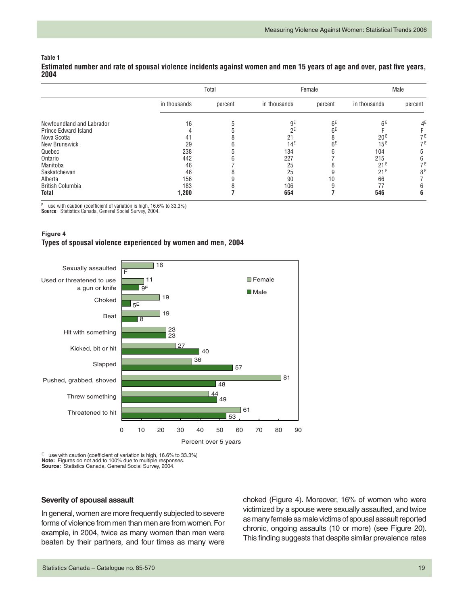#### <span id="page-18-0"></span>**Table 1**

Estimated number and rate of spousal violence incidents against women and men 15 years of age and over, past five years, **2004**

|                             | Total        |         | Female          |                | Male            |                |
|-----------------------------|--------------|---------|-----------------|----------------|-----------------|----------------|
|                             | in thousands | percent | in thousands    | percent        | in thousands    | percent        |
| Newfoundland and Labrador   | 16           |         | gЕ              | 6 <sup>E</sup> | 6E              | 4 <sup>E</sup> |
| <b>Prince Edward Island</b> |              |         | 2E              | $6^E$          |                 |                |
| Nova Scotia                 | 41           |         | 21              |                | 20 <sup>E</sup> | 7 E            |
| New Brunswick               | 29           |         | 14 <sup>E</sup> | $6^E$          | 15E             | 7 E            |
| Quebec                      | 238          |         | 134             |                | 104             | 5              |
| Ontario                     | 442          |         | 227             |                | 215             | 6              |
| Manitoba                    | 46           |         | 25              |                | 21 <sup>E</sup> | 7 E            |
| Saskatchewan                | 46           |         | 25              |                | 21 <sup>E</sup> | 8 <sup>E</sup> |
| Alberta                     | 156          |         | 90              | 10             | 66              |                |
| <b>British Columbia</b>     | 183          |         | 106             |                | 77              | 6              |
| <b>Total</b>                | 1,200        |         | 654             |                | 546             | 6              |

<sup>E</sup> use with caution (coefficient of variation is high, 16.6% to 33.3%)<br>**Source**: Statistics Canada, General Social Survey, 2004.

#### **Figure 4 Types of spousal violence experienced by women and men, 2004**



<sup>E</sup> use with caution (coefficient of variation is high, 16.6% to 33.3%)<br>**Note:** Figures do not add to 100% due to multiple responses.<br>**Source:** Statistics Canada, General Social Survey, 2004.

#### **Severity of spousal assault**

In general, women are more frequently subjected to severe forms of violence from men than men are from women. For example, in 2004, twice as many women than men were beaten by their partners, and four times as many were

choked (Figure 4). Moreover, 16% of women who were victimized by a spouse were sexually assaulted, and twice as many female as male victims of spousal assault reported chronic, ongoing assaults (10 or more) (see Figure 20). This finding suggests that despite similar prevalence rates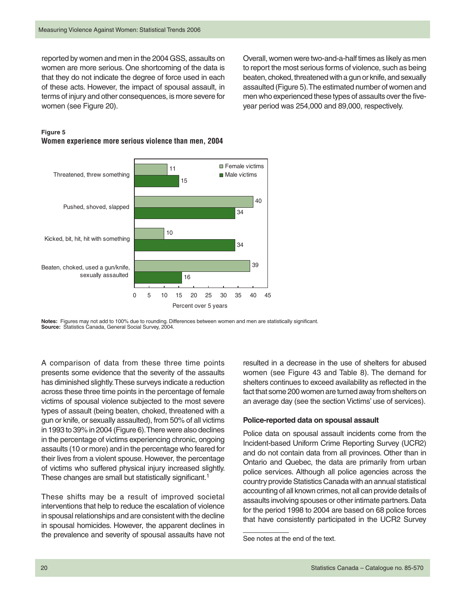<span id="page-19-0"></span>reported by women and men in the 2004 GSS, assaults on women are more serious. One shortcoming of the data is that they do not indicate the degree of force used in each of these acts. However, the impact of spousal assault, in terms of injury and other consequences, is more severe for women (see Figure 20).

Overall, women were two-and-a-half times as likely as men to report the most serious forms of violence, such as being beaten, choked, threatened with a gun or knife, and sexually assaulted (Figure 5). The estimated number of women and men who experienced these types of assaults over the fiveyear period was 254,000 and 89,000, respectively.

#### **Figure 5**

#### **Women experience more serious violence than men, 2004**



**Notes:** Figures may not add to 100% due to rounding. Differences between women and men are statistically significant.<br>**Source:** Statistics Canada, General Social Survey, 2004.

A comparison of data from these three time points presents some evidence that the severity of the assaults has diminished slightly. These surveys indicate a reduction across these three time points in the percentage of female victims of spousal violence subjected to the most severe types of assault (being beaten, choked, threatened with a gun or knife, or sexually assaulted), from 50% of all victims in 1993 to 39% in 2004 (Figure 6). There were also declines in the percentage of victims experiencing chronic, ongoing assaults (10 or more) and in the percentage who feared for their lives from a violent spouse. However, the percentage of victims who suffered physical injury increased slightly. These changes are small but statistically significant.<sup>1</sup>

These shifts may be a result of improved societal interventions that help to reduce the escalation of violence in spousal relationships and are consistent with the decline in spousal homicides. However, the apparent declines in the prevalence and severity of spousal assaults have not resulted in a decrease in the use of shelters for abused women (see Figure 43 and Table 8). The demand for shelters continues to exceed availability as reflected in the fact that some 200 women are turned away from shelters on an average day (see the section Victims' use of services).

#### **Police-reported data on spousal assault**

Police data on spousal assault incidents come from the Incident-based Uniform Crime Reporting Survey (UCR2) and do not contain data from all provinces. Other than in Ontario and Quebec, the data are primarily from urban police services. Although all police agencies across the country provide Statistics Canada with an annual statistical accounting of all known crimes, not all can provide details of assaults involving spouses or other intimate partners. Data for the period 1998 to 2004 are based on 68 police forces that have consistently participated in the UCR2 Survey

See notes at the end of the text.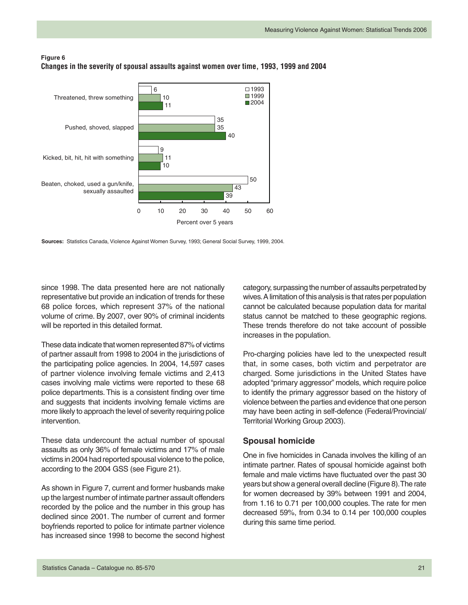

#### <span id="page-20-0"></span>**Figure 6 Changes in the severity of spousal assaults against women over time, 1993, 1999 and 2004**

**Sources:** Statistics Canada, Violence Against Women Survey, 1993; General Social Survey, 1999, 2004.

since 1998. The data presented here are not nationally representative but provide an indication of trends for these 68 police forces, which represent 37% of the national volume of crime. By 2007, over 90% of criminal incidents will be reported in this detailed format.

These data indicate that women represented 87% of victims of partner assault from 1998 to 2004 in the jurisdictions of the participating police agencies. In 2004, 14,597 cases of partner violence involving female victims and 2,413 cases involving male victims were reported to these 68 police departments. This is a consistent finding over time and suggests that incidents involving female victims are more likely to approach the level of severity requiring police intervention.

These data undercount the actual number of spousal assaults as only 36% of female victims and 17% of male victims in 2004 had reported spousal violence to the police, according to the 2004 GSS (see Figure 21).

As shown in Figure 7, current and former husbands make up the largest number of intimate partner assault offenders recorded by the police and the number in this group has declined since 2001. The number of current and former boyfriends reported to police for intimate partner violence has increased since 1998 to become the second highest category, surpassing the number of assaults perpetrated by wives. A limitation of this analysis is that rates per population cannot be calculated because population data for marital status cannot be matched to these geographic regions. These trends therefore do not take account of possible increases in the population.

Pro-charging policies have led to the unexpected result that, in some cases, both victim and perpetrator are charged. Some jurisdictions in the United States have adopted "primary aggressor" models, which require police to identify the primary aggressor based on the history of violence between the parties and evidence that one person may have been acting in self-defence (Federal/Provincial/ Territorial Working Group 2003).

#### **Spousal homicide**

One in five homicides in Canada involves the killing of an intimate partner. Rates of spousal homicide against both female and male victims have fluctuated over the past 30 years but show a general overall decline (Figure 8). The rate for women decreased by 39% between 1991 and 2004, from 1.16 to 0.71 per 100,000 couples. The rate for men decreased 59%, from 0.34 to 0.14 per 100,000 couples during this same time period.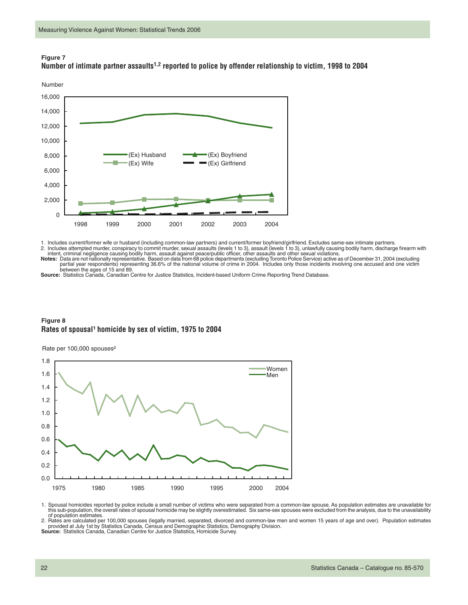#### <span id="page-21-0"></span>**Figure 7**





1. Includes current/former wife or husband (including common-law partners) and current/former boyfriend/girlfriend. Excludes same-sex intimate partners.<br>
2. Includes attempted murder, conspiracy to commit murder, sexual as

#### **Figure 8** Rates of spousal<sup>1</sup> homicide by sex of victim, 1975 to 2004

Rate per 100,000 spouses<sup>2</sup>



1. Spousal homicides reported by police include a small number of victims who were separated from a common-law spouse. As population estimates are unavailable for this sub-population, the overall rates of spousal homicide may be slightly overestimated. Six same-sex spouses were excluded from the analysis, due to the unavailability

of population estimates.<br>2. Rates are calculated per 100,000 spouses (legally married, separated, divorced and common-law men and women 15 years of age and over). Population estimates provided at July 1st by Statistics Canada, Census and Demographic Statistics, Demography Division. **Source:** Statistics Canada, Canadian Centre for Justice Statistics, Homicide Survey.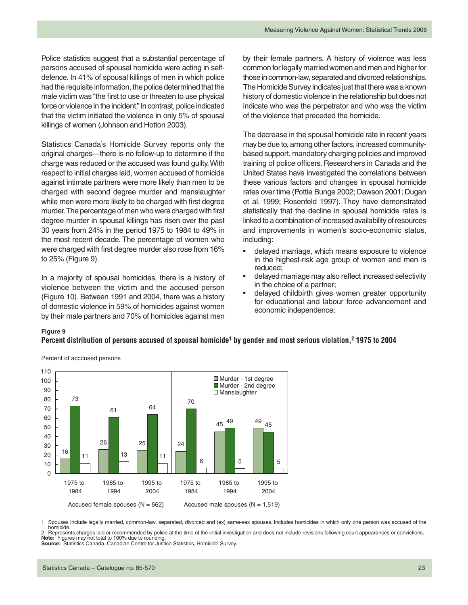<span id="page-22-0"></span>Police statistics suggest that a substantial percentage of persons accused of spousal homicide were acting in selfdefence. In 41% of spousal killings of men in which police had the requisite information, the police determined that the male victim was "the first to use or threaten to use physical force or violence in the incident." In contrast, police indicated that the victim initiated the violence in only 5% of spousal killings of women (Johnson and Hotton 2003).

Statistics Canada's Homicide Survey reports only the original charges—there is no follow-up to determine if the charge was reduced or the accused was found guilty. With respect to initial charges laid, women accused of homicide against intimate partners were more likely than men to be charged with second degree murder and manslaughter while men were more likely to be charged with first degree murder. The percentage of men who were charged with first degree murder in spousal killings has risen over the past 30 years from 24% in the period 1975 to 1984 to 49% in the most recent decade. The percentage of women who were charged with first degree murder also rose from 16% to 25% (Figure 9).

In a majority of spousal homicides, there is a history of violence between the victim and the accused person (Figure 10). Between 1991 and 2004, there was a history of domestic violence in 59% of homicides against women by their male partners and 70% of homicides against men

by their female partners. A history of violence was less common for legally married women and men and higher for those in common-law, separated and divorced relationships. The Homicide Survey indicates just that there was a known history of domestic violence in the relationship but does not indicate who was the perpetrator and who was the victim of the violence that preceded the homicide.

The decrease in the spousal homicide rate in recent years may be due to, among other factors, increased communitybased support, mandatory charging policies and improved training of police officers. Researchers in Canada and the United States have investigated the correlations between these various factors and changes in spousal homicide rates over time (Pottie Bunge 2002; Dawson 2001; Dugan et al. 1999; Rosenfeld 1997). They have demonstrated statistically that the decline in spousal homicide rates is linked to a combination of increased availability of resources and improvements in women's socio-economic status, including:

- delayed marriage, which means exposure to violence in the highest-risk age group of women and men is reduced;
- delayed marriage may also reflect increased selectivity in the choice of a partner;
- delayed childbirth gives women greater opportunity for educational and labour force advancement and economic independence;

#### **Figure 9**

#### **Percent distribution of persons accused of spousal homicide1 by gender and most serious violation,2 1975 to 2004**



Percent of acccused persons

1. Spouses include legally married, common-law, separated, divorced and (ex) same-sex spouses. Includes homicides in which only one person was accused of the homicide. 2. Represents charges laid or recommended by police at the time of the initial investigation and does not include revisions following court appearances or convictions.

**Note:** Figures may not total to 100% due to rounding. **Source:** Statistics Canada, Canadian Centre for Justice Statistics, Homicide Survey.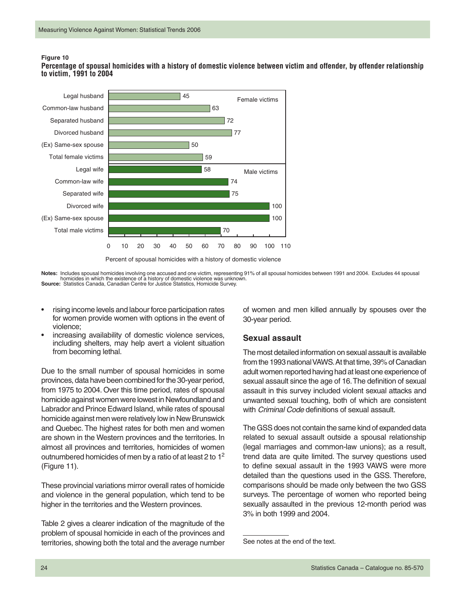#### <span id="page-23-0"></span>**Figure 10**

**Percentage of spousal homicides with a history of domestic violence between victim and offender, by offender relationship to victim, 1991 to 2004**



**Notes:** Includes spousal homicides involving one accused and one victim, representing 91% of all spousal homicides between 1991 and 2004. Excludes 44 spousal homicides in which the existence of a history of domestic violence was unknown. **Source:** Statistics Canada, Canadian Centre for Justice Statistics, Homicide Survey.

- rising income levels and labour force participation rates for women provide women with options in the event of violence;
- increasing availability of domestic violence services. including shelters, may help avert a violent situation from becoming lethal.

Due to the small number of spousal homicides in some provinces, data have been combined for the 30-year period, from 1975 to 2004. Over this time period, rates of spousal homicide against women were lowest in Newfoundland and Labrador and Prince Edward Island, while rates of spousal homicide against men were relatively low in New Brunswick and Quebec. The highest rates for both men and women are shown in the Western provinces and the territories. In almost all provinces and territories, homicides of women outnumbered homicides of men by a ratio of at least 2 to 12 (Figure 11).

These provincial variations mirror overall rates of homicide and violence in the general population, which tend to be higher in the territories and the Western provinces.

Table 2 gives a clearer indication of the magnitude of the problem of spousal homicide in each of the provinces and territories, showing both the total and the average number of women and men killed annually by spouses over the 30-year period.

#### **Sexual assault**

The most detailed information on sexual assault is available from the 1993 national VAWS. At that time, 39% of Canadian adult women reported having had at least one experience of sexual assault since the age of 16. The definition of sexual assault in this survey included violent sexual attacks and unwanted sexual touching, both of which are consistent with *Criminal Code* definitions of sexual assault.

The GSS does not contain the same kind of expanded data related to sexual assault outside a spousal relationship (legal marriages and common-law unions); as a result, trend data are quite limited. The survey questions used to define sexual assault in the 1993 VAWS were more detailed than the questions used in the GSS. Therefore, comparisons should be made only between the two GSS surveys. The percentage of women who reported being sexually assaulted in the previous 12-month period was 3% in both 1999 and 2004.

See notes at the end of the text.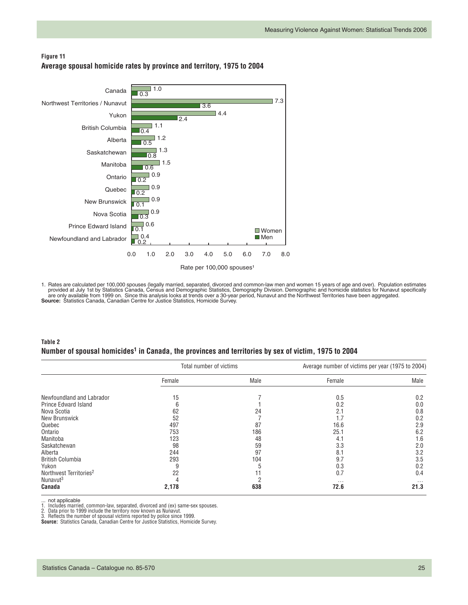#### <span id="page-24-0"></span>**Figure 11 Average spousal homicide rates by province and territory, 1975 to 2004**



1. Rates are calculated per 100,000 spouses (legally married, separated, divorced and common-law men and women 15 years of age and over). Population estimates provided at July 1st by Statistics Canada, Census and Demographic Statistics, Demography Division. Demographic and homicide statistics for Nunavut specifically<br>are only available from 1999 on. Share this analysis looks at

#### **Table 2 Number of spousal homicides1 in Canada, the provinces and territories by sex of victim, 1975 to 2004**

|                                    | Total number of victims |      | Average number of victims per year (1975 to 2004) |          |
|------------------------------------|-------------------------|------|---------------------------------------------------|----------|
|                                    | Female                  | Male | Female                                            | Male     |
| Newfoundland and Labrador          | 15                      |      | 0.5                                               | 0.2      |
| <b>Prince Edward Island</b>        | 6                       |      | 0.2                                               | 0.0      |
| Nova Scotia                        | 62                      | 24   | 2.1                                               | 0.8      |
| <b>New Brunswick</b>               | 52                      |      | 1.7                                               | 0.2      |
| Quebec                             | 497                     | 87   | 16.6                                              | 2.9      |
| Ontario                            | 753                     | 186  | 25.1                                              | 6.2      |
| Manitoba                           | 123                     | 48   | 4.1                                               | 1.6      |
| Saskatchewan                       | 98                      | 59   | 3.3                                               | 2.0      |
| Alberta                            | 244                     | 97   | 8.1                                               | 3.2      |
| <b>British Columbia</b>            | 293                     | 104  | 9.7                                               | 3.5      |
| Yukon                              | 9                       | 5    | 0.3                                               | 0.2      |
| Northwest Territories <sup>2</sup> | 22                      | 11   | 0.7                                               | 0.4      |
| Nunavut <sup>3</sup>               | 4                       | റ    | $\cdots$                                          | $\cdots$ |
| Canada                             | 2,178                   | 638  | 72.6                                              | 21.3     |

... not applicable<br>1. Includes married, common-law, separated, divorced and (ex) same-sex spouses.<br>2. Data prior to 1999 include the territory now known as Nunavut.<br>3. Reflects the number of spousal victims reported by pol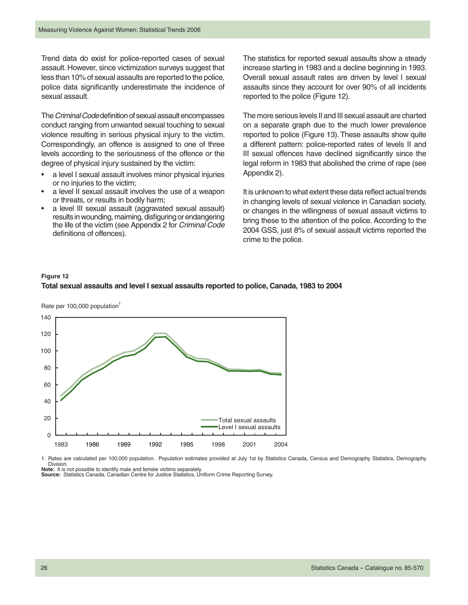<span id="page-25-0"></span>Trend data do exist for police-reported cases of sexual assault. However, since victimization surveys suggest that less than 10% of sexual assaults are reported to the police, police data significantly underestimate the incidence of sexual assault.

The *Criminal Code* definition of sexual assault encompasses conduct ranging from unwanted sexual touching to sexual violence resulting in serious physical injury to the victim. Correspondingly, an offence is assigned to one of three levels according to the seriousness of the offence or the degree of physical injury sustained by the victim:

- a level I sexual assault involves minor physical injuries or no injuries to the victim;
- a level II sexual assault involves the use of a weapon or threats, or results in bodily harm;
- a level III sexual assault (aggravated sexual assault) results in wounding, maiming, disfiguring or endangering the life of the victim (see Appendix 2 for *Criminal Code* definitions of offences).

The statistics for reported sexual assaults show a steady increase starting in 1983 and a decline beginning in 1993. Overall sexual assault rates are driven by level I sexual assaults since they account for over 90% of all incidents reported to the police (Figure 12).

The more serious levels II and III sexual assault are charted on a separate graph due to the much lower prevalence reported to police (Figure 13). These assaults show quite a different pattern: police-reported rates of levels II and III sexual offences have declined significantly since the legal reform in 1983 that abolished the crime of rape (see Appendix 2).

It is unknown to what extent these data reflect actual trends in changing levels of sexual violence in Canadian society, or changes in the willingness of sexual assault victims to bring these to the attention of the police. According to the 2004 GSS, just 8% of sexual assault victims reported the crime to the police.

#### **Figure 12 Total sexual assaults and level I sexual assaults reported to police, Canada, 1983 to 2004**

Rate per 100,000 population<sup>1</sup>



1. Rates are calculated per 100,000 population. Population estimates provided at July 1st by Statistics Canada, Census and Demography Statistics, Demography Division.

**Note:** It is not possible to identify male and female victims separately. **Source:** Statistics Canada, Canadian Centre for Justice Statistics, Uniform Crime Reporting Survey.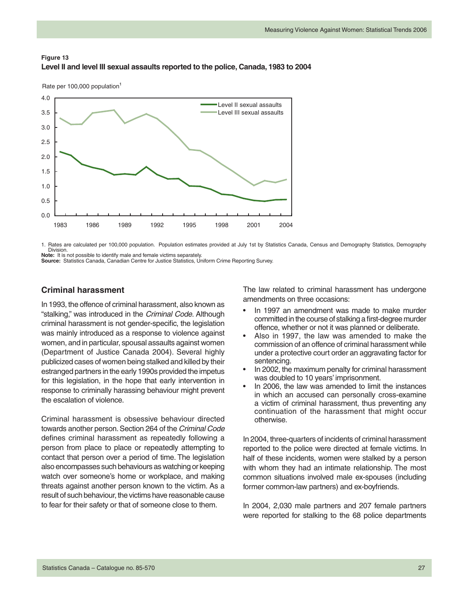#### <span id="page-26-0"></span>**Figure 13 Level II and level III sexual assaults reported to the police, Canada, 1983 to 2004**

Rate per 100,000 population<sup>1</sup>



1. Rates are calculated per 100,000 population. Population estimates provided at July 1st by Statistics Canada, Census and Demography Statistics, Demography Division.

**Note:** It is not possible to identify male and female victims separately. **Source:** Statistics Canada, Canadian Centre for Justice Statistics, Uniform Crime Reporting Survey.

#### **Criminal harassment**

In 1993, the offence of criminal harassment, also known as "stalking," was introduced in the *Criminal Code*. Although criminal harassment is not gender-specific, the legislation was mainly introduced as a response to violence against women, and in particular, spousal assaults against women (Department of Justice Canada 2004). Several highly publicized cases of women being stalked and killed by their estranged partners in the early 1990s provided the impetus for this legislation, in the hope that early intervention in response to criminally harassing behaviour might prevent the escalation of violence.

Criminal harassment is obsessive behaviour directed towards another person. Section 264 of the *Criminal Code*  defines criminal harassment as repeatedly following a person from place to place or repeatedly attempting to contact that person over a period of time. The legislation also encompasses such behaviours as watching or keeping watch over someone's home or workplace, and making threats against another person known to the victim. As a result of such behaviour, the victims have reasonable cause to fear for their safety or that of someone close to them.

The law related to criminal harassment has undergone amendments on three occasions:

- In 1997 an amendment was made to make murder committed in the course of stalking a first-degree murder offence, whether or not it was planned or deliberate.
- Also in 1997, the law was amended to make the commission of an offence of criminal harassment while under a protective court order an aggravating factor for sentencing.
- In 2002, the maximum penalty for criminal harassment was doubled to 10 years' imprisonment.
- In 2006, the law was amended to limit the instances in which an accused can personally cross-examine a victim of criminal harassment, thus preventing any continuation of the harassment that might occur otherwise.

In 2004, three-quarters of incidents of criminal harassment reported to the police were directed at female victims. In half of these incidents, women were stalked by a person with whom they had an intimate relationship. The most common situations involved male ex-spouses (including former common-law partners) and ex-boyfriends.

In 2004, 2,030 male partners and 207 female partners were reported for stalking to the 68 police departments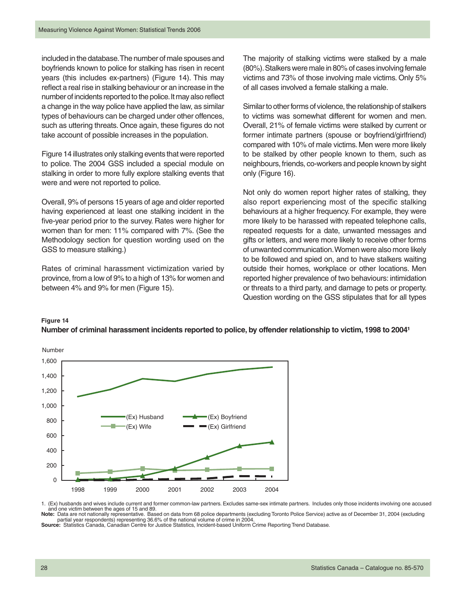<span id="page-27-0"></span>included in the database. The number of male spouses and boyfriends known to police for stalking has risen in recent years (this includes ex-partners) (Figure 14). This may reflect a real rise in stalking behaviour or an increase in the number of incidents reported to the police. It may also reflect a change in the way police have applied the law, as similar types of behaviours can be charged under other offences, such as uttering threats. Once again, these figures do not take account of possible increases in the population.

Figure 14 illustrates only stalking events that were reported to police. The 2004 GSS included a special module on stalking in order to more fully explore stalking events that were and were not reported to police.

Overall, 9% of persons 15 years of age and older reported having experienced at least one stalking incident in the five-year period prior to the survey. Rates were higher for women than for men: 11% compared with 7%. (See the Methodology section for question wording used on the GSS to measure stalking.)

Rates of criminal harassment victimization varied by province, from a low of 9% to a high of 13% for women and between 4% and 9% for men (Figure 15).

The majority of stalking victims were stalked by a male (80%). Stalkers were male in 80% of cases involving female victims and 73% of those involving male victims. Only 5% of all cases involved a female stalking a male.

Similar to other forms of violence, the relationship of stalkers to victims was somewhat different for women and men. Overall, 21% of female victims were stalked by current or former intimate partners (spouse or boyfriend/girlfriend) compared with 10% of male victims. Men were more likely to be stalked by other people known to them, such as neighbours, friends, co-workers and people known by sight only (Figure 16).

Not only do women report higher rates of stalking, they also report experiencing most of the specific stalking behaviours at a higher frequency. For example, they were more likely to be harassed with repeated telephone calls, repeated requests for a date, unwanted messages and gifts or letters, and were more likely to receive other forms of unwanted communication. Women were also more likely to be followed and spied on, and to have stalkers waiting outside their homes, workplace or other locations. Men reported higher prevalence of two behaviours: intimidation or threats to a third party, and damage to pets or property. Question wording on the GSS stipulates that for all types

#### **Figure 14 Number of criminal harassment incidents reported to police, by offender relationship to victim, 1998 to 2004<sup>1</sup>**



1. (Ex) husbands and wives include current and former common-law partners. Excludes same-sex intimate partners. Includes only those incidents involving one accused and one victim between the ages of 15 and 89.

**Note:** Data are not nationally representative. Based on data from 68 police departments (excluding Toronto Police Service) active as of December 31, 2004 (excluding partial year respondents) representing 36.6% of the national volume of crime in 2004. **Source:** Statistics Canada, Canadian Centre for Justice Statistics, Incident-based Uniform Crime Reporting Trend Database.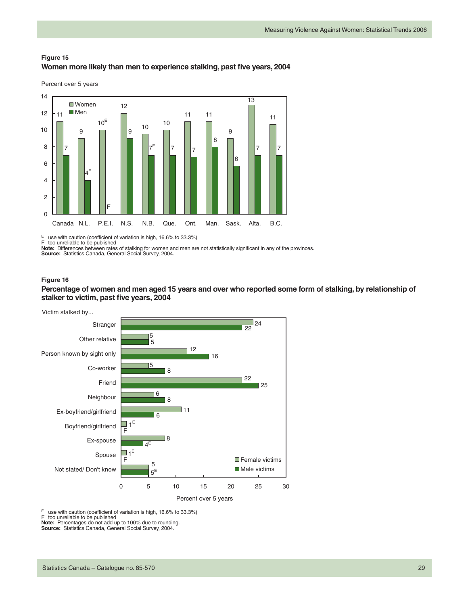#### <span id="page-28-0"></span>**Figure 15**



Percent over 5 years



E use with caution (coefficient of variation is high, 16.6% to 33.3%)

F too unreliable to be published

**Note:** Differences between rates of stalking for women and men are not statistically significant in any of the provinces.<br>**Source:** Statistics Canada, General Social Survey, 2004.

#### **Figure 16**

#### **Percentage of women and men aged 15 years and over who reported some form of stalking, by relationship of**  stalker to victim, past five years, 2004



 $E$  use with caution (coefficient of variation is high, 16.6% to 33.3%)

F too unreliable to be published **Note:** Percentages do not add up to 100% due to rounding. **Source:** Statistics Canada, General Social Survey, 2004.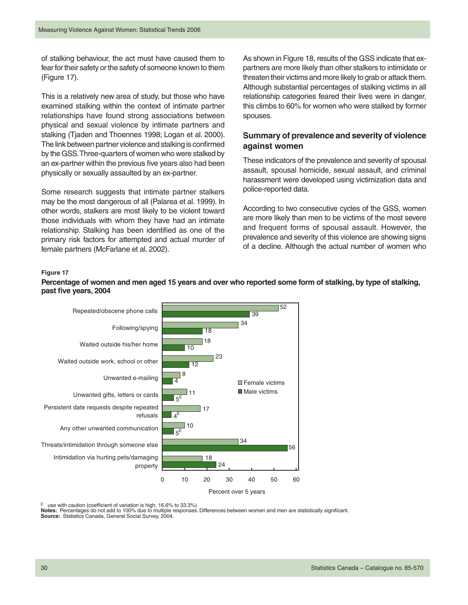<span id="page-29-0"></span>of stalking behaviour, the act must have caused them to fear for their safety or the safety of someone known to them (Figure 17).

This is a relatively new area of study, but those who have examined stalking within the context of intimate partner relationships have found strong associations between physical and sexual violence by intimate partners and stalking (Tjaden and Thoennes 1998; Logan et al. 2000). The link between partner violence and stalking is confirmed by the GSS. Three-quarters of women who were stalked by an ex-partner within the previous five years also had been physically or sexually assaulted by an ex-partner.

Some research suggests that intimate partner stalkers may be the most dangerous of all (Palarea et al. 1999). In other words, stalkers are most likely to be violent toward those individuals with whom they have had an intimate relationship. Stalking has been identified as one of the primary risk factors for attempted and actual murder of female partners (McFarlane et al. 2002).

As shown in Figure 18, results of the GSS indicate that expartners are more likely than other stalkers to intimidate or threaten their victims and more likely to grab or attack them. Although substantial percentages of stalking victims in all relationship categories feared their lives were in danger, this climbs to 60% for women who were stalked by former spouses.

#### **Summary of prevalence and severity of violence against women**

These indicators of the prevalence and severity of spousal assault, spousal homicide, sexual assault, and criminal harassment were developed using victimization data and police-reported data.

According to two consecutive cycles of the GSS, women are more likely than men to be victims of the most severe and frequent forms of spousal assault. However, the prevalence and severity of this violence are showing signs of a decline. Although the actual number of women who

#### **Figure 17**

**Percentage of women and men aged 15 years and over who reported some form of stalking, by type of stalking,**  past five years, 2004



use with caution (coefficient of variation is high, 16.6% to 33.3%)

**Notes:** Percentages do not add to 100% due to multiple responses. Differences between women and men are statistically significant.<br>**Source:** Statistics Canada, General Social Survey, 2004.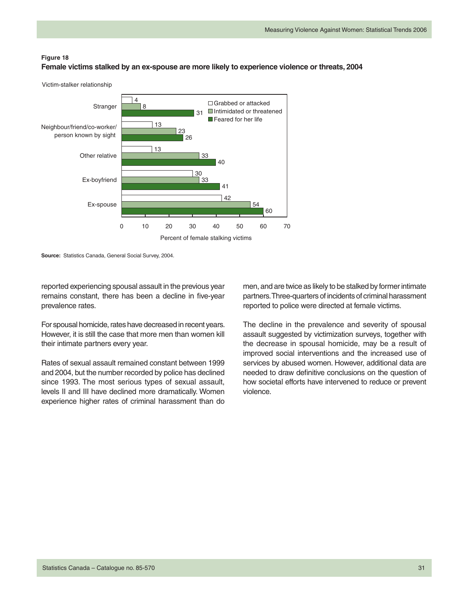#### <span id="page-30-0"></span>**Figure 18**

#### **Female victims stalked by an ex-spouse are more likely to experience violence or threats, 2004**



**Source:** Statistics Canada, General Social Survey, 2004.

reported experiencing spousal assault in the previous year remains constant, there has been a decline in five-year prevalence rates.

For spousal homicide, rates have decreased in recent years. However, it is still the case that more men than women kill their intimate partners every year.

Rates of sexual assault remained constant between 1999 and 2004, but the number recorded by police has declined since 1993. The most serious types of sexual assault, levels II and III have declined more dramatically. Women experience higher rates of criminal harassment than do

men, and are twice as likely to be stalked by former intimate partners. Three-quarters of incidents of criminal harassment reported to police were directed at female victims.

The decline in the prevalence and severity of spousal assault suggested by victimization surveys, together with the decrease in spousal homicide, may be a result of improved social interventions and the increased use of services by abused women. However, additional data are needed to draw definitive conclusions on the question of how societal efforts have intervened to reduce or prevent violence.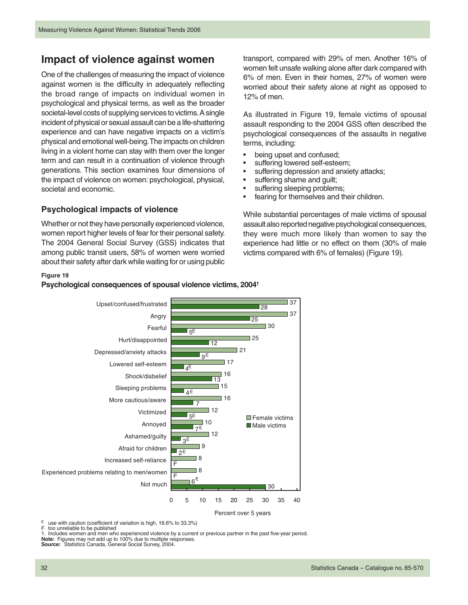### <span id="page-31-0"></span>**Impact of violence against women**

One of the challenges of measuring the impact of violence against women is the difficulty in adequately reflecting the broad range of impacts on individual women in psychological and physical terms, as well as the broader societal-level costs of supplying services to victims. A single incident of physical or sexual assault can be a life-shattering experience and can have negative impacts on a victim's physical and emotional well-being. The impacts on children living in a violent home can stay with them over the longer term and can result in a continuation of violence through generations. This section examines four dimensions of the impact of violence on women: psychological, physical, societal and economic.

#### **Psychological impacts of violence**

Whether or not they have personally experienced violence, women report higher levels of fear for their personal safety. The 2004 General Social Survey (GSS) indicates that among public transit users, 58% of women were worried about their safety after dark while waiting for or using public transport, compared with 29% of men. Another 16% of women felt unsafe walking alone after dark compared with 6% of men. Even in their homes, 27% of women were worried about their safety alone at night as opposed to 12% of men.

As illustrated in Figure 19, female victims of spousal assault responding to the 2004 GSS often described the psychological consequences of the assaults in negative terms, including:

- being upset and confused;
- suffering lowered self-esteem;<br>• suffering denression and anxie
- suffering depression and anxiety attacks;
- suffering shame and guilt;
- suffering sleeping problems;
- fearing for themselves and their children.

While substantial percentages of male victims of spousal assault also reported negative psychological consequences, they were much more likely than women to say the experience had little or no effect on them (30% of male victims compared with 6% of females) (Figure 19).

#### **Figure 19**

#### Psychological consequences of spousal violence victims, 2004<sup>1</sup>



 $E$  use with caution (coefficient of variation is high, 16.6% to 33.3%)

too unreliable to be published

1. Includes women and men who experienced violence by a current or previous partner in the past five-year period.<br>**Note:** Figures may not add up to 100% due to multiple responses.

**Source:** Statistics Canada, General Social Survey, 2004.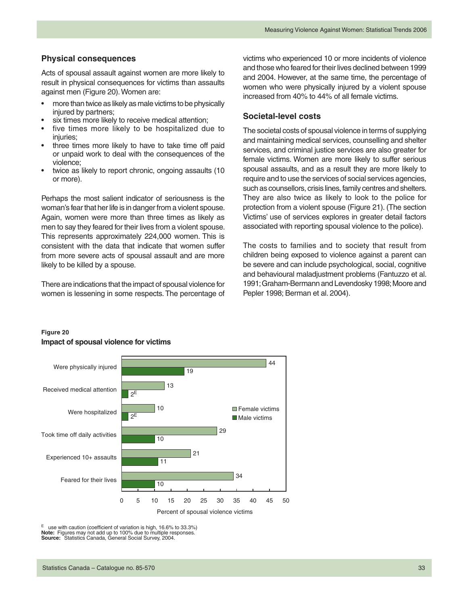#### <span id="page-32-0"></span>**Physical consequences**

Acts of spousal assault against women are more likely to result in physical consequences for victims than assaults against men (Figure 20). Women are:

- more than twice as likely as male victims to be physically injured by partners;
- six times more likely to receive medical attention;
- five times more likely to be hospitalized due to iniuries:
- three times more likely to have to take time off paid or unpaid work to deal with the consequences of the violence;
- twice as likely to report chronic, ongoing assaults (10) or more).

Perhaps the most salient indicator of seriousness is the woman's fear that her life is in danger from a violent spouse. Again, women were more than three times as likely as men to say they feared for their lives from a violent spouse. This represents approximately 224,000 women. This is consistent with the data that indicate that women suffer from more severe acts of spousal assault and are more likely to be killed by a spouse.

There are indications that the impact of spousal violence for women is lessening in some respects. The percentage of victims who experienced 10 or more incidents of violence and those who feared for their lives declined between 1999 and 2004. However, at the same time, the percentage of women who were physically injured by a violent spouse increased from 40% to 44% of all female victims.

#### **Societal-level costs**

The societal costs of spousal violence in terms of supplying and maintaining medical services, counselling and shelter services, and criminal justice services are also greater for female victims. Women are more likely to suffer serious spousal assaults, and as a result they are more likely to require and to use the services of social services agencies, such as counsellors, crisis lines, family centres and shelters. They are also twice as likely to look to the police for protection from a violent spouse (Figure 21). (The section Victims' use of services explores in greater detail factors associated with reporting spousal violence to the police).

The costs to families and to society that result from children being exposed to violence against a parent can be severe and can include psychological, social, cognitive and behavioural maladjustment problems (Fantuzzo et al. 1991; Graham-Bermann and Levendosky 1998; Moore and Pepler 1998; Berman et al. 2004).



#### **Figure 20 Impact of spousal violence for victims**

<sup>E</sup> use with caution (coefficient of variation is high, 16.6% to 33.3%)<br>**Note:** Figures may not add up to 100% due to multiple responses. **Source:** Statistics Canada, General Social Survey, 2004.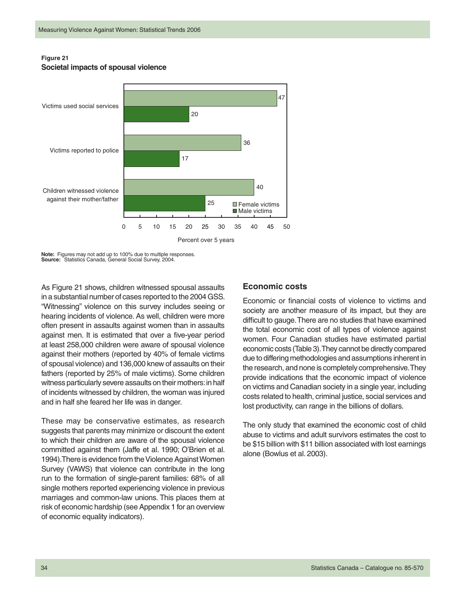### <span id="page-33-0"></span>**Figure 21**

#### **Societal impacts of spousal violence**



**Note:** Figures may not add up to 100% due to multiple responses. **Source:** Statistics Canada, General Social Survey, 2004.

As Figure 21 shows, children witnessed spousal assaults in a substantial number of cases reported to the 2004 GSS. "Witnessing" violence on this survey includes seeing or hearing incidents of violence. As well, children were more often present in assaults against women than in assaults against men. It is estimated that over a five-year period at least 258,000 children were aware of spousal violence against their mothers (reported by 40% of female victims of spousal violence) and 136,000 knew of assaults on their fathers (reported by 25% of male victims). Some children witness particularly severe assaults on their mothers: in half of incidents witnessed by children, the woman was injured and in half she feared her life was in danger.

These may be conservative estimates, as research suggests that parents may minimize or discount the extent to which their children are aware of the spousal violence committed against them (Jaffe et al. 1990; O'Brien et al. 1994).There is evidence from the Violence Against Women Survey (VAWS) that violence can contribute in the long run to the formation of single-parent families: 68% of all single mothers reported experiencing violence in previous marriages and common-law unions. This places them at risk of economic hardship (see Appendix 1 for an overview of economic equality indicators).

#### **Economic costs**

Economic or financial costs of violence to victims and society are another measure of its impact, but they are difficult to gauge. There are no studies that have examined the total economic cost of all types of violence against women. Four Canadian studies have estimated partial economic costs (Table 3). They cannot be directly compared due to differing methodologies and assumptions inherent in the research, and none is completely comprehensive. They provide indications that the economic impact of violence on victims and Canadian society in a single year, including costs related to health, criminal justice, social services and lost productivity, can range in the billions of dollars.

The only study that examined the economic cost of child abuse to victims and adult survivors estimates the cost to be \$15 billion with \$11 billion associated with lost earnings alone (Bowlus et al. 2003).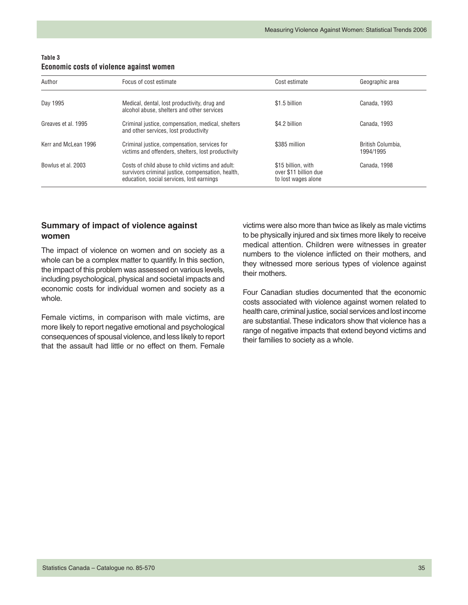| Author               | Focus of cost estimate                                                                                                                             | Cost estimate                                                      | Geographic area                |
|----------------------|----------------------------------------------------------------------------------------------------------------------------------------------------|--------------------------------------------------------------------|--------------------------------|
| Day 1995             | Medical, dental, lost productivity, drug and<br>alcohol abuse, shelters and other services                                                         | \$1.5 billion                                                      | Canada, 1993                   |
| Greaves et al. 1995  | Criminal justice, compensation, medical, shelters<br>and other services, lost productivity                                                         | \$4.2 billion                                                      | Canada, 1993                   |
| Kerr and McLean 1996 | Criminal justice, compensation, services for<br>victims and offenders, shelters, lost productivity                                                 | \$385 million                                                      | British Columbia.<br>1994/1995 |
| Bowlus et al. 2003   | Costs of child abuse to child victims and adult:<br>survivors criminal justice, compensation, health,<br>education, social services, lost earnings | \$15 billion, with<br>over \$11 billion due<br>to lost wages alone | Canada, 1998                   |

#### <span id="page-34-0"></span>**Table 3 Economic costs of violence against women**

### **Summary of impact of violence against women**

The impact of violence on women and on society as a whole can be a complex matter to quantify. In this section, the impact of this problem was assessed on various levels, including psychological, physical and societal impacts and economic costs for individual women and society as a whole.

Female victims, in comparison with male victims, are more likely to report negative emotional and psychological consequences of spousal violence, and less likely to report that the assault had little or no effect on them. Female victims were also more than twice as likely as male victims to be physically injured and six times more likely to receive medical attention. Children were witnesses in greater numbers to the violence inflicted on their mothers, and they witnessed more serious types of violence against their mothers.

Four Canadian studies documented that the economic costs associated with violence against women related to health care, criminal justice, social services and lost income are substantial. These indicators show that violence has a range of negative impacts that extend beyond victims and their families to society as a whole.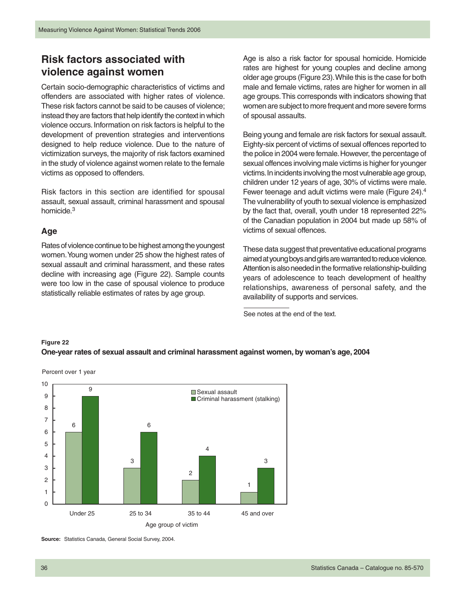### <span id="page-35-0"></span>**Risk factors associated with violence against women**

Certain socio-demographic characteristics of victims and offenders are associated with higher rates of violence. These risk factors cannot be said to be causes of violence; instead they are factors that help identify the context in which violence occurs. Information on risk factors is helpful to the development of prevention strategies and interventions designed to help reduce violence. Due to the nature of victimization surveys, the majority of risk factors examined in the study of violence against women relate to the female victims as opposed to offenders.

Risk factors in this section are identified for spousal assault, sexual assault, criminal harassment and spousal homicide.3

#### **Age**

Rates of violence continue to be highest among the youngest women. Young women under 25 show the highest rates of sexual assault and criminal harassment, and these rates decline with increasing age (Figure 22). Sample counts were too low in the case of spousal violence to produce statistically reliable estimates of rates by age group.

Age is also a risk factor for spousal homicide. Homicide rates are highest for young couples and decline among older age groups (Figure 23). While this is the case for both male and female victims, rates are higher for women in all age groups. This corresponds with indicators showing that women are subject to more frequent and more severe forms of spousal assaults.

Being young and female are risk factors for sexual assault. Eighty-six percent of victims of sexual offences reported to the police in 2004 were female. However, the percentage of sexual offences involving male victims is higher for younger victims. In incidents involving the most vulnerable age group, children under 12 years of age, 30% of victims were male. Fewer teenage and adult victims were male (Figure 24).4 The vulnerability of youth to sexual violence is emphasized by the fact that, overall, youth under 18 represented 22% of the Canadian population in 2004 but made up 58% of victims of sexual offences.

These data suggest that preventative educational programs aimed at young boys and girls are warranted to reduce violence. Attention is also needed in the formative relationship-building years of adolescence to teach development of healthy relationships, awareness of personal safety, and the availability of supports and services.

See notes at the end of the text.

#### **Figure 22 One-year rates of sexual assault and criminal harassment against women, by woman's age, 2004**



Percent over 1 year

**Source:** Statistics Canada, General Social Survey, 2004.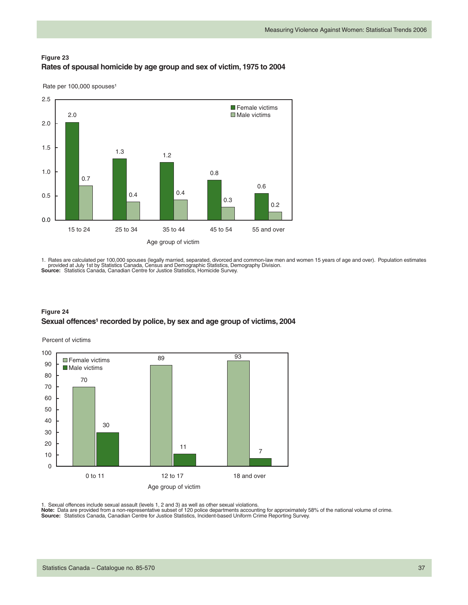### **Figure 23 Rates of spousal homicide by age group and sex of victim, 1975 to 2004**

Rate per 100,000 spouses<sup>1</sup>



1. Rates are calculated per 100,000 spouses (legally married, separated, divorced and common-law men and women 15 years of age and over). Population estimates<br>- provided at July 1st by Statistics Canada, Census and Demogra

## **Figure 24** Sexual offences<sup>1</sup> recorded by police, by sex and age group of victims, 2004

Percent of victims



1. Sexual offences include sexual assault (levels 1, 2 and 3) as well as other sexual violations.<br>**Note:** Data are provided from a non-representative subset of 120 police departments accounting for approximately 58% of the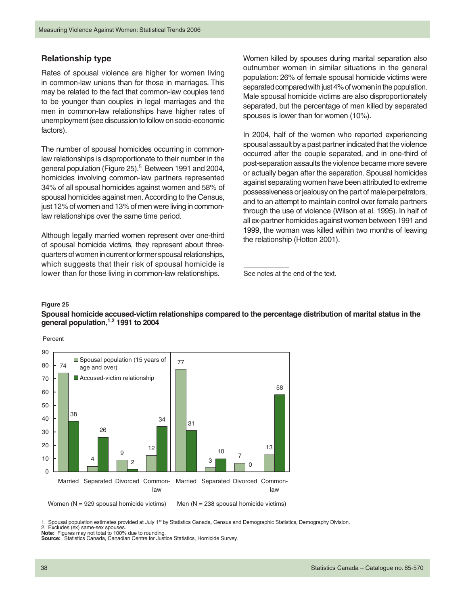## **Relationship type**

Rates of spousal violence are higher for women living in common-law unions than for those in marriages. This may be related to the fact that common-law couples tend to be younger than couples in legal marriages and the men in common-law relationships have higher rates of unemployment (see discussion to follow on socio-economic factors).

The number of spousal homicides occurring in commonlaw relationships is disproportionate to their number in the general population (Figure 25).<sup>5</sup> Between 1991 and 2004, homicides involving common-law partners represented 34% of all spousal homicides against women and 58% of spousal homicides against men. According to the Census, just 12% of women and 13% of men were living in commonlaw relationships over the same time period.

Although legally married women represent over one-third of spousal homicide victims, they represent about threequarters of women in current or former spousal relationships, which suggests that their risk of spousal homicide is lower than for those living in common-law relationships.

Women killed by spouses during marital separation also outnumber women in similar situations in the general population: 26% of female spousal homicide victims were separated compared with just 4% of women in the population. Male spousal homicide victims are also disproportionately separated, but the percentage of men killed by separated spouses is lower than for women (10%).

In 2004, half of the women who reported experiencing spousal assault by a past partner indicated that the violence occurred after the couple separated, and in one-third of post-separation assaults the violence became more severe or actually began after the separation. Spousal homicides against separating women have been attributed to extreme possessiveness or jealousy on the part of male perpetrators, and to an attempt to maintain control over female partners through the use of violence (Wilson et al. 1995). In half of all ex-partner homicides against women between 1991 and 1999, the woman was killed within two months of leaving the relationship (Hotton 2001).

See notes at the end of the text.

#### **Figure 25**



Percent



Women ( $N = 929$  spousal homicide victims) Men ( $N = 238$  spousal homicide victims)

1. Spousal population estimates provided at July 1<sup>st</sup> by Statistics Canada, Census and Demographic Statistics, Demography Division.

2. Excludes (ex) same-sex spouses.

**Note:** Figures may not total to 100% due to rounding. **Source:** Statistics Canada, Canadian Centre for Justice Statistics, Homicide Survey.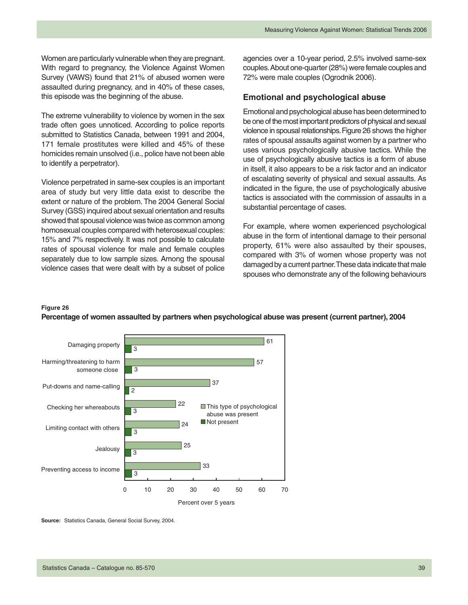Women are particularly vulnerable when they are pregnant. With regard to pregnancy, the Violence Against Women Survey (VAWS) found that 21% of abused women were assaulted during pregnancy, and in 40% of these cases, this episode was the beginning of the abuse.

The extreme vulnerability to violence by women in the sex trade often goes unnoticed. According to police reports submitted to Statistics Canada, between 1991 and 2004, 171 female prostitutes were killed and 45% of these homicides remain unsolved (i.e., police have not been able to identify a perpetrator).

Violence perpetrated in same-sex couples is an important area of study but very little data exist to describe the extent or nature of the problem. The 2004 General Social Survey (GSS) inquired about sexual orientation and results showed that spousal violence was twice as common among homosexual couples compared with heterosexual couples: 15% and 7% respectively. It was not possible to calculate rates of spousal violence for male and female couples separately due to low sample sizes. Among the spousal violence cases that were dealt with by a subset of police

agencies over a 10-year period, 2.5% involved same-sex couples. About one-quarter (28%) were female couples and 72% were male couples (Ogrodnik 2006).

## **Emotional and psychological abuse**

Emotional and psychological abuse has been determined to be one of the most important predictors of physical and sexual violence in spousal relationships. Figure 26 shows the higher rates of spousal assaults against women by a partner who uses various psychologically abusive tactics. While the use of psychologically abusive tactics is a form of abuse in itself, it also appears to be a risk factor and an indicator of escalating severity of physical and sexual assaults. As indicated in the figure, the use of psychologically abusive tactics is associated with the commission of assaults in a substantial percentage of cases.

For example, where women experienced psychological abuse in the form of intentional damage to their personal property, 61% were also assaulted by their spouses, compared with 3% of women whose property was not damaged by a current partner. These data indicate that male spouses who demonstrate any of the following behaviours

#### **Figure 26 Percentage of women assaulted by partners when psychological abuse was present (current partner), 2004**



**Source:** Statistics Canada, General Social Survey, 2004.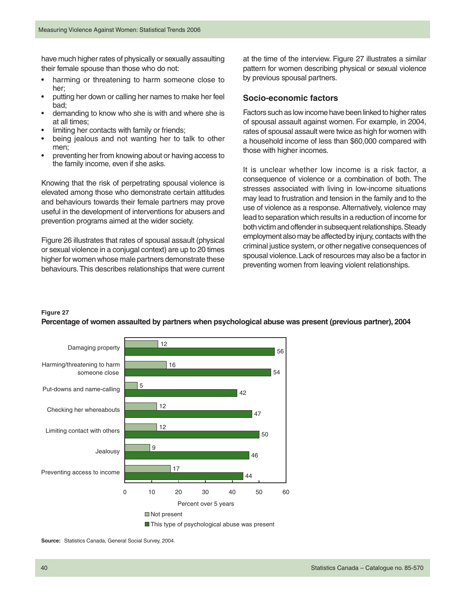have much higher rates of physically or sexually assaulting their female spouse than those who do not:

- harming or threatening to harm someone close to her;
- putting her down or calling her names to make her feel bad;
- demanding to know who she is with and where she is at all times;
- limiting her contacts with family or friends;
- being jealous and not wanting her to talk to other men;
- preventing her from knowing about or having access to the family income, even if she asks.

Knowing that the risk of perpetrating spousal violence is elevated among those who demonstrate certain attitudes and behaviours towards their female partners may prove useful in the development of interventions for abusers and prevention programs aimed at the wider society.

Figure 26 illustrates that rates of spousal assault (physical or sexual violence in a conjugal context) are up to 20 times higher for women whose male partners demonstrate these behaviours. This describes relationships that were current at the time of the interview. Figure 27 illustrates a similar pattern for women describing physical or sexual violence by previous spousal partners.

## **Socio-economic factors**

Factors such as low income have been linked to higher rates of spousal assault against women. For example, in 2004, rates of spousal assault were twice as high for women with a household income of less than \$60,000 compared with those with higher incomes.

It is unclear whether low income is a risk factor, a consequence of violence or a combination of both. The stresses associated with living in low-income situations may lead to frustration and tension in the family and to the use of violence as a response. Alternatively, violence may lead to separation which results in a reduction of income for both victim and offender in subsequent relationships. Steady employment also may be affected by injury, contacts with the criminal justice system, or other negative consequences of spousal violence. Lack of resources may also be a factor in preventing women from leaving violent relationships.

#### **Figure 27**



## **Percentage of women assaulted by partners when psychological abuse was present (previous partner), 2004**

**Source:** Statistics Canada, General Social Survey, 2004.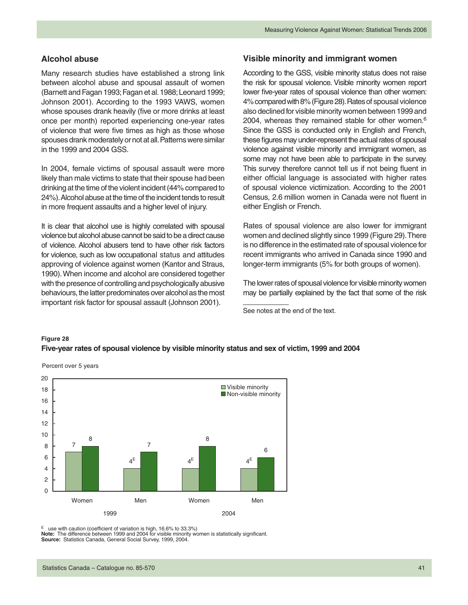## **Alcohol abuse**

Many research studies have established a strong link between alcohol abuse and spousal assault of women (Barnett and Fagan 1993; Fagan et al. 1988; Leonard 1999; Johnson 2001). According to the 1993 VAWS, women whose spouses drank heavily (five or more drinks at least once per month) reported experiencing one-year rates of violence that were five times as high as those whose spouses drank moderately or not at all. Patterns were similar in the 1999 and 2004 GSS.

In 2004, female victims of spousal assault were more likely than male victims to state that their spouse had been drinking at the time of the violent incident (44% compared to 24%). Alcohol abuse at the time of the incident tends to result in more frequent assaults and a higher level of injury.

It is clear that alcohol use is highly correlated with spousal violence but alcohol abuse cannot be said to be a direct cause of violence. Alcohol abusers tend to have other risk factors for violence, such as low occupational status and attitudes approving of violence against women (Kantor and Straus, 1990). When income and alcohol are considered together with the presence of controlling and psychologically abusive behaviours, the latter predominates over alcohol as the most important risk factor for spousal assault (Johnson 2001).

## **Visible minority and immigrant women**

According to the GSS, visible minority status does not raise the risk for spousal violence. Visible minority women report lower five-year rates of spousal violence than other women: 4% compared with 8% (Figure 28). Rates of spousal violence also declined for visible minority women between 1999 and 2004, whereas they remained stable for other women.<sup>6</sup> Since the GSS is conducted only in English and French, these figures may under-represent the actual rates of spousal violence against visible minority and immigrant women, as some may not have been able to participate in the survey. This survey therefore cannot tell us if not being fluent in either official language is associated with higher rates of spousal violence victimization. According to the 2001 Census, 2.6 million women in Canada were not fluent in either English or French.

Rates of spousal violence are also lower for immigrant women and declined slightly since 1999 (Figure 29). There is no difference in the estimated rate of spousal violence for recent immigrants who arrived in Canada since 1990 and longer-term immigrants (5% for both groups of women).

The lower rates of spousal violence for visible minority women may be partially explained by the fact that some of the risk

See notes at the end of the text.

## **Figure 28 Five-year rates of spousal violence by visible minority status and sex of victim, 1999 and 2004**



Percent over 5 years

use with caution (coefficient of variation is high, 16.6% to 33.3%)

Note: The difference between 1999 and 2004 for visible minority women is statistically significant. **Source:** Statistics Canada, General Social Survey, 1999, 2004.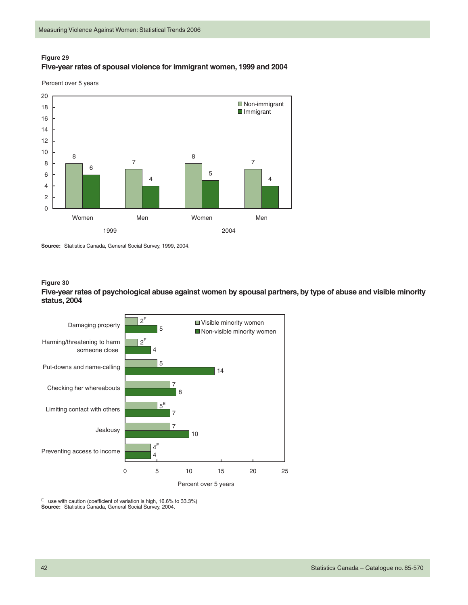

Percent over 5 years



**Source:** Statistics Canada, General Social Survey, 1999, 2004.

#### **Figure 30**

**Five-year rates of psychological abuse against women by spousal partners, by type of abuse and visible minority status, 2004**



<sup>E</sup> use with caution (coefficient of variation is high, 16.6% to 33.3%)<br>**Source:** Statistics Canada, General Social Survey, 2004.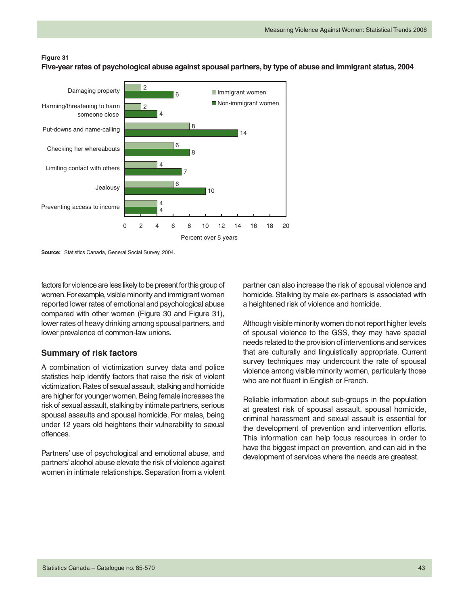**Five-year rates of psychological abuse against spousal partners, by type of abuse and immigrant status, 2004**



**Source:** Statistics Canada, General Social Survey, 2004.

factors for violence are less likely to be present for this group of women. For example, visible minority and immigrant women reported lower rates of emotional and psychological abuse compared with other women (Figure 30 and Figure 31), lower rates of heavy drinking among spousal partners, and lower prevalence of common-law unions.

#### **Summary of risk factors**

A combination of victimization survey data and police statistics help identify factors that raise the risk of violent victimization. Rates of sexual assault, stalking and homicide are higher for younger women. Being female increases the risk of sexual assault, stalking by intimate partners, serious spousal assaults and spousal homicide. For males, being under 12 years old heightens their vulnerability to sexual offences.

Partners' use of psychological and emotional abuse, and partners' alcohol abuse elevate the risk of violence against women in intimate relationships. Separation from a violent partner can also increase the risk of spousal violence and homicide. Stalking by male ex-partners is associated with a heightened risk of violence and homicide.

Although visible minority women do not report higher levels of spousal violence to the GSS, they may have special needs related to the provision of interventions and services that are culturally and linguistically appropriate. Current survey techniques may undercount the rate of spousal violence among visible minority women, particularly those who are not fluent in English or French.

Reliable information about sub-groups in the population at greatest risk of spousal assault, spousal homicide, criminal harassment and sexual assault is essential for the development of prevention and intervention efforts. This information can help focus resources in order to have the biggest impact on prevention, and can aid in the development of services where the needs are greatest.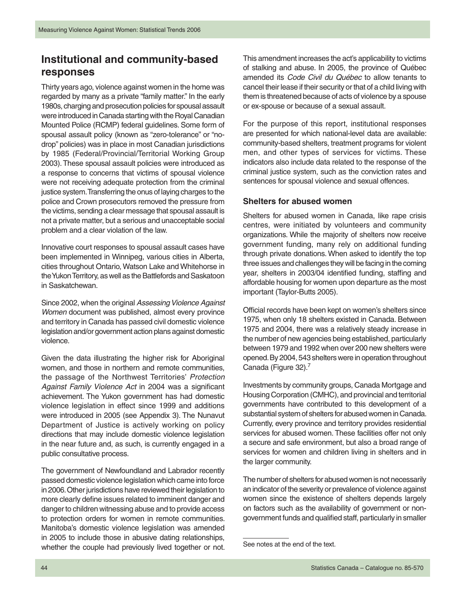# **Institutional and community-based responses**

Thirty years ago, violence against women in the home was regarded by many as a private "family matter." In the early 1980s, charging and prosecution policies for spousal assault were introduced in Canada starting with the Royal Canadian Mounted Police (RCMP) federal guidelines. Some form of spousal assault policy (known as "zero-tolerance" or "nodrop" policies) was in place in most Canadian jurisdictions by 1985 (Federal/Provincial/Territorial Working Group 2003). These spousal assault policies were introduced as a response to concerns that victims of spousal violence were not receiving adequate protection from the criminal justice system. Transferring the onus of laying charges to the police and Crown prosecutors removed the pressure from the victims, sending a clear message that spousal assault is not a private matter, but a serious and unacceptable social problem and a clear violation of the law.

Innovative court responses to spousal assault cases have been implemented in Winnipeg, various cities in Alberta, cities throughout Ontario, Watson Lake and Whitehorse in the Yukon Territory, as well as the Battlefords and Saskatoon in Saskatchewan.

Since 2002, when the original *Assessing Violence Against Women* document was published, almost every province and territory in Canada has passed civil domestic violence legislation and/or government action plans against domestic violence.

Given the data illustrating the higher risk for Aboriginal women, and those in northern and remote communities, the passage of the Northwest Territories' *Protection*  Against Family Violence Act in 2004 was a significant achievement. The Yukon government has had domestic violence legislation in effect since 1999 and additions were introduced in 2005 (see Appendix 3). The Nunavut Department of Justice is actively working on policy directions that may include domestic violence legislation in the near future and, as such, is currently engaged in a public consultative process.

The government of Newfoundland and Labrador recently passed domestic violence legislation which came into force in 2006. Other jurisdictions have reviewed their legislation to more clearly define issues related to imminent danger and danger to children witnessing abuse and to provide access to protection orders for women in remote communities. Manitoba's domestic violence legislation was amended in 2005 to include those in abusive dating relationships, whether the couple had previously lived together or not.

This amendment increases the act's applicability to victims of stalking and abuse. In 2005, the province of Québec amended its *Code Civil du Québec* to allow tenants to cancel their lease if their security or that of a child living with them is threatened because of acts of violence by a spouse or ex-spouse or because of a sexual assault.

For the purpose of this report, institutional responses are presented for which national-level data are available: community-based shelters, treatment programs for violent men, and other types of services for victims. These indicators also include data related to the response of the criminal justice system, such as the conviction rates and sentences for spousal violence and sexual offences.

## **Shelters for abused women**

Shelters for abused women in Canada, like rape crisis centres, were initiated by volunteers and community organizations. While the majority of shelters now receive government funding, many rely on additional funding through private donations. When asked to identify the top three issues and challenges they will be facing in the coming year, shelters in 2003/04 identified funding, staffing and affordable housing for women upon departure as the most important (Taylor-Butts 2005).

Official records have been kept on women's shelters since 1975, when only 18 shelters existed in Canada. Between 1975 and 2004, there was a relatively steady increase in the number of new agencies being established, particularly between 1979 and 1992 when over 200 new shelters were opened. By 2004, 543 shelters were in operation throughout Canada (Figure 32).7

Investments by community groups, Canada Mortgage and Housing Corporation (CMHC), and provincial and territorial governments have contributed to this development of a substantial system of shelters for abused women in Canada. Currently, every province and territory provides residential services for abused women. These facilities offer not only a secure and safe environment, but also a broad range of services for women and children living in shelters and in the larger community.

The number of shelters for abused women is not necessarily an indicator of the severity or prevalence of violence against women since the existence of shelters depends largely on factors such as the availability of government or nongovernment funds and qualified staff, particularly in smaller

See notes at the end of the text.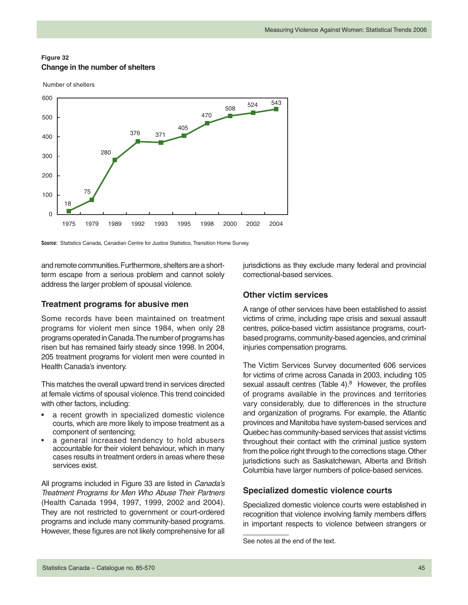### **Figure 32 Change in the number of shelters**

Number of shelters



**Source:** Statistics Canada, Canadian Centre for Justice Statistics, Transition Home Survey.

and remote communities. Furthermore, shelters are a shortterm escape from a serious problem and cannot solely address the larger problem of spousal violence.

### **Treatment programs for abusive men**

Some records have been maintained on treatment programs for violent men since 1984, when only 28 programs operated in Canada. The number of programs has risen but has remained fairly steady since 1998. In 2004, 205 treatment programs for violent men were counted in Health Canada's inventory.

This matches the overall upward trend in services directed at female victims of spousal violence. This trend coincided with other factors, including:

- a recent growth in specialized domestic violence courts, which are more likely to impose treatment as a component of sentencing;
- a general increased tendency to hold abusers accountable for their violent behaviour, which in many cases results in treatment orders in areas where these services exist.

All programs included in Figure 33 are listed in *Canada's Treatment Programs for Men Who Abuse Their Partners* (Health Canada 1994, 1997, 1999, 2002 and 2004). They are not restricted to government or court-ordered programs and include many community-based programs. However, these figures are not likely comprehensive for all

jurisdictions as they exclude many federal and provincial correctional-based services.

## **Other victim services**

A range of other services have been established to assist victims of crime, including rape crisis and sexual assault centres, police-based victim assistance programs, courtbased programs, community-based agencies, and criminal injuries compensation programs.

The Victim Services Survey documented 606 services for victims of crime across Canada in 2003, including 105 sexual assault centres (Table 4). $8$  However, the profiles of programs available in the provinces and territories vary considerably, due to differences in the structure and organization of programs. For example, the Atlantic provinces and Manitoba have system-based services and Quebec has community-based services that assist victims throughout their contact with the criminal justice system from the police right through to the corrections stage. Other jurisdictions such as Saskatchewan, Alberta and British Columbia have larger numbers of police-based services.

### **Specialized domestic violence courts**

Specialized domestic violence courts were established in recognition that violence involving family members differs in important respects to violence between strangers or

See notes at the end of the text.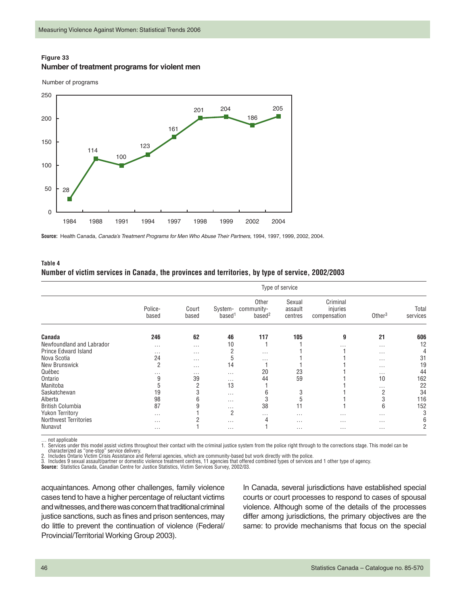

Number of programs



**Source:** Health Canada, *Canada's Treatment Programs for Men Who Abuse Their Partners*, 1994, 1997, 1999, 2002, 2004.

## **Table 4 Number of victim services in Canada, the provinces and territories, by type of service, 2002/2003**

|                              | Type of service  |                |                               |                                           |                              |                                      |                    |                   |  |
|------------------------------|------------------|----------------|-------------------------------|-------------------------------------------|------------------------------|--------------------------------------|--------------------|-------------------|--|
|                              | Police-<br>based | Court<br>based | System-<br>based <sup>1</sup> | Other<br>community-<br>based <sup>2</sup> | Sexual<br>assault<br>centres | Criminal<br>injuries<br>compensation | Other <sup>3</sup> | Total<br>services |  |
| Canada                       | 246              | 62             | 46                            | 117                                       | 105                          | 9                                    | 21                 | 606               |  |
| Newfoundland and Labrador    | $\cdots$         | $\cdots$       | 10                            |                                           |                              | .                                    | $\cdots$           | 12                |  |
| <b>Prince Edward Island</b>  | $\cdots$         | $\cdots$       |                               | $\cdots$                                  |                              |                                      | $\cdots$           |                   |  |
| Nova Scotia                  | 24               | $\cdots$       | b                             | $\cdots$                                  |                              |                                      | $\cdots$           | 31                |  |
| <b>New Brunswick</b>         | 2                | $\cdots$       | 14                            |                                           |                              |                                      | $\cdots$           | 19                |  |
| Québec                       | $\cdots$         | $\cdots$       | $\cdots$                      | 20                                        | 23                           |                                      | $\cdots$           | 44                |  |
| Ontario                      | 9                | 39             | $\cdots$                      | 44                                        | 59                           |                                      | 10                 | 162               |  |
| Manitoba                     | 5                | 2              | 13                            |                                           |                              |                                      | .                  | 22                |  |
| Saskatchewan                 | 19               | 3              | $\cdots$                      | 6                                         | 3                            |                                      | $\overline{2}$     | 34                |  |
| Alberta                      | 98               | 6              | $\cdots$                      | 3                                         | 5                            |                                      | 3                  | 116               |  |
| <b>British Columbia</b>      | 87               | 9              | $\cdots$                      | 38                                        | 11                           |                                      | 6                  | 152               |  |
| <b>Yukon Territory</b>       | $\cdots$         |                | C<br>∠                        | $\cdots$                                  | .                            | $\cdots$                             | $\cdots$           |                   |  |
| <b>Northwest Territories</b> | $\cdots$         |                | $\cdots$                      | 4                                         | .                            | $\cdots$                             | .                  |                   |  |
| Nunavut                      | $\cdots$         |                | $\cdots$                      |                                           | .                            | $\cdots$                             | $\cdots$           |                   |  |

… not applicable

1. Services under this model assist victims throughout their contact with the criminal justice system from the police right through to the corrections stage. This model can be characterized as "one-stop" service delivery. 2. Includes Ontario Victim Crisis Assistance and Referral agencies, which are community-based but work directly with the police.

3. Includes 9 sexual assault/partner or domestic violence treatment centres, 11 agencies that offered combined types of services and 1 other type of agency.

**Source:** Statistics Canada, Canadian Centre for Justice Statistics, Victim Services Survey, 2002/03.

acquaintances. Among other challenges, family violence cases tend to have a higher percentage of reluctant victims and witnesses, and there was concern that traditional criminal justice sanctions, such as fines and prison sentences, may do little to prevent the continuation of violence (Federal/ Provincial/Territorial Working Group 2003).

In Canada, several jurisdictions have established special courts or court processes to respond to cases of spousal violence. Although some of the details of the processes differ among jurisdictions, the primary objectives are the same: to provide mechanisms that focus on the special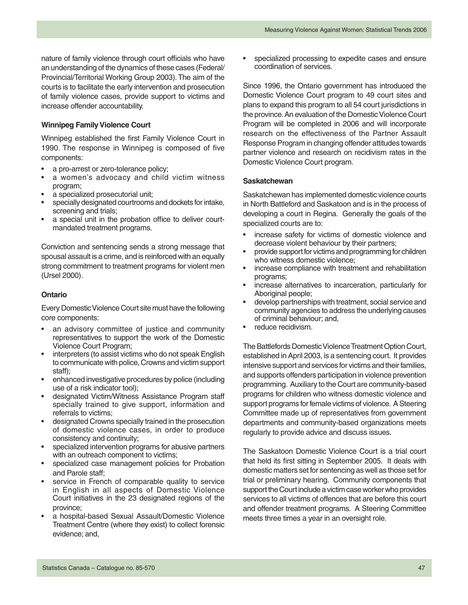nature of family violence through court officials who have an understanding of the dynamics of these cases (Federal/ Provincial/Territorial Working Group 2003). The aim of the courts is to facilitate the early intervention and prosecution of family violence cases, provide support to victims and increase offender accountability.

#### **Winnipeg Family Violence Court**

Winnipeg established the first Family Violence Court in 1990. The response in Winnipeg is composed of five components:

- a pro-arrest or zero-tolerance policy;
- a women's advocacy and child victim witness program;
- a specialized prosecutorial unit;
- specially designated courtrooms and dockets for intake, screening and trials;
- a special unit in the probation office to deliver courtmandated treatment programs.

Conviction and sentencing sends a strong message that spousal assault is a crime, and is reinforced with an equally strong commitment to treatment programs for violent men (Ursel 2000).

### **Ontario**

Every Domestic Violence Court site must have the following core components:

- an advisory committee of justice and community representatives to support the work of the Domestic Violence Court Program;
- interpreters (to assist victims who do not speak English to communicate with police, Crowns and victim support staff);
- enhanced investigative procedures by police (including use of a risk indicator tool);
- designated Victim/Witness Assistance Program staff specially trained to give support, information and referrals to victims;
- designated Crowns specially trained in the prosecution of domestic violence cases, in order to produce consistency and continuity;
- specialized intervention programs for abusive partners with an outreach component to victims;
- specialized case management policies for Probation and Parole staff;
- service in French of comparable quality to service in English in all aspects of Domestic Violence Court initiatives in the 23 designated regions of the province;
- a hospital-based Sexual Assault/Domestic Violence Treatment Centre (where they exist) to collect forensic evidence; and,

specialized processing to expedite cases and ensure coordination of services.

Since 1996, the Ontario government has introduced the Domestic Violence Court program to 49 court sites and plans to expand this program to all 54 court jurisdictions in the province. An evaluation of the Domestic Violence Court Program will be completed in 2006 and will incorporate research on the effectiveness of the Partner Assault Response Program in changing offender attitudes towards partner violence and research on recidivism rates in the Domestic Violence Court program.

#### **Saskatchewan**

Saskatchewan has implemented domestic violence courts in North Battleford and Saskatoon and is in the process of developing a court in Regina. Generally the goals of the specialized courts are to:

- increase safety for victims of domestic violence and decrease violent behaviour by their partners;
- provide support for victims and programming for children who witness domestic violence;
- increase compliance with treatment and rehabilitation programs;
- increase alternatives to incarceration, particularly for Aboriginal people;
- develop partnerships with treatment, social service and community agencies to address the underlying causes of criminal behaviour; and,
- reduce recidivism.

The Battlefords Domestic Violence Treatment Option Court, established in April 2003, is a sentencing court. It provides intensive support and services for victims and their families, and supports offenders participation in violence prevention programming. Auxiliary to the Court are community-based programs for children who witness domestic violence and support programs for female victims of violence. A Steering Committee made up of representatives from government departments and community-based organizations meets regularly to provide advice and discuss issues.

The Saskatoon Domestic Violence Court is a trial court that held its first sitting in September 2005. It deals with domestic matters set for sentencing as well as those set for trial or preliminary hearing. Community components that support the Court include a victim case worker who provides services to all victims of offences that are before this court and offender treatment programs. A Steering Committee meets three times a year in an oversight role.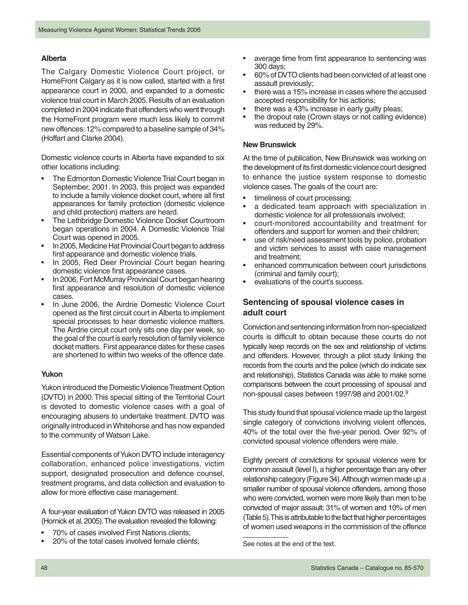## **Alberta**

The Calgary Domestic Violence Court project, or HomeFront Calgary as it is now called, started with a first appearance court in 2000, and expanded to a domestic violence trial court in March 2005. Results of an evaluation completed in 2004 indicate that offenders who went through the HomeFront program were much less likely to commit new offences: 12% compared to a baseline sample of 34% (Hoffart and Clarke 2004).

Domestic violence courts in Alberta have expanded to six other locations including:

- The Edmonton Domestic Violence Trial Court began in September, 2001. In 2003, this project was expanded to include a family violence docket court, where all first appearances for family protection (domestic violence and child protection) matters are heard.
- The Lethbridge Domestic Violence Docket Courtroom began operations in 2004. A Domestic Violence Trial Court was opened in 2005.
- In 2005, Medicine Hat Provincial Court began to address first appearance and domestic violence trials.
- In 2005. Red Deer Provincial Court began hearing domestic violence first appearance cases.
- In 2006, Fort McMurray Provincial Court began hearing first appearance and resolution of domestic violence cases.
- In June 2006, the Airdrie Domestic Violence Court opened as the first circuit court in Alberta to implement special processes to hear domestic violence matters. The Airdrie circuit court only sits one day per week, so the goal of the court is early resolution of family violence docket matters. First appearance dates for these cases are shortened to within two weeks of the offence date.

## **Yukon**

Yukon introduced the Domestic Violence Treatment Option (DVTO) in 2000. This special sitting of the Territorial Court is devoted to domestic violence cases with a goal of encouraging abusers to undertake treatment. DVTO was originally introduced in Whitehorse and has now expanded to the community of Watson Lake.

Essential components of Yukon DVTO include interagency collaboration, enhanced police investigations, victim support, designated prosecution and defence counsel, treatment programs, and data collection and evaluation to allow for more effective case management.

A four-year evaluation of Yukon DVTO was released in 2005 (Hornick et al. 2005). The evaluation revealed the following:

- 70% of cases involved First Nations clients;
- 20% of the total cases involved female clients;
- average time from first appearance to sentencing was 300 days;
- 60% of DVTO clients had been convicted of at least one assault previously;
- there was a 15% increase in cases where the accused accepted responsibility for his actions;
- there was a 43% increase in early quilty pleas;
- the dropout rate (Crown stays or not calling evidence) was reduced by 29%.

## **New Brunswick**

At the time of publication, New Brunswick was working on the development of its first domestic violence court designed to enhance the justice system response to domestic violence cases. The goals of the court are:

- timeliness of court processing;<br>• a dedicated team approach
- a dedicated team approach with specialization in domestic violence for all professionals involved;
- court-monitored accountability and treatment for offenders and support for women and their children;
- use of risk/need assessment tools by police, probation and victim services to assist with case management and treatment;
- enhanced communication between court jurisdictions (criminal and family court);
- evaluations of the court's success.

## **Sentencing of spousal violence cases in adult court**

Conviction and sentencing information from non-specialized courts is difficult to obtain because these courts do not typically keep records on the sex and relationship of victims and offenders. However, through a pilot study linking the records from the courts and the police (which do indicate sex and relationship), Statistics Canada was able to make some comparisons between the court processing of spousal and non-spousal cases between 1997/98 and 2001/02.9

This study found that spousal violence made up the largest single category of convictions involving violent offences, 40% of the total over the five-year period. Over 92% of convicted spousal violence offenders were male.

Eighty percent of convictions for spousal violence were for common assault (level I), a higher percentage than any other relationship category (Figure 34). Although women made up a smaller number of spousal violence offenders, among those who were convicted, women were more likely than men to be convicted of major assault: 31% of women and 10% of men (Table 5). This is attributable to the fact that higher percentages of women used weapons in the commission of the offence

See notes at the end of the text.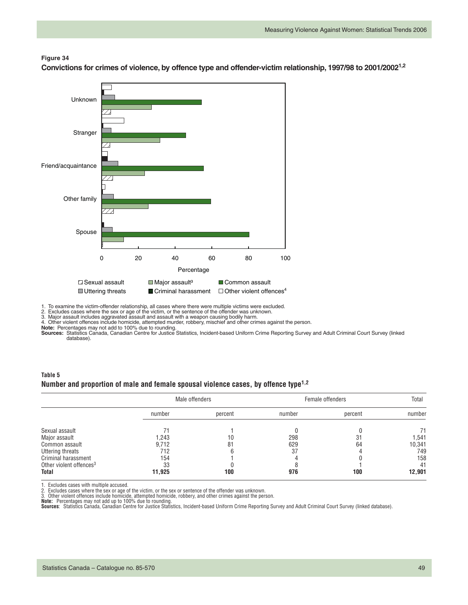**Convictions for crimes of violence, by offence type and offender-victim relationship, 1997/98 to 2001/20021,2**



1. To examine the victim-offender relationship, all cases where there were multiple victims were excluded.<br>2. Excludes cases where the sex or age of the victim, or the sentence of the offender was unknown.<br>3. Major assault

**Note:** Percentages may not add to 100% due to rounding. **Sources:** Statistics Canada, Canadian Centre for Justice Statistics, Incident-based Uniform Crime Reporting Survey and Adult Criminal Court Survey (linked database).

| Table 5 |  |                                                                                                 |  |  |
|---------|--|-------------------------------------------------------------------------------------------------|--|--|
|         |  | Number and proportion of male and female spousal violence cases, by offence type <sup>1,2</sup> |  |  |

|                                     |        | Male offenders |        | Female offenders |        |  |
|-------------------------------------|--------|----------------|--------|------------------|--------|--|
|                                     | number | percent        | number | percent          | number |  |
| Sexual assault                      | 71     |                |        |                  | 71     |  |
| Major assault                       | .243   |                | 298    | 31               | 1,541  |  |
| Common assault                      | 9,712  | 81             | 629    | 64               | 10,341 |  |
| <b>Uttering threats</b>             | 712    |                | 37     |                  | 749    |  |
| Criminal harassment                 | 154    |                |        |                  | 158    |  |
| Other violent offences <sup>3</sup> | 33     |                |        |                  | 41     |  |
| Total                               | 11,925 | 100            | 976    | 100              | 12,901 |  |

1. Excludes cases with multiple accused.<br>2. Excludes cases where the sex or age of the victim, or the sex or sentence of the offender was unknown.<br>3. Other violent offences include homicide, attempted homicide, robbery, an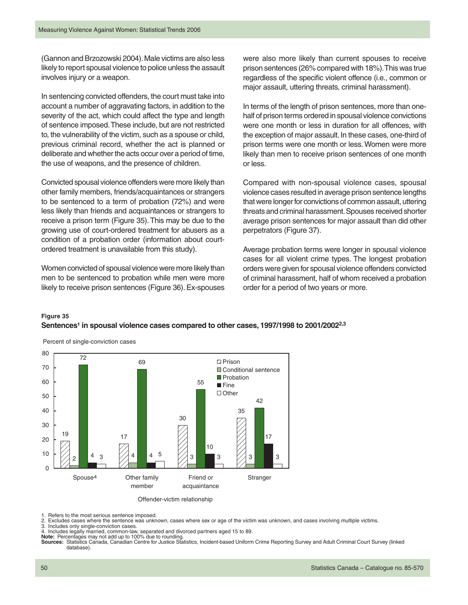(Gannon and Brzozowski 2004). Male victims are also less likely to report spousal violence to police unless the assault involves injury or a weapon.

In sentencing convicted offenders, the court must take into account a number of aggravating factors, in addition to the severity of the act, which could affect the type and length of sentence imposed. These include, but are not restricted to, the vulnerability of the victim, such as a spouse or child, previous criminal record, whether the act is planned or deliberate and whether the acts occur over a period of time, the use of weapons, and the presence of children.

Convicted spousal violence offenders were more likely than other family members, friends/acquaintances or strangers to be sentenced to a term of probation (72%) and were less likely than friends and acquaintances or strangers to receive a prison term (Figure 35). This may be due to the growing use of court-ordered treatment for abusers as a condition of a probation order (information about courtordered treatment is unavailable from this study).

Women convicted of spousal violence were more likely than men to be sentenced to probation while men were more likely to receive prison sentences (Figure 36). Ex-spouses were also more likely than current spouses to receive prison sentences (26% compared with 18%). This was true regardless of the specific violent offence (i.e., common or major assault, uttering threats, criminal harassment).

In terms of the length of prison sentences, more than onehalf of prison terms ordered in spousal violence convictions were one month or less in duration for all offences, with the exception of major assault. In these cases, one-third of prison terms were one month or less. Women were more likely than men to receive prison sentences of one month or less.

Compared with non-spousal violence cases, spousal violence cases resulted in average prison sentence lengths that were longer for convictions of common assault, uttering threats and criminal harassment. Spouses received shorter average prison sentences for major assault than did other perpetrators (Figure 37).

Average probation terms were longer in spousal violence cases for all violent crime types. The longest probation orders were given for spousal violence offenders convicted of criminal harassment, half of whom received a probation order for a period of two years or more.

### **Figure 35** Sentences<sup>1</sup> in spousal violence cases compared to other cases, 1997/1998 to 2001/2002<sup>2,3</sup>



Percent of single-conviction cases

Offender-victim relationship

1. Refers to the most serious sentence imposed.

2. Excludes cases where the sentence was unknown, cases where sex or age of the victim was unknown, and cases involving multiple victims.<br>3. Includes only single-conviction cases.

3. Includes only single-conviction cases.<br>4. Includes legally married, common-law

4. Includes legally married, common-law, separated and divorced partners aged 15 to 89. **Note:** Percentages may not add up to 100% due to rounding.

**Sources:** Statistics Canada, Canadian Centre for Justice Statistics, Incident-based Uniform Crime Reporting Survey and Adult Criminal Court Survey (linked database).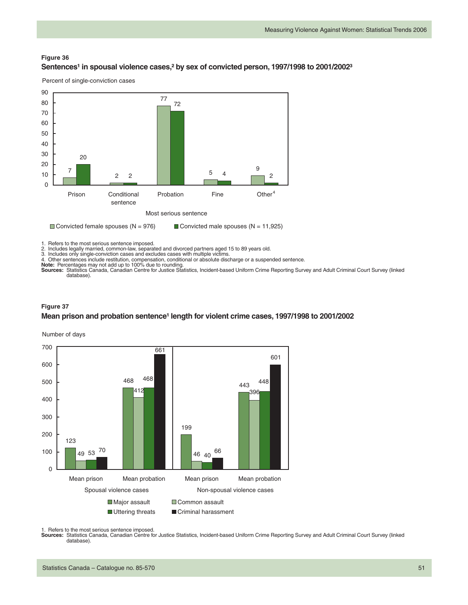

Percent of single-conviction cases



Convicted female spouses ( $N = 976$ ) Convicted male spouses ( $N = 11,925$ )

1. Refers to the most serious sentence imposed.

2. Includes legally married, common-law, separated and divorced partners aged 15 to 89 years old. 3. Includes only single-conviction cases and excludes cases with multiple victims.

4. Other sentences include restitution, compensation, conditional or absolute discharge or a suspended sentence.<br>**Note:** Percentages may not add up to 100% due to rounding.<br>**Sources:** Statistics Canada, Canadian Centre f database).

## **Figure 37** Mean prison and probation sentence<sup>1</sup> length for violent crime cases, 1997/1998 to 2001/2002

Number of days



<sup>1.</sup> Refers to the most serious sentence imposed.

**Sources:** Statistics Canada, Canadian Centre for Justice Statistics, Incident-based Uniform Crime Reporting Survey and Adult Criminal Court Survey (linked database).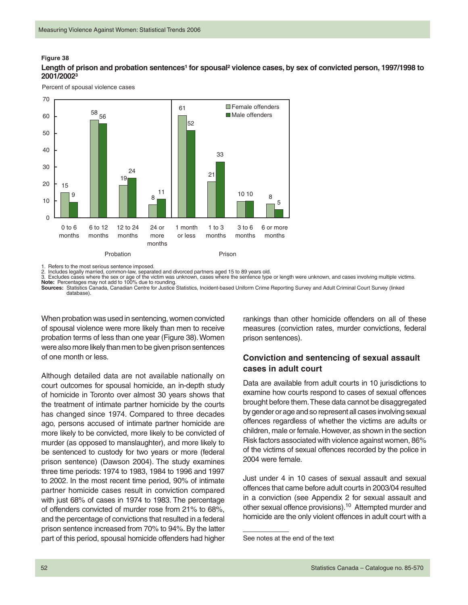### Length of prison and probation sentences<sup>1</sup> for spousal<sup>2</sup> violence cases, by sex of convicted person, 1997/1998 to **2001/2002³**

Percent of spousal violence cases



1. Refers to the most serious sentence imposed.

When probation was used in sentencing, women convicted of spousal violence were more likely than men to receive probation terms of less than one year (Figure 38). Women were also more likely than men to be given prison sentences of one month or less.

Although detailed data are not available nationally on court outcomes for spousal homicide, an in-depth study of homicide in Toronto over almost 30 years shows that the treatment of intimate partner homicide by the courts has changed since 1974. Compared to three decades ago, persons accused of intimate partner homicide are more likely to be convicted, more likely to be convicted of murder (as opposed to manslaughter), and more likely to be sentenced to custody for two years or more (federal prison sentence) (Dawson 2004). The study examines three time periods: 1974 to 1983, 1984 to 1996 and 1997 to 2002. In the most recent time period, 90% of intimate partner homicide cases result in conviction compared with just 68% of cases in 1974 to 1983. The percentage of offenders convicted of murder rose from 21% to 68%, and the percentage of convictions that resulted in a federal prison sentence increased from 70% to 94%. By the latter part of this period, spousal homicide offenders had higher

rankings than other homicide offenders on all of these measures (conviction rates, murder convictions, federal prison sentences).

## **Conviction and sentencing of sexual assault cases in adult court**

Data are available from adult courts in 10 jurisdictions to examine how courts respond to cases of sexual offences brought before them. These data cannot be disaggregated by gender or age and so represent all cases involving sexual offences regardless of whether the victims are adults or children, male or female. However, as shown in the section Risk factors associated with violence against women, 86% of the victims of sexual offences recorded by the police in 2004 were female.

Just under 4 in 10 cases of sexual assault and sexual offences that came before adult courts in 2003/04 resulted in a conviction (see Appendix 2 for sexual assault and other sexual offence provisions).10 Attempted murder and homicide are the only violent offences in adult court with a

<sup>2.</sup> Includes legally married, common-law, separated and divorced partners aged 15 to 89 years old.<br>3. Excludes cases where the sex or age of the victim was unknown, cases where the sentence type or length were unknown, and

**Sources:** Statistics Canada, Canadian Centre for Justice Statistics, Incident-based Uniform Crime Reporting Survey and Adult Criminal Court Survey (linked database).

See notes at the end of the text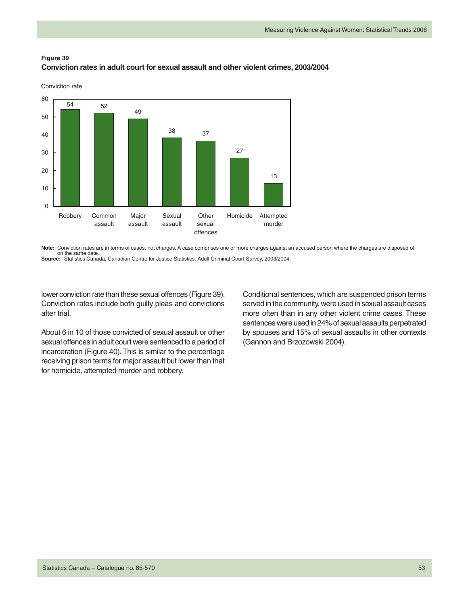

Conviction rate



**Note:** Conviction rates are in terms of cases, not charges. A case comprises one or more charges against an accused person where the charges are disposed of on the same date. **Source:** Statistics Canada, Canadian Centre for Justice Statistics, Adult Criminal Court Survey, 2003/2004.

lower conviction rate than these sexual offences (Figure 39). Conviction rates include both guilty pleas and convictions after trial.

About 6 in 10 of those convicted of sexual assault or other sexual offences in adult court were sentenced to a period of incarceration (Figure 40). This is similar to the percentage receiving prison terms for major assault but lower than that for homicide, attempted murder and robbery.

Conditional sentences, which are suspended prison terms served in the community, were used in sexual assault cases more often than in any other violent crime cases. These sentences were used in 24% of sexual assaults perpetrated by spouses and 15% of sexual assaults in other contexts (Gannon and Brzozowski 2004).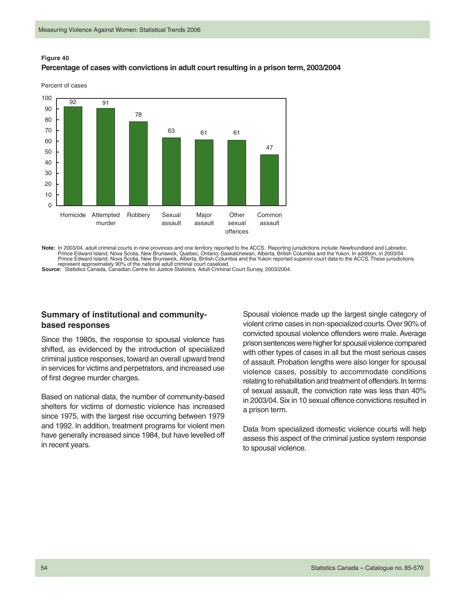

Percent of cases



**Note:** In 2003/04, adult criminal courts in nine provinces and one territory reported to the ACCS. Reporting jurisdictions include: Newfoundland and Labrador, Prince Edward Island, Nova Scotia, New Brunswick, Quebec, Ontario, Saskatchewan, Alberta, British Columbia and the Yukon. In addition, in 2003/04<br>Prince Edward Island, Nova Scotia, New Brunswick, Alberta, British Columbia represent approximately 90% of the national adult criminal court caseload.

**Source:** Statistics Canada, Canadian Centre for Justice Statistics, Adult Criminal Court Survey, 2003/2004.

## **Summary of institutional and communitybased responses**

Since the 1980s, the response to spousal violence has shifted, as evidenced by the introduction of specialized criminal justice responses, toward an overall upward trend in services for victims and perpetrators, and increased use of first degree murder charges.

Based on national data, the number of community-based shelters for victims of domestic violence has increased since 1975, with the largest rise occurring between 1979 and 1992. In addition, treatment programs for violent men have generally increased since 1984, but have levelled off in recent years.

Spousal violence made up the largest single category of violent crime cases in non-specialized courts. Over 90% of convicted spousal violence offenders were male. Average prison sentences were higher for spousal violence compared with other types of cases in all but the most serious cases of assault. Probation lengths were also longer for spousal violence cases, possibly to accommodate conditions relating to rehabilitation and treatment of offenders. In terms of sexual assault, the conviction rate was less than 40% in 2003/04. Six in 10 sexual offence convictions resulted in a prison term.

Data from specialized domestic violence courts will help assess this aspect of the criminal justice system response to spousal violence.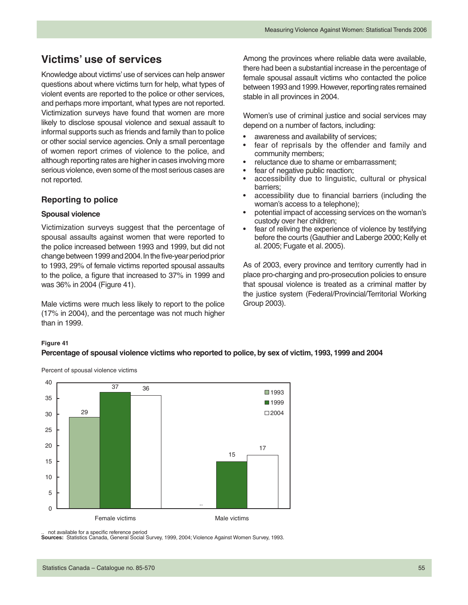# **Victims' use of services**

Knowledge about victims' use of services can help answer questions about where victims turn for help, what types of violent events are reported to the police or other services, and perhaps more important, what types are not reported. Victimization surveys have found that women are more likely to disclose spousal violence and sexual assault to informal supports such as friends and family than to police or other social service agencies. Only a small percentage of women report crimes of violence to the police, and although reporting rates are higher in cases involving more serious violence, even some of the most serious cases are not reported.

## **Reporting to police**

### **Spousal violence**

Victimization surveys suggest that the percentage of spousal assaults against women that were reported to the police increased between 1993 and 1999, but did not change between 1999 and 2004. In the five-year period prior to 1993, 29% of female victims reported spousal assaults to the police, a figure that increased to 37% in 1999 and was 36% in 2004 (Figure 41).

Male victims were much less likely to report to the police (17% in 2004), and the percentage was not much higher than in 1999.

Among the provinces where reliable data were available, there had been a substantial increase in the percentage of female spousal assault victims who contacted the police between 1993 and 1999. However, reporting rates remained stable in all provinces in 2004.

Women's use of criminal justice and social services may depend on a number of factors, including:

- awareness and availability of services;
- fear of reprisals by the offender and family and community members;
- reluctance due to shame or embarrassment;
- fear of negative public reaction;
- accessibility due to linguistic, cultural or physical barriers;
- accessibility due to financial barriers (including the woman's access to a telephone);
- potential impact of accessing services on the woman's custody over her children;
- fear of reliving the experience of violence by testifying before the courts (Gauthier and Laberge 2000; Kelly et al. 2005; Fugate et al. 2005).

As of 2003, every province and territory currently had in place pro-charging and pro-prosecution policies to ensure that spousal violence is treated as a criminal matter by the justice system (Federal/Provincial/Territorial Working Group 2003).

## **Figure 41**

### **Percentage of spousal violence victims who reported to police, by sex of victim, 1993, 1999 and 2004**



Percent of spousal violence victims

not available for a specific reference period

**Sources:** Statistics Canada, General Social Survey, 1999, 2004; Violence Against Women Survey, 1993.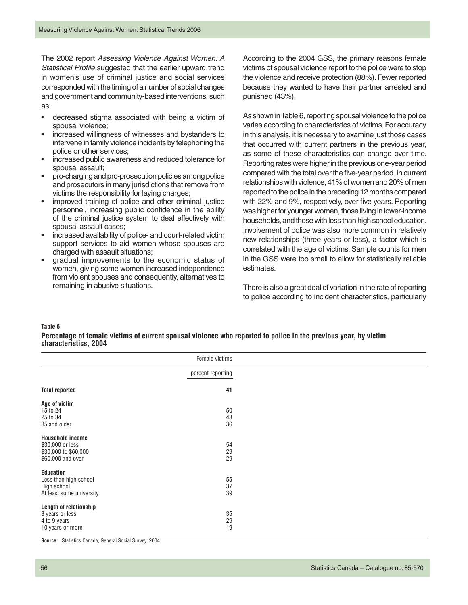The 2002 report *Assessing Violence Against Women: A*  **Statistical Profile suggested that the earlier upward trend** in women's use of criminal justice and social services corresponded with the timing of a number of social changes and government and community-based interventions, such as:

- decreased stigma associated with being a victim of spousal violence;
- increased willingness of witnesses and bystanders to intervene in family violence incidents by telephoning the police or other services;
- increased public awareness and reduced tolerance for spousal assault;
- pro-charging and pro-prosecution policies among police and prosecutors in many jurisdictions that remove from victims the responsibility for laying charges;
- improved training of police and other criminal justice personnel, increasing public confidence in the ability of the criminal justice system to deal effectively with spousal assault cases;
- increased availability of police- and court-related victim support services to aid women whose spouses are charged with assault situations;
- gradual improvements to the economic status of women, giving some women increased independence from violent spouses and consequently, alternatives to remaining in abusive situations.

According to the 2004 GSS, the primary reasons female victims of spousal violence report to the police were to stop the violence and receive protection (88%). Fewer reported because they wanted to have their partner arrested and punished (43%).

As shown in Table 6, reporting spousal violence to the police varies according to characteristics of victims. For accuracy in this analysis, it is necessary to examine just those cases that occurred with current partners in the previous year, as some of these characteristics can change over time. Reporting rates were higher in the previous one-year period compared with the total over the five-year period. In current relationships with violence, 41% of women and 20% of men reported to the police in the preceding 12 months compared with 22% and 9%, respectively, over five years. Reporting was higher for younger women, those living in lower-income households, and those with less than high school education. Involvement of police was also more common in relatively new relationships (three years or less), a factor which is correlated with the age of victims. Sample counts for men in the GSS were too small to allow for statistically reliable estimates.

There is also a great deal of variation in the rate of reporting to police according to incident characteristics, particularly

#### **Table 6 Percentage of female victims of current spousal violence who reported to police in the previous year, by victim characteristics, 2004**

|                                                                                          | Female victims    |                |
|------------------------------------------------------------------------------------------|-------------------|----------------|
|                                                                                          | percent reporting |                |
| <b>Total reported</b>                                                                    |                   | 41             |
| Age of victim<br>15 to 24<br>25 to 34<br>35 and older                                    |                   | 50<br>43<br>36 |
| <b>Household income</b><br>\$30,000 or less<br>\$30,000 to \$60,000<br>\$60,000 and over |                   | 54<br>29<br>29 |
| <b>Education</b><br>Less than high school<br>High school<br>At least some university     |                   | 55<br>37<br>39 |
| Length of relationship<br>3 years or less<br>4 to 9 years<br>10 years or more            |                   | 35<br>29<br>19 |

**Source:** Statistics Canada, General Social Survey, 2004.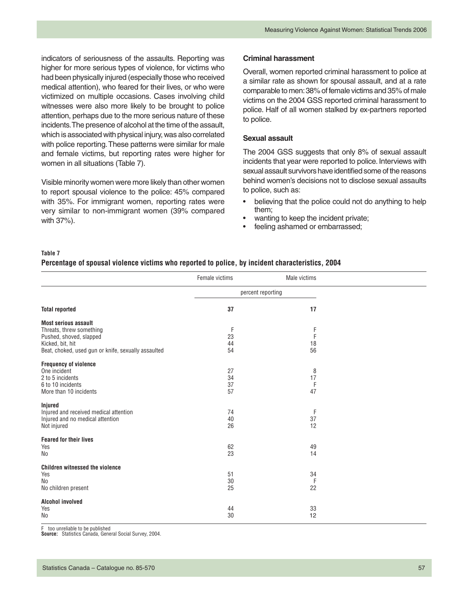indicators of seriousness of the assaults. Reporting was higher for more serious types of violence, for victims who had been physically injured (especially those who received medical attention), who feared for their lives, or who were victimized on multiple occasions. Cases involving child witnesses were also more likely to be brought to police attention, perhaps due to the more serious nature of these incidents. The presence of alcohol at the time of the assault, which is associated with physical injury, was also correlated with police reporting. These patterns were similar for male and female victims, but reporting rates were higher for women in all situations (Table 7).

Visible minority women were more likely than other women to report spousal violence to the police: 45% compared with 35%. For immigrant women, reporting rates were very similar to non-immigrant women (39% compared with 37%).

#### **Criminal harassment**

Overall, women reported criminal harassment to police at a similar rate as shown for spousal assault, and at a rate comparable to men: 38% of female victims and 35% of male victims on the 2004 GSS reported criminal harassment to police. Half of all women stalked by ex-partners reported to police.

#### **Sexual assault**

The 2004 GSS suggests that only 8% of sexual assault incidents that year were reported to police. Interviews with sexual assault survivors have identified some of the reasons behind women's decisions not to disclose sexual assaults to police, such as:

- believing that the police could not do anything to help them;
- wanting to keep the incident private;
- feeling ashamed or embarrassed;

#### **Table 7**

#### **Percentage of spousal violence victims who reported to police, by incident characteristics, 2004**

|                                                                                                                                                               | Female victims       | Male victims       |  |
|---------------------------------------------------------------------------------------------------------------------------------------------------------------|----------------------|--------------------|--|
|                                                                                                                                                               |                      | percent reporting  |  |
| <b>Total reported</b>                                                                                                                                         | 37                   | 17                 |  |
| <b>Most serious assault</b><br>Threats, threw something<br>Pushed, shoved, slapped<br>Kicked, bit, hit<br>Beat, choked, used gun or knife, sexually assaulted | F<br>23<br>44<br>54  | F<br>F<br>18<br>56 |  |
| <b>Frequency of violence</b><br>One incident<br>2 to 5 incidents<br>6 to 10 incidents<br>More than 10 incidents                                               | 27<br>34<br>37<br>57 | 8<br>17<br>F<br>47 |  |
| Injured<br>Injured and received medical attention<br>Injured and no medical attention<br>Not injured                                                          | 74<br>40<br>26       | F<br>37<br>12      |  |
| <b>Feared for their lives</b><br>Yes<br><b>No</b>                                                                                                             | 62<br>23             | 49<br>14           |  |
| <b>Children witnessed the violence</b><br>Yes<br>N <sub>0</sub><br>No children present                                                                        | 51<br>30<br>25       | 34<br>F<br>22      |  |
| <b>Alcohol involved</b><br>Yes<br>No                                                                                                                          | 44<br>30             | 33<br>12           |  |

F too unreliable to be published

**Source:** Statistics Canada, General Social Survey, 2004.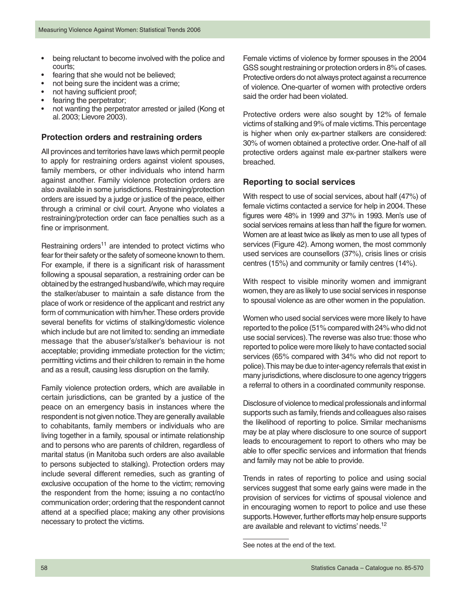- being reluctant to become involved with the police and courts;
- fearing that she would not be believed;
- not being sure the incident was a crime;
- not having sufficient proof;
- fearing the perpetrator;
- not wanting the perpetrator arrested or jailed (Kong et al. 2003; Lievore 2003).

#### **Protection orders and restraining orders**

All provinces and territories have laws which permit people to apply for restraining orders against violent spouses, family members, or other individuals who intend harm against another. Family violence protection orders are also available in some jurisdictions. Restraining/protection orders are issued by a judge or justice of the peace, either through a criminal or civil court. Anyone who violates a restraining/protection order can face penalties such as a fine or imprisonment.

Restraining orders<sup>11</sup> are intended to protect victims who fear for their safety or the safety of someone known to them. For example, if there is a significant risk of harassment following a spousal separation, a restraining order can be obtained by the estranged husband/wife, which may require the stalker/abuser to maintain a safe distance from the place of work or residence of the applicant and restrict any form of communication with him/her. These orders provide several benefits for victims of stalking/domestic violence which include but are not limited to: sending an immediate message that the abuser's/stalker's behaviour is not acceptable; providing immediate protection for the victim; permitting victims and their children to remain in the home and as a result, causing less disruption on the family.

Family violence protection orders, which are available in certain jurisdictions, can be granted by a justice of the peace on an emergency basis in instances where the respondent is not given notice. They are generally available to cohabitants, family members or individuals who are living together in a family, spousal or intimate relationship and to persons who are parents of children, regardless of marital status (in Manitoba such orders are also available to persons subjected to stalking). Protection orders may include several different remedies, such as granting of exclusive occupation of the home to the victim; removing the respondent from the home; issuing a no contact/no communication order; ordering that the respondent cannot attend at a specified place; making any other provisions necessary to protect the victims.

Female victims of violence by former spouses in the 2004 GSS sought restraining or protection orders in 8% of cases. Protective orders do not always protect against a recurrence of violence. One-quarter of women with protective orders said the order had been violated.

Protective orders were also sought by 12% of female victims of stalking and 9% of male victims. This percentage is higher when only ex-partner stalkers are considered: 30% of women obtained a protective order. One-half of all protective orders against male ex-partner stalkers were breached.

### **Reporting to social services**

With respect to use of social services, about half (47%) of female victims contacted a service for help in 2004. These figures were  $48\%$  in 1999 and 37% in 1993. Men's use of social services remains at less than half the figure for women. Women are at least twice as likely as men to use all types of services (Figure 42). Among women, the most commonly used services are counsellors (37%), crisis lines or crisis centres (15%) and community or family centres (14%).

With respect to visible minority women and immigrant women, they are as likely to use social services in response to spousal violence as are other women in the population.

Women who used social services were more likely to have reported to the police (51% compared with 24% who did not use social services). The reverse was also true: those who reported to police were more likely to have contacted social services (65% compared with 34% who did not report to police). This may be due to inter-agency referrals that exist in many jurisdictions, where disclosure to one agency triggers a referral to others in a coordinated community response.

Disclosure of violence to medical professionals and informal supports such as family, friends and colleagues also raises the likelihood of reporting to police. Similar mechanisms may be at play where disclosure to one source of support leads to encouragement to report to others who may be able to offer specific services and information that friends and family may not be able to provide.

Trends in rates of reporting to police and using social services suggest that some early gains were made in the provision of services for victims of spousal violence and in encouraging women to report to police and use these supports. However, further efforts may help ensure supports are available and relevant to victims' needs.<sup>12</sup>

See notes at the end of the text.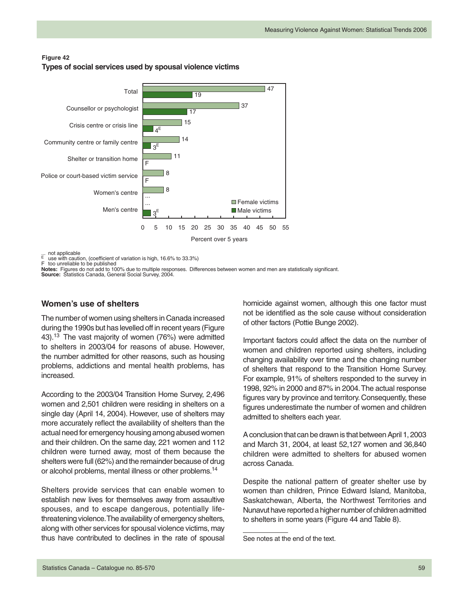

**Types of social services used by spousal violence victims**

... not applicable

use with caution, (coefficient of variation is high, 16.6% to 33.3%)

F too unreliable to be published<br>**Notes:** Figures do not add to 100% due to multiple responses. Differences between women and men are statistically significant.<br>**Source:** Statistics Canada, General Social Survey, 2004.

### **Women's use of shelters**

The number of women using shelters in Canada increased during the 1990s but has levelled off in recent years (Figure 43).13 The vast majority of women (76%) were admitted to shelters in 2003/04 for reasons of abuse. However, the number admitted for other reasons, such as housing problems, addictions and mental health problems, has increased.

According to the 2003/04 Transition Home Survey, 2,496 women and 2,501 children were residing in shelters on a single day (April 14, 2004). However, use of shelters may more accurately reflect the availability of shelters than the actual need for emergency housing among abused women and their children. On the same day, 221 women and 112 children were turned away, most of them because the shelters were full (62%) and the remainder because of drug or alcohol problems, mental illness or other problems.14

Shelters provide services that can enable women to establish new lives for themselves away from assaultive spouses, and to escape dangerous, potentially lifethreatening violence. The availability of emergency shelters, along with other services for spousal violence victims, may thus have contributed to declines in the rate of spousal homicide against women, although this one factor must not be identified as the sole cause without consideration of other factors (Pottie Bunge 2002).

Important factors could affect the data on the number of women and children reported using shelters, including changing availability over time and the changing number of shelters that respond to the Transition Home Survey. For example, 91% of shelters responded to the survey in 1998, 92% in 2000 and 87% in 2004. The actual response figures vary by province and territory. Consequently, these figures underestimate the number of women and children admitted to shelters each year.

A conclusion that can be drawn is that between April 1, 2003 and March 31, 2004, at least 52,127 women and 36,840 children were admitted to shelters for abused women across Canada.

Despite the national pattern of greater shelter use by women than children, Prince Edward Island, Manitoba, Saskatchewan, Alberta, the Northwest Territories and Nunavut have reported a higher number of children admitted to shelters in some years (Figure 44 and Table 8).

See notes at the end of the text.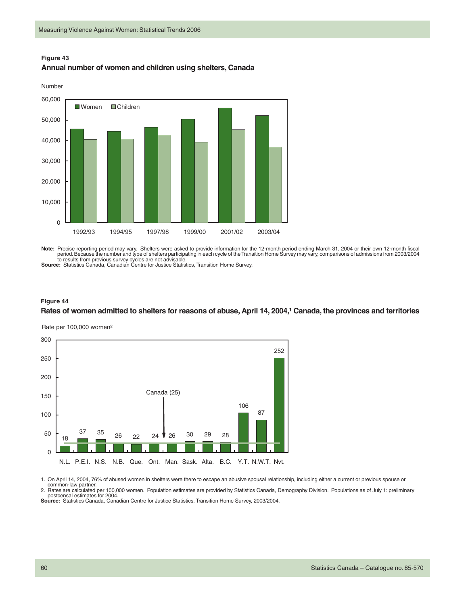



Note: Precise reporting period may vary. Shelters were asked to provide information for the 12-month period ending March 31, 2004 or their own 12-month fiscal<br>period. Because the number and type of shelters participating i

**Source:** Statistics Canada, Canadian Centre for Justice Statistics, Transition Home Survey.

## **Figure 44** Rates of women admitted to shelters for reasons of abuse, April 14, 2004,<sup>1</sup> Canada, the provinces and territories

Rate per 100,000 women²



1. On April 14, 2004, 76% of abused women in shelters were there to escape an abusive spousal relationship, including either a current or previous spouse or

common-law partner. 2. Rates are calculated per 100,000 women. Population estimates are provided by Statistics Canada, Demography Division. Populations as of July 1: preliminary postcensal estimates for 2004.

**Source:** Statistics Canada, Canadian Centre for Justice Statistics, Transition Home Survey, 2003/2004.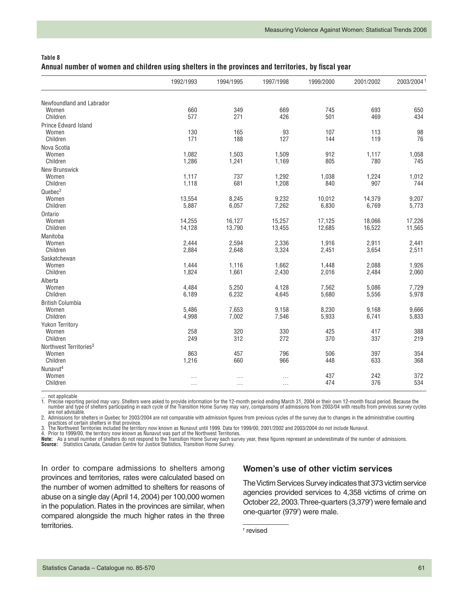#### **Table 8**

### Annual number of women and children using shelters in the provinces and territories, by fiscal year

|                                    | 1992/1993      | 1994/1995  | 1997/1998      | 1999/2000    | 2001/2002    | 2003/20041   |
|------------------------------------|----------------|------------|----------------|--------------|--------------|--------------|
| Newfoundland and Labrador          |                |            |                |              |              |              |
| Women<br>Children                  | 660<br>577     | 349<br>271 | 669<br>426     | 745<br>501   | 693<br>469   | 650<br>434   |
| Prince Edward Island               |                |            |                |              |              |              |
| Women                              | 130            | 165        | 93             | 107          | 113          | 98           |
| Children                           | 171            | 188        | 127            | 144          | 119          | 76           |
| Nova Scotia                        |                |            |                |              |              |              |
| Women                              | 1,082          | 1,503      | 1,509          | 912          | 1,117        | 1,058        |
| Children                           | 1,286          | 1,241      | 1,169          | 805          | 780          | 745          |
| New Brunswick                      |                |            |                |              |              |              |
| Women<br>Children                  | 1,117<br>1,118 | 737<br>681 | 1,292<br>1,208 | 1,038<br>840 | 1,224<br>907 | 1,012<br>744 |
|                                    |                |            |                |              |              |              |
| Quebec <sup>2</sup><br>Women       | 13,554         | 8,245      | 9,232          | 10,012       | 14,379       | 9,207        |
| Children                           | 5,887          | 6,057      | 7,262          | 6,830        | 6,769        | 5,773        |
| Ontario                            |                |            |                |              |              |              |
| Women                              | 14,255         | 16,127     | 15,257         | 17,125       | 18,066       | 17,226       |
| Children                           | 14,128         | 13,790     | 13,455         | 12,685       | 16,522       | 11,565       |
| Manitoba                           |                |            |                |              |              |              |
| Women                              | 2.444          | 2,594      | 2,336          | 1,916        | 2,911        | 2,441        |
| Children                           | 2,884          | 2,648      | 3,324          | 2,451        | 3,654        | 2,511        |
| Saskatchewan                       |                |            |                |              |              |              |
| Women                              | 1,444          | 1,116      | 1,662          | 1,448        | 2,088        | 1,926        |
| Children                           | 1,824          | 1,661      | 2,430          | 2,016        | 2,484        | 2,060        |
| Alberta<br>Women                   | 4,484          | 5,250      | 4,128          | 7,562        | 5,086        | 7,729        |
| Children                           | 6,189          | 6,232      | 4,645          | 5,680        | 5,556        | 5,978        |
| <b>British Columbia</b>            |                |            |                |              |              |              |
| Women                              | 5,486          | 7,653      | 9,158          | 8,230        | 9,168        | 9,666        |
| Children                           | 4,998          | 7,002      | 7,546          | 5,933        | 6,741        | 5,833        |
| <b>Yukon Territory</b>             |                |            |                |              |              |              |
| Women                              | 258            | 320        | 330            | 425          | 417          | 388          |
| Children                           | 249            | 312        | 272            | 370          | 337          | 219          |
| Northwest Territories <sup>3</sup> |                |            |                |              |              |              |
| Women                              | 863            | 457        | 796            | 506          | 397          | 354          |
| Children                           | 1,216          | 660        | 966            | 448          | 633          | 368          |
| Nunavut <sup>4</sup><br>Women      |                |            |                |              |              | 372          |
| Children                           | .              | $\cdots$   | $\cdots$       | 437<br>474   | 242<br>376   | 534          |
|                                    | $\cdots$       | $\cdots$   | $\ldots$       |              |              |              |

not applicable

1. Precise reporting period may vary. Shelters were asked to provide information for the 12-month period ending March 31, 2004 or their own 12-month fi scal period. Because the number and type of shelters participating in each cycle of the Transition Home Survey may vary, comparisons of admissions from 2003/04 with results from previous survey cycles are not advisable.

2. Admissions for shelters in Quebec for 2003/2004 are not comparable with admission figures from previous cycles of the survey due to changes in the administrative counting practices of certain shelters in that province.

3. The Northwest Territories included the territory now known as Nunavut until 1999. Data for 1999/00, 2001/2002 and 2003/2004 do not include Nunavut. 4. Prior to 1999/00, the territory now known as Nunavut was part of the Northwest Territories.

Note: As a small number of shelters do not respond to the Transition Home Survey each survey year, these figures represent an underestimate of the number of admissions. **Source:** Statistics Canada, Canadian Centre for Justice Statistics, Transition Home Survey.

In order to compare admissions to shelters among provinces and territories, rates were calculated based on the number of women admitted to shelters for reasons of abuse on a single day (April 14, 2004) per 100,000 women in the population. Rates in the provinces are similar, when compared alongside the much higher rates in the three territories.

### **Women's use of other victim services**

The Victim Services Survey indicates that 373 victim service agencies provided services to 4,358 victims of crime on October 22, 2003. Three-quarters (3,379') were female and one-quarter (979r ) were male.

r revised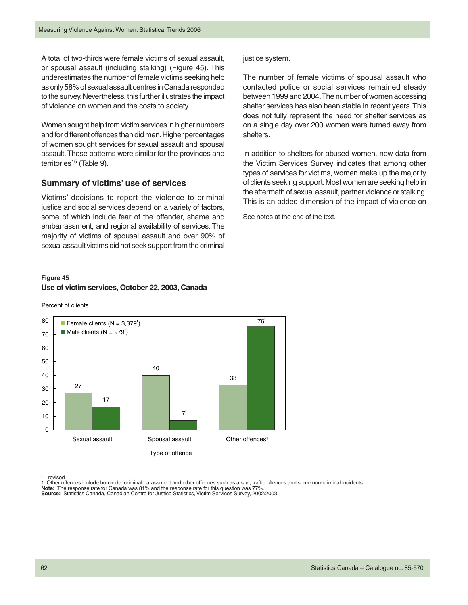A total of two-thirds were female victims of sexual assault, or spousal assault (including stalking) (Figure 45). This underestimates the number of female victims seeking help as only 58% of sexual assault centres in Canada responded to the survey. Nevertheless, this further illustrates the impact of violence on women and the costs to society.

Women sought help from victim services in higher numbers and for different offences than did men. Higher percentages of women sought services for sexual assault and spousal assault. These patterns were similar for the provinces and territories<sup>15</sup> (Table 9).

## **Summary of victims' use of services**

Victims' decisions to report the violence to criminal justice and social services depend on a variety of factors, some of which include fear of the offender, shame and embarrassment, and regional availability of services. The majority of victims of spousal assault and over 90% of sexual assault victims did not seek support from the criminal

## **Figure 45 Use of victim services, October 22, 2003, Canada**

Percent of clients



r revised

The number of female victims of spousal assault who contacted police or social services remained steady between 1999 and 2004. The number of women accessing shelter services has also been stable in recent years. This does not fully represent the need for shelter services as on a single day over 200 women were turned away from shelters.

In addition to shelters for abused women, new data from the Victim Services Survey indicates that among other types of services for victims, women make up the majority of clients seeking support. Most women are seeking help in the aftermath of sexual assault, partner violence or stalking. This is an added dimension of the impact of violence on

See notes at the end of the text.

<sup>1.</sup> Other offences include homicide, criminal harassment and other offences such as arson, traffic offences and some non-criminal incidents. **Note:** The response rate for Canada was 81% and the response rate for this question was 77%.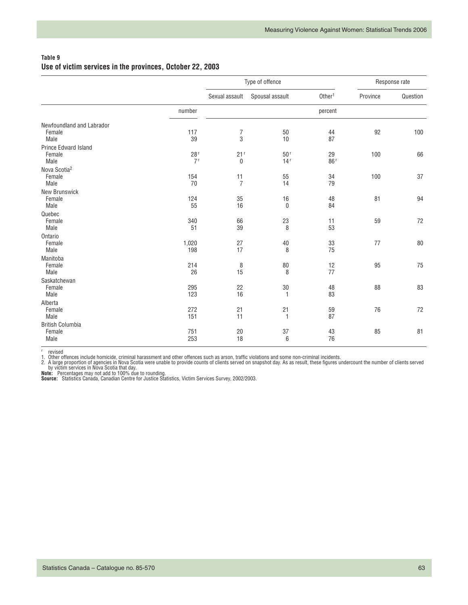### **Table 9**

## **Use of victim services in the provinces, October 22, 2003**

|                                               |              |                      | Type of offence                    |                       | Response rate |          |
|-----------------------------------------------|--------------|----------------------|------------------------------------|-----------------------|---------------|----------|
|                                               |              | Sexual assault       | Spousal assault                    | Other <sup>1</sup>    | Province      | Question |
|                                               | number       |                      |                                    | percent               |               |          |
| Newfoundland and Labrador<br>Female<br>Male   | 117<br>39    | 7<br>3               | 50<br>10                           | 44<br>87              | 92            | 100      |
| <b>Prince Edward Island</b><br>Female<br>Male | 28r<br>7r    | 21r<br>0             | 50 <sup>r</sup><br>14 <sup>r</sup> | 29<br>86 <sup>r</sup> | 100           | 66       |
| Nova Scotia <sup>2</sup><br>Female<br>Male    | 154<br>70    | 11<br>$\overline{7}$ | 55<br>14                           | 34<br>79              | 100           | 37       |
| New Brunswick<br>Female<br>Male               | 124<br>55    | 35<br>16             | 16<br>$\pmb{0}$                    | 48<br>84              | 81            | 94       |
| Quebec<br>Female<br>Male                      | 340<br>51    | 66<br>39             | 23<br>8                            | 11<br>53              | 59            | 72       |
| Ontario<br>Female<br>Male                     | 1,020<br>198 | 27<br>17             | $40\,$<br>8                        | 33<br>75              | 77            | 80       |
| Manitoba<br>Female<br>Male                    | 214<br>26    | 8<br>15              | $80\,$<br>8                        | 12<br>77              | 95            | 75       |
| Saskatchewan<br>Female<br>Male                | 295<br>123   | 22<br>16             | $30\,$<br>$\mathbf{1}$             | 48<br>83              | 88            | 83       |
| Alberta<br>Female<br>Male                     | 272<br>151   | 21<br>11             | 21<br>$\mathbf{1}$                 | 59<br>87              | 76            | 72       |
| <b>British Columbia</b><br>Female<br>Male     | 751<br>253   | 20<br>18             | 37<br>6                            | 43<br>76              | 85            | 81       |

revised<br>1. Other offences include homicide, criminal harassment and other offences such as arson, traffic violations and some non-criminal incidents.<br>2. A large proportion of agencies in Nova Scotia were unable to provide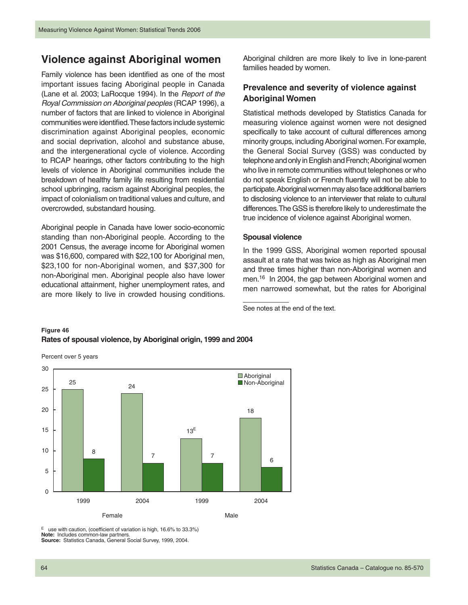# **Violence against Aboriginal women**

Family violence has been identified as one of the most important issues facing Aboriginal people in Canada (Lane et al. 2003; LaRocque 1994). In the *Report of the Royal Commission on Aboriginal peoples* (RCAP 1996), a number of factors that are linked to violence in Aboriginal communities were identified. These factors include systemic discrimination against Aboriginal peoples, economic and social deprivation, alcohol and substance abuse, and the intergenerational cycle of violence. According to RCAP hearings, other factors contributing to the high levels of violence in Aboriginal communities include the breakdown of healthy family life resulting from residential school upbringing, racism against Aboriginal peoples, the impact of colonialism on traditional values and culture, and overcrowded, substandard housing.

Aboriginal people in Canada have lower socio-economic standing than non-Aboriginal people. According to the 2001 Census, the average income for Aboriginal women was \$16,600, compared with \$22,100 for Aboriginal men, \$23,100 for non-Aboriginal women, and \$37,300 for non-Aboriginal men. Aboriginal people also have lower educational attainment, higher unemployment rates, and are more likely to live in crowded housing conditions.

Aboriginal children are more likely to live in lone-parent families headed by women.

## **Prevalence and severity of violence against Aboriginal Women**

Statistical methods developed by Statistics Canada for measuring violence against women were not designed specifically to take account of cultural differences among minority groups, including Aboriginal women. For example, the General Social Survey (GSS) was conducted by telephone and only in English and French; Aboriginal women who live in remote communities without telephones or who do not speak English or French fluently will not be able to participate. Aboriginal women may also face additional barriers to disclosing violence to an interviewer that relate to cultural differences. The GSS is therefore likely to underestimate the true incidence of violence against Aboriginal women.

#### **Spousal violence**

In the 1999 GSS, Aboriginal women reported spousal assault at a rate that was twice as high as Aboriginal men and three times higher than non-Aboriginal women and men.<sup>16</sup> In 2004, the gap between Aboriginal women and men narrowed somewhat, but the rates for Aboriginal

See notes at the end of the text.

#### **Figure 46 Rates of spousal violence, by Aboriginal origin, 1999 and 2004**

Percent over 5 years



use with caution, (coefficient of variation is high, 16.6% to 33.3%) **Note:** Includes common-law partners. **Source:** Statistics Canada, General Social Survey, 1999, 2004.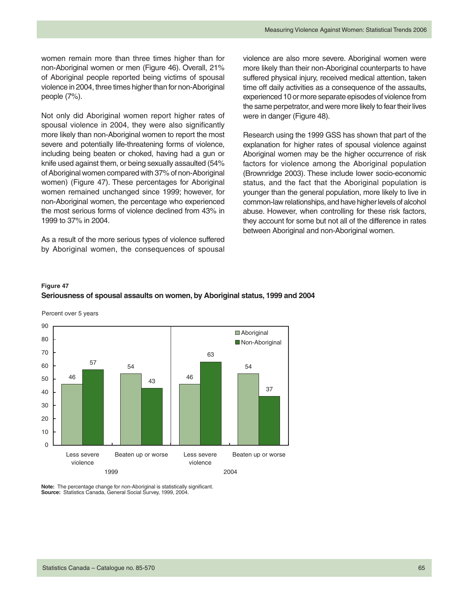women remain more than three times higher than for non-Aboriginal women or men (Figure 46). Overall, 21% of Aboriginal people reported being victims of spousal violence in 2004, three times higher than for non-Aboriginal people (7%).

Not only did Aboriginal women report higher rates of spousal violence in 2004, they were also significantly more likely than non-Aboriginal women to report the most severe and potentially life-threatening forms of violence, including being beaten or choked, having had a gun or knife used against them, or being sexually assaulted (54% of Aboriginal women compared with 37% of non-Aboriginal women) (Figure 47). These percentages for Aboriginal women remained unchanged since 1999; however, for non-Aboriginal women, the percentage who experienced the most serious forms of violence declined from 43% in 1999 to 37% in 2004.

As a result of the more serious types of violence suffered by Aboriginal women, the consequences of spousal violence are also more severe. Aboriginal women were more likely than their non-Aboriginal counterparts to have suffered physical injury, received medical attention, taken time off daily activities as a consequence of the assaults, experienced 10 or more separate episodes of violence from the same perpetrator, and were more likely to fear their lives were in danger (Figure 48).

Research using the 1999 GSS has shown that part of the explanation for higher rates of spousal violence against Aboriginal women may be the higher occurrence of risk factors for violence among the Aboriginal population (Brownridge 2003). These include lower socio-economic status, and the fact that the Aboriginal population is younger than the general population, more likely to live in common-law relationships, and have higher levels of alcohol abuse. However, when controlling for these risk factors, they account for some but not all of the difference in rates between Aboriginal and non-Aboriginal women.

## **Figure 47 Seriousness of spousal assaults on women, by Aboriginal status, 1999 and 2004**

Percent over 5 years



Note: The percentage change for non-Aboriginal is statistically significant. **Source:** Statistics Canada, General Social Survey, 1999, 2004.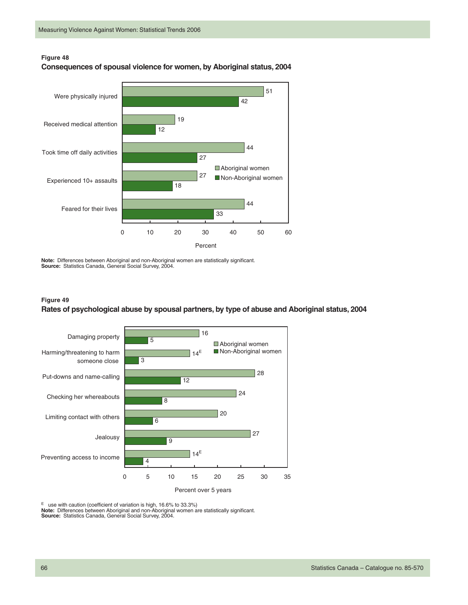

**Consequences of spousal violence for women, by Aboriginal status, 2004**

**Note:** Differences between Aboriginal and non-Aboriginal women are statistically significant.<br>**Source:** Statistics Canada, General Social Survey, 2004.

## **Figure 49 Rates of psychological abuse by spousal partners, by type of abuse and Aboriginal status, 2004**



<sup>E</sup> use with caution (coefficient of variation is high, 16.6% to 33.3%)<br>**Note:** Differences between Aboriginal and non-Aboriginal women are statistically significant.<br>**Source:** Statistics Canada, General Social Survey, 20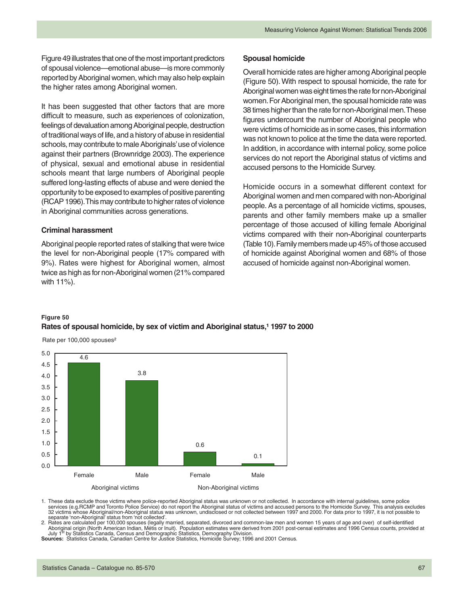Figure 49 illustrates that one of the most important predictors of spousal violence—emotional abuse—is more commonly reported by Aboriginal women, which may also help explain the higher rates among Aboriginal women.

It has been suggested that other factors that are more difficult to measure, such as experiences of colonization, feelings of devaluation among Aboriginal people, destruction of traditional ways of life, and a history of abuse in residential schools, may contribute to male Aboriginals' use of violence against their partners (Brownridge 2003). The experience of physical, sexual and emotional abuse in residential schools meant that large numbers of Aboriginal people suffered long-lasting effects of abuse and were denied the opportunity to be exposed to examples of positive parenting (RCAP 1996). This may contribute to higher rates of violence in Aboriginal communities across generations.

#### **Criminal harassment**

Aboriginal people reported rates of stalking that were twice the level for non-Aboriginal people (17% compared with 9%). Rates were highest for Aboriginal women, almost twice as high as for non-Aboriginal women (21% compared with 11%).

#### **Spousal homicide**

Overall homicide rates are higher among Aboriginal people (Figure 50). With respect to spousal homicide, the rate for Aboriginal women was eight times the rate for non-Aboriginal women. For Aboriginal men, the spousal homicide rate was 38 times higher than the rate for non-Aboriginal men. These figures undercount the number of Aboriginal people who were victims of homicide as in some cases, this information was not known to police at the time the data were reported. In addition, in accordance with internal policy, some police services do not report the Aboriginal status of victims and accused persons to the Homicide Survey.

Homicide occurs in a somewhat different context for Aboriginal women and men compared with non-Aboriginal people. As a percentage of all homicide victims, spouses, parents and other family members make up a smaller percentage of those accused of killing female Aboriginal victims compared with their non-Aboriginal counterparts (Table 10). Family members made up 45% of those accused of homicide against Aboriginal women and 68% of those accused of homicide against non-Aboriginal women.

### **Figure 50** Rates of spousal homicide, by sex of victim and Aboriginal status,<sup>1</sup> 1997 to 2000

Rate per 100,000 spouses²



1. These data exclude those victims where police-reported Aboriginal status was unknown or not collected. In accordance with internal guidelines, some police<br>services (e.g.RCMP and Toronto Police Service) do not report the separate 'non-Aboriginal' status from 'not collected'.

2. Rates are calculated per 100,000 spouses (legally married, separated, divorced and common-law men and women 15 years of age and over) of self-identified Aboriginal origin (North American Indian, Métis or Inuit). Population estimates were derived from 2001 post-censal estimates and 1996 Census counts, provided at<br>July 1<sup>st</sup> by Statistics Canada, Census and Demographic Stati

**Sources:** Statistics Canada, Canadian Centre for Justice Statistics, Homicide Survey; 1996 and 2001 Census.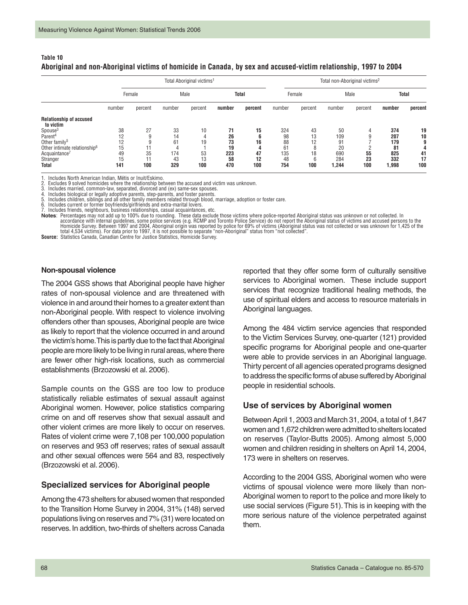## **Table 10 Aboriginal and non-Aboriginal victims of homicide in Canada, by sex and accused-victim relationship, 1997 to 2004**

|                                             |        |         |               | Total Aboriginal victims <sup>1</sup> |        |         |        |         | Total non-Aboriginal victims <sup>2</sup> |              |        |         |
|---------------------------------------------|--------|---------|---------------|---------------------------------------|--------|---------|--------|---------|-------------------------------------------|--------------|--------|---------|
|                                             | Female |         | Male<br>Total |                                       |        | Female  |        | Male    |                                           | <b>Total</b> |        |         |
|                                             | number | percent | number        | percent                               | number | percent | number | percent | number                                    | percent      | number | percent |
| <b>Relationship of accused</b><br>to victim |        |         |               |                                       |        |         |        |         |                                           |              |        |         |
| Spouse <sup>3</sup>                         | 38     | 27      | 33            | 10                                    | 71     | 15      | 324    | 43      | 50                                        |              | 374    | 19      |
| Parent <sup>4</sup>                         | 12     | 9       | 14            |                                       | 26     |         | 98     | 13      | 109                                       |              | 207    | 10      |
| Other family <sup>5</sup>                   | 12     |         | 61            | 19                                    | 73     | 16      | 88     | 12      | 91                                        |              | 179    |         |
| Other intimate relationship <sup>6</sup>    | 15     |         |               |                                       | 19     |         | 61     | Ω       | 20                                        |              | 81     |         |
| Acquaintance <sup>7</sup>                   | 49     | 35      | 174           | 53                                    | 223    | 47      | 135    | 18      | 690                                       | 55           | 825    | 41      |
| Stranger                                    | 15     | 44      | 43            | 13                                    | 58     | 12      | 48     | h       | 284                                       | 23           | 332    | 17      |
| Total                                       | 141    | 100     | 329           | 100                                   | 470    | 100     | 754    | 100     | 1,244                                     | 100          | 1,998  | 100     |

1. Includes North American Indian, Métis or Inuit/Eskimo.

Excludes 9 solved homicides where the relationship between the accused and victim was unknown.

3. Includes married, common-law, separated, divorced and (ex) same-sex spouses. 4. Includes biological or legally adoptive parents, step-parents, and foster parents.

5. Includes children, siblings and all other family members related through blood, marriage, adoption or foster care.

6. Includes current or former boyfriends/girlfriends and extra-marital lovers. 7. Includes friends, neighbours, business relationships, casual acquaintances, etc.

**Notes**: Percentages may not add up to 100% due to rounding. These data exclude those victims where police-reported Aboriginal status was unknown or not collected. In accordance with internal guidelines, some police services (e.g. RCMP and Toronto Police Service) do not report the Aboriginal status of victims and accused persons to the<br>Homicide Survey. Between 1997 and 2004, Aboriginal total 4,534 victims). For data prior to 1997, it is not possible to separate "non-Aboriginal" status from "not collected".

**Source:** Statistics Canada, Canadian Centre for Justice Statistics, Homicide Survey.

#### **Non-spousal violence**

The 2004 GSS shows that Aboriginal people have higher rates of non-spousal violence and are threatened with violence in and around their homes to a greater extent than non-Aboriginal people. With respect to violence involving offenders other than spouses, Aboriginal people are twice as likely to report that the violence occurred in and around the victim's home. This is partly due to the fact that Aboriginal people are more likely to be living in rural areas, where there are fewer other high-risk locations, such as commercial establishments (Brzozowski et al. 2006).

Sample counts on the GSS are too low to produce statistically reliable estimates of sexual assault against Aboriginal women. However, police statistics comparing crime on and off reserves show that sexual assault and other violent crimes are more likely to occur on reserves. Rates of violent crime were 7,108 per 100,000 population on reserves and 953 off reserves; rates of sexual assault and other sexual offences were 564 and 83, respectively (Brzozowski et al. 2006).

### **Specialized services for Aboriginal people**

Among the 473 shelters for abused women that responded to the Transition Home Survey in 2004, 31% (148) served populations living on reserves and 7% (31) were located on reserves. In addition, two-thirds of shelters across Canada reported that they offer some form of culturally sensitive services to Aboriginal women. These include support services that recognize traditional healing methods, the use of spiritual elders and access to resource materials in Aboriginal languages.

Among the 484 victim service agencies that responded to the Victim Services Survey, one-quarter (121) provided specific programs for Aboriginal people and one-quarter were able to provide services in an Aboriginal language. Thirty percent of all agencies operated programs designed to address the specific forms of abuse suffered by Aboriginal people in residential schools.

### **Use of services by Aboriginal women**

Between April 1, 2003 and March 31, 2004, a total of 1,847 women and 1,672 children were admitted to shelters located on reserves (Taylor-Butts 2005). Among almost 5,000 women and children residing in shelters on April 14, 2004, 173 were in shelters on reserves.

According to the 2004 GSS, Aboriginal women who were victims of spousal violence were more likely than non-Aboriginal women to report to the police and more likely to use social services (Figure 51). This is in keeping with the more serious nature of the violence perpetrated against them.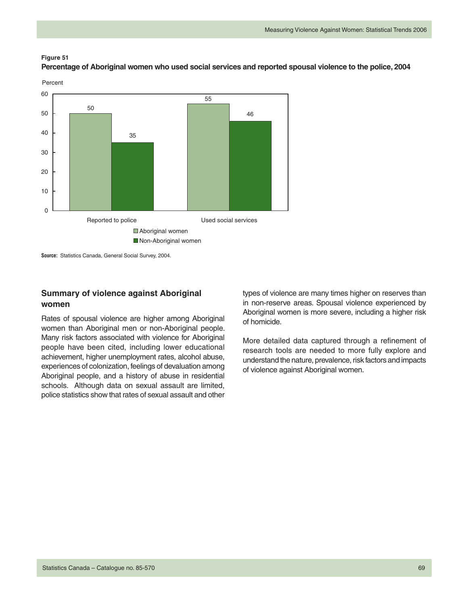



**Source:** Statistics Canada, General Social Survey, 2004.

## **Summary of violence against Aboriginal women**

Rates of spousal violence are higher among Aboriginal women than Aboriginal men or non-Aboriginal people. Many risk factors associated with violence for Aboriginal people have been cited, including lower educational achievement, higher unemployment rates, alcohol abuse, experiences of colonization, feelings of devaluation among Aboriginal people, and a history of abuse in residential schools. Although data on sexual assault are limited, police statistics show that rates of sexual assault and other

types of violence are many times higher on reserves than in non-reserve areas. Spousal violence experienced by Aboriginal women is more severe, including a higher risk of homicide.

More detailed data captured through a refinement of research tools are needed to more fully explore and understand the nature, prevalence, risk factors and impacts of violence against Aboriginal women.

# Percent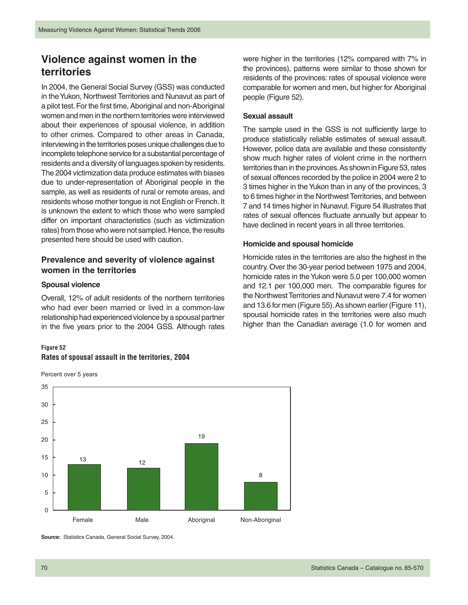# **Violence against women in the territories**

In 2004, the General Social Survey (GSS) was conducted in the Yukon, Northwest Territories and Nunavut as part of a pilot test. For the first time, Aboriginal and non-Aboriginal women and men in the northern territories were interviewed about their experiences of spousal violence, in addition to other crimes. Compared to other areas in Canada, interviewing in the territories poses unique challenges due to incomplete telephone service for a substantial percentage of residents and a diversity of languages spoken by residents. The 2004 victimization data produce estimates with biases due to under-representation of Aboriginal people in the sample, as well as residents of rural or remote areas, and residents whose mother tongue is not English or French. It is unknown the extent to which those who were sampled differ on important characteristics (such as victimization rates) from those who were not sampled. Hence, the results presented here should be used with caution.

## **Prevalence and severity of violence against women in the territories**

#### **Spousal violence**

Overall, 12% of adult residents of the northern territories who had ever been married or lived in a common-law relationship had experienced violence by a spousal partner in the five years prior to the 2004 GSS. Although rates

### **Figure 52 Rates of spousal assault in the territories, 2004**

Percent over 5 years



**Source:** Statistics Canada, General Social Survey, 2004.

were higher in the territories (12% compared with 7% in the provinces), patterns were similar to those shown for residents of the provinces: rates of spousal violence were comparable for women and men, but higher for Aboriginal people (Figure 52).

#### **Sexual assault**

The sample used in the GSS is not sufficiently large to produce statistically reliable estimates of sexual assault. However, police data are available and these consistently show much higher rates of violent crime in the northern territories than in the provinces. As shown in Figure 53, rates of sexual offences recorded by the police in 2004 were 2 to 3 times higher in the Yukon than in any of the provinces, 3 to 6 times higher in the Northwest Territories, and between 7 and 14 times higher in Nunavut. Figure 54 illustrates that rates of sexual offences fluctuate annually but appear to have declined in recent years in all three territories.

#### **Homicide and spousal homicide**

Homicide rates in the territories are also the highest in the country. Over the 30-year period between 1975 and 2004, homicide rates in the Yukon were 5.0 per 100,000 women and 12.1 per 100,000 men. The comparable figures for the Northwest Territories and Nunavut were 7.4 for women and 13.6 for men (Figure 55). As shown earlier (Figure 11), spousal homicide rates in the territories were also much higher than the Canadian average (1.0 for women and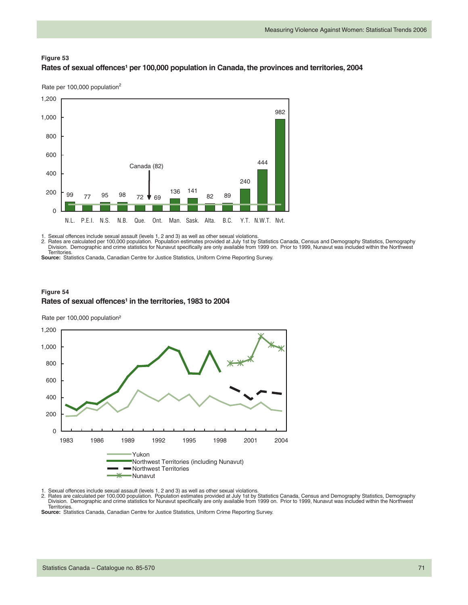## Rates of sexual offences<sup>1</sup> per 100,000 population in Canada, the provinces and territories, 2004

Rate per 100,000 population<sup>2</sup>



1. Sexual offences include sexual assault (levels 1, 2 and 3) as well as other sexual violations.<br>2. Rates are calculated per 100,000 population. Population estimates provided at July 1st by Statistics, Demography Statisti Territories.

**Source:** Statistics Canada, Canadian Centre for Justice Statistics, Uniform Crime Reporting Survey.

### **Figure 54** Rates of sexual offences<sup>1</sup> in the territories, 1983 to 2004

Rate per 100,000 population²



1. Sexual offences include sexual assault (levels 1, 2 and 3) as well as other sexual violations.<br>2. Rates are calculated per 100,000 population. Population estimates provided at July 1st by Statistics Canada, Census and D Division. Demographic and crime statistics for Nunavut specifically are only available from 1999 on. Prior to 1999, Nunavut was included within the Northwest **Territories** 

**Source:** Statistics Canada, Canadian Centre for Justice Statistics, Uniform Crime Reporting Survey.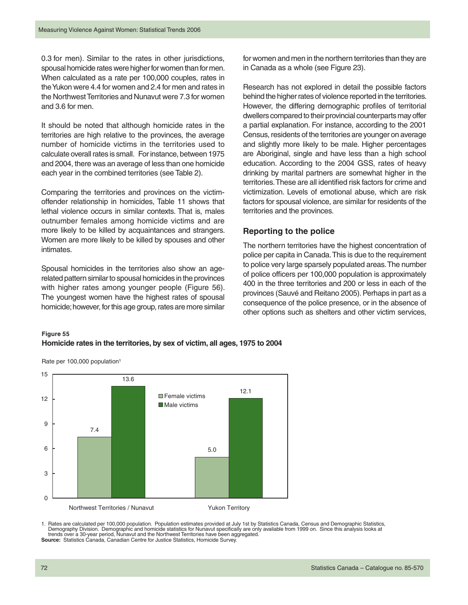0.3 for men). Similar to the rates in other jurisdictions, spousal homicide rates were higher for women than for men. When calculated as a rate per 100,000 couples, rates in the Yukon were 4.4 for women and 2.4 for men and rates in the Northwest Territories and Nunavut were 7.3 for women and 3.6 for men.

It should be noted that although homicide rates in the territories are high relative to the provinces, the average number of homicide victims in the territories used to calculate overall rates is small. For instance, between 1975 and 2004, there was an average of less than one homicide each year in the combined territories (see Table 2).

Comparing the territories and provinces on the victimoffender relationship in homicides, Table 11 shows that lethal violence occurs in similar contexts. That is, males outnumber females among homicide victims and are more likely to be killed by acquaintances and strangers. Women are more likely to be killed by spouses and other intimates.

Spousal homicides in the territories also show an agerelated pattern similar to spousal homicides in the provinces with higher rates among younger people (Figure 56). The youngest women have the highest rates of spousal homicide; however, for this age group, rates are more similar for women and men in the northern territories than they are in Canada as a whole (see Figure 23).

Research has not explored in detail the possible factors behind the higher rates of violence reported in the territories. However, the differing demographic profiles of territorial dwellers compared to their provincial counterparts may offer a partial explanation. For instance, according to the 2001 Census, residents of the territories are younger on average and slightly more likely to be male. Higher percentages are Aboriginal, single and have less than a high school education. According to the 2004 GSS, rates of heavy drinking by marital partners are somewhat higher in the territories. These are all identified risk factors for crime and victimization. Levels of emotional abuse, which are risk factors for spousal violence, are similar for residents of the territories and the provinces.

## **Reporting to the police**

The northern territories have the highest concentration of police per capita in Canada. This is due to the requirement to police very large sparsely populated areas. The number of police officers per 100,000 population is approximately 400 in the three territories and 200 or less in each of the provinces (Sauvé and Reitano 2005). Perhaps in part as a consequence of the police presence, or in the absence of other options such as shelters and other victim services,

## **Figure 55 Homicide rates in the territories, by sex of victim, all ages, 1975 to 2004**



Rate per 100,000 population<sup>1</sup>

1. Rates are calculated per 100,000 population. Population estimates provided at July 1st by Statistics Canada, Census and Demographic Statistics, Demography Division. Demographic and homicide statistics for Nunavut specifically are only available from 1999 on. Since this analysis looks at<br>trends over a 30-year period, Nunavut and the Northwest Territories have been

**Source:** Statistics Canada, Canadian Centre for Justice Statistics, Homicide Survey.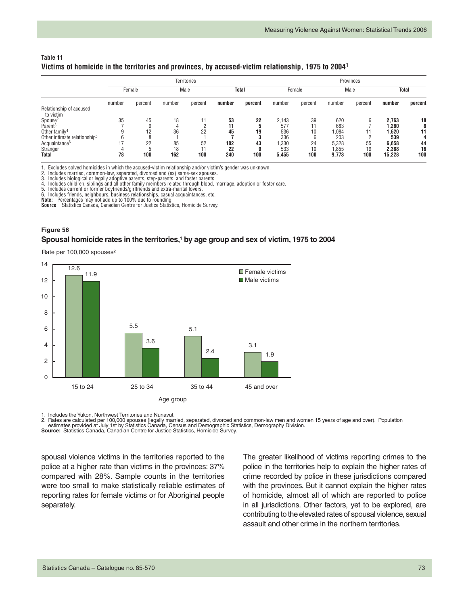#### **Table 11 Victims of homicide in the territories and provinces, by accused-victim relationship, 1975 to 20041**

|                                          |        |           |        | <b>Territories</b> |        |              |        |         |        | Provinces |              |         |
|------------------------------------------|--------|-----------|--------|--------------------|--------|--------------|--------|---------|--------|-----------|--------------|---------|
|                                          |        | Female    |        | Male               |        | <b>Total</b> |        | Female  |        | Male      | <b>Total</b> |         |
|                                          | number | percent   | number | percent            | number | percent      | number | percent | number | percent   | number       | percent |
| Relationship of accused                  |        |           |        |                    |        |              |        |         |        |           |              |         |
| to victim                                |        |           |        |                    |        |              |        |         |        |           |              |         |
| Spouse <sup>2</sup>                      | 35     | 45        | 18     |                    | 53     | 22           | 2.143  | 39      | 620    | 6         | 2.763        | 18      |
| Parent <sup>3</sup>                      |        |           |        |                    | 11     |              | 577    |         | 683    |           | 1.260        |         |
| Other family <sup>4</sup>                |        | 10<br>ے ا | 36     | 22                 | 45     | 19           | 536    | 10      | .084   |           | 1,620        | 11      |
| Other intimate relationship <sup>5</sup> |        |           |        |                    |        |              | 336    |         | 203    |           | 539          |         |
| Acquaintance <sup>6</sup>                |        | 22        | 85     | 52                 | 102    | 43           | 1,330  | 24      | 5,328  | 55        | 6,658        | 44      |
| Stranger                                 |        |           | 18     |                    | 22     | g            | 533    | 10      | .855   | 19        | 2,388        | 16      |
| Total                                    | 78     | 100       | 162    | 100                | 240    | 100          | 5,455  | 100     | 9,773  | 100       | 15,228       | 100     |

1. Excludes solved homicides in which the accused-victim relationship and/or victim's gender was unknown.

Includes married, common-law, separated, divorced and (ex) same-sex spouses.

3. Includes biological or legally adoptive parents, step-parents, and foster parents. 4. Includes children, siblings and all other family members related through blood, marriage, adoption or foster care.

5. Includes current or former boyfriends/girlfriends and extra-marital lovers.

6. Includes friends, neighbours, business relationships, casual acquaintances, etc. **Note:** Percentages may not add up to 100% due to rounding.

**Source**: Statistics Canada, Canadian Centre for Justice Statistics, Homicide Survey.

#### **Figure 56** Spousal homicide rates in the territories,<sup>1</sup> by age group and sex of victim, 1975 to 2004

Rate per 100,000 spouses²



1. Includes the Yukon, Northwest Territories and Nunavut.

2. Rates are calculated per 100,000 spouses (legally married, separated, divorced and common-law men and women 15 years of age and over). Population<br>estimates provided at July 1st by Statistics Canada, Census and Demograph **Source:** Statistics Canada, Canadian Centre for Justice Statistics, Homicide Survey.

spousal violence victims in the territories reported to the police at a higher rate than victims in the provinces: 37% compared with 28%. Sample counts in the territories were too small to make statistically reliable estimates of reporting rates for female victims or for Aboriginal people separately.

The greater likelihood of victims reporting crimes to the police in the territories help to explain the higher rates of crime recorded by police in these jurisdictions compared with the provinces. But it cannot explain the higher rates of homicide, almost all of which are reported to police in all jurisdictions. Other factors, yet to be explored, are contributing to the elevated rates of spousal violence, sexual assault and other crime in the northern territories.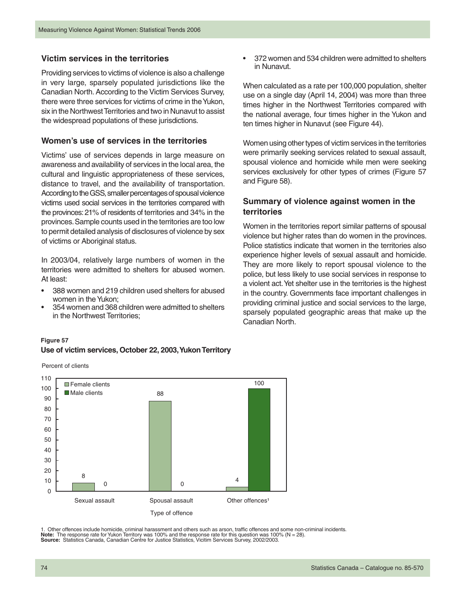#### **Victim services in the territories**

Providing services to victims of violence is also a challenge in very large, sparsely populated jurisdictions like the Canadian North. According to the Victim Services Survey, there were three services for victims of crime in the Yukon, six in the Northwest Territories and two in Nunavut to assist the widespread populations of these jurisdictions.

#### **Women's use of services in the territories**

Victims' use of services depends in large measure on awareness and availability of services in the local area, the cultural and linguistic appropriateness of these services, distance to travel, and the availability of transportation. According to the GSS, smaller percentages of spousal violence victims used social services in the territories compared with the provinces: 21% of residents of territories and 34% in the provinces. Sample counts used in the territories are too low to permit detailed analysis of disclosures of violence by sex of victims or Aboriginal status.

In 2003/04, relatively large numbers of women in the territories were admitted to shelters for abused women. At least:

- 388 women and 219 children used shelters for abused women in the Yukon;
- 354 women and 368 children were admitted to shelters in the Northwest Territories;

• 372 women and 534 children were admitted to shelters in Nunavut.

When calculated as a rate per 100,000 population, shelter use on a single day (April 14, 2004) was more than three times higher in the Northwest Territories compared with the national average, four times higher in the Yukon and ten times higher in Nunavut (see Figure 44).

Women using other types of victim services in the territories were primarily seeking services related to sexual assault, spousal violence and homicide while men were seeking services exclusively for other types of crimes (Figure 57 and Figure 58).

### **Summary of violence against women in the territories**

Women in the territories report similar patterns of spousal violence but higher rates than do women in the provinces. Police statistics indicate that women in the territories also experience higher levels of sexual assault and homicide. They are more likely to report spousal violence to the police, but less likely to use social services in response to a violent act. Yet shelter use in the territories is the highest in the country. Governments face important challenges in providing criminal justice and social services to the large, sparsely populated geographic areas that make up the Canadian North.

#### **Figure 57 Use of victim services, October 22, 2003, Yukon Territory**



1. Other offences include homicide, criminal harassment and others such as arson, traffic offences and some non-criminal incidents. **Note:** The response rate for Yukon Territory was 100% and the response rate for this question was 100% (N = 28). **Source:** Statistics Canada, Canadian Centre for Justice Statistics, Vicitim Services Survey, 2002/2003.

Percent of clients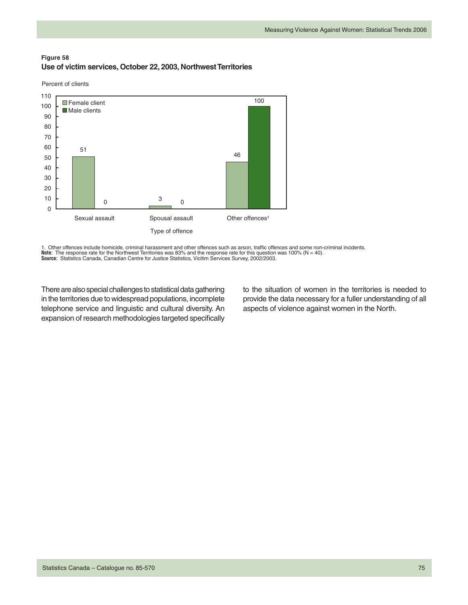#### **Figure 58**



Percent of clients



1. Other offences include homicide, criminal harassment and other offences such as arson, traffic offences and some non-criminal incidents.<br>**Note:** The response rate for the Northwest Territories was 83% and the response

There are also special challenges to statistical data gathering in the territories due to widespread populations, incomplete telephone service and linguistic and cultural diversity. An expansion of research methodologies targeted specifically to the situation of women in the territories is needed to provide the data necessary for a fuller understanding of all aspects of violence against women in the North.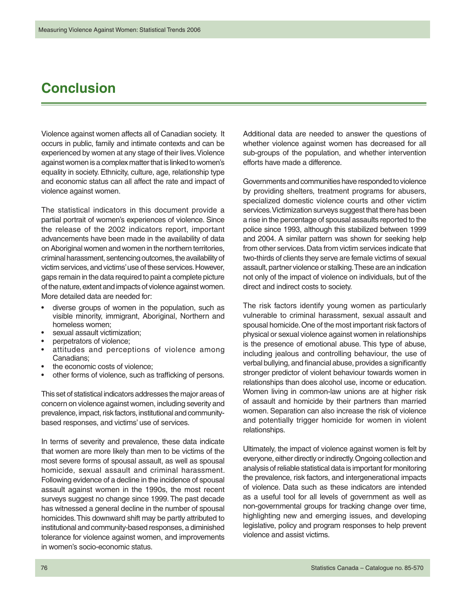# **Conclusion**

Violence against women affects all of Canadian society. It occurs in public, family and intimate contexts and can be experienced by women at any stage of their lives. Violence against women is a complex matter that is linked to women's equality in society. Ethnicity, culture, age, relationship type and economic status can all affect the rate and impact of violence against women.

The statistical indicators in this document provide a partial portrait of women's experiences of violence. Since the release of the 2002 indicators report, important advancements have been made in the availability of data on Aboriginal women and women in the northern territories, criminal harassment, sentencing outcomes, the availability of victim services, and victims' use of these services. However, gaps remain in the data required to paint a complete picture of the nature, extent and impacts of violence against women. More detailed data are needed for:

- diverse groups of women in the population, such as visible minority, immigrant, Aboriginal, Northern and homeless women;
- sexual assault victimization;
- perpetrators of violence;
- attitudes and perceptions of violence among Canadians;
- the economic costs of violence;
- other forms of violence, such as trafficking of persons.

This set of statistical indicators addresses the major areas of concern on violence against women, including severity and prevalence, impact, risk factors, institutional and communitybased responses, and victims' use of services.

In terms of severity and prevalence, these data indicate that women are more likely than men to be victims of the most severe forms of spousal assault, as well as spousal homicide, sexual assault and criminal harassment. Following evidence of a decline in the incidence of spousal assault against women in the 1990s, the most recent surveys suggest no change since 1999. The past decade has witnessed a general decline in the number of spousal homicides. This downward shift may be partly attributed to institutional and community-based responses, a diminished tolerance for violence against women, and improvements in women's socio-economic status.

Additional data are needed to answer the questions of whether violence against women has decreased for all sub-groups of the population, and whether intervention efforts have made a difference.

Governments and communities have responded to violence by providing shelters, treatment programs for abusers, specialized domestic violence courts and other victim services. Victimization surveys suggest that there has been a rise in the percentage of spousal assaults reported to the police since 1993, although this stabilized between 1999 and 2004. A similar pattern was shown for seeking help from other services. Data from victim services indicate that two-thirds of clients they serve are female victims of sexual assault, partner violence or stalking. These are an indication not only of the impact of violence on individuals, but of the direct and indirect costs to society.

The risk factors identify young women as particularly vulnerable to criminal harassment, sexual assault and spousal homicide. One of the most important risk factors of physical or sexual violence against women in relationships is the presence of emotional abuse. This type of abuse, including jealous and controlling behaviour, the use of verbal bullying, and financial abuse, provides a significantly stronger predictor of violent behaviour towards women in relationships than does alcohol use, income or education. Women living in common-law unions are at higher risk of assault and homicide by their partners than married women. Separation can also increase the risk of violence and potentially trigger homicide for women in violent relationships.

Ultimately, the impact of violence against women is felt by everyone, either directly or indirectly. Ongoing collection and analysis of reliable statistical data is important for monitoring the prevalence, risk factors, and intergenerational impacts of violence. Data such as these indicators are intended as a useful tool for all levels of government as well as non-governmental groups for tracking change over time, highlighting new and emerging issues, and developing legislative, policy and program responses to help prevent violence and assist victims.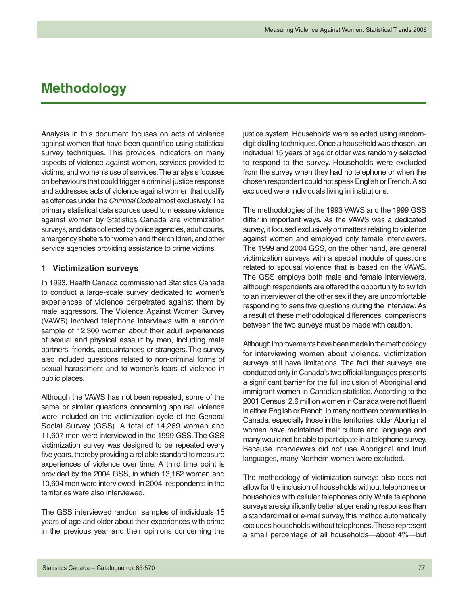# **Methodology**

Analysis in this document focuses on acts of violence against women that have been quantified using statistical survey techniques. This provides indicators on many aspects of violence against women, services provided to victims, and women's use of services. The analysis focuses on behaviours that could trigger a criminal justice response and addresses acts of violence against women that qualify as offences under the *Criminal Code* almost exclusively. The primary statistical data sources used to measure violence against women by Statistics Canada are victimization surveys, and data collected by police agencies, adult courts, emergency shelters for women and their children, and other service agencies providing assistance to crime victims.

#### **1 Victimization surveys**

In 1993, Health Canada commissioned Statistics Canada to conduct a large-scale survey dedicated to women's experiences of violence perpetrated against them by male aggressors. The Violence Against Women Survey (VAWS) involved telephone interviews with a random sample of 12,300 women about their adult experiences of sexual and physical assault by men, including male partners, friends, acquaintances or strangers. The survey also included questions related to non-criminal forms of sexual harassment and to women's fears of violence in public places.

Although the VAWS has not been repeated, some of the same or similar questions concerning spousal violence were included on the victimization cycle of the General Social Survey (GSS). A total of 14,269 women and 11,607 men were interviewed in the 1999 GSS. The GSS victimization survey was designed to be repeated every five years, thereby providing a reliable standard to measure experiences of violence over time. A third time point is provided by the 2004 GSS, in which 13,162 women and 10,604 men were interviewed. In 2004, respondents in the territories were also interviewed.

The GSS interviewed random samples of individuals 15 years of age and older about their experiences with crime in the previous year and their opinions concerning the justice system. Households were selected using randomdigit dialling techniques. Once a household was chosen, an individual 15 years of age or older was randomly selected to respond to the survey. Households were excluded from the survey when they had no telephone or when the chosen respondent could not speak English or French. Also excluded were individuals living in institutions.

The methodologies of the 1993 VAWS and the 1999 GSS differ in important ways. As the VAWS was a dedicated survey, it focused exclusively on matters relating to violence against women and employed only female interviewers. The 1999 and 2004 GSS, on the other hand, are general victimization surveys with a special module of questions related to spousal violence that is based on the VAWS. The GSS employs both male and female interviewers, although respondents are offered the opportunity to switch to an interviewer of the other sex if they are uncomfortable responding to sensitive questions during the interview. As a result of these methodological differences, comparisons between the two surveys must be made with caution.

Although improvements have been made in the methodology for interviewing women about violence, victimization surveys still have limitations. The fact that surveys are conducted only in Canada's two official languages presents a significant barrier for the full inclusion of Aboriginal and immigrant women in Canadian statistics. According to the 2001 Census, 2.6 million women in Canada were not fluent in either English or French. In many northern communities in Canada, especially those in the territories, older Aboriginal women have maintained their culture and language and many would not be able to participate in a telephone survey. Because interviewers did not use Aboriginal and Inuit languages, many Northern women were excluded.

The methodology of victimization surveys also does not allow for the inclusion of households without telephones or households with cellular telephones only. While telephone surveys are significantly better at generating responses than a standard mail or e-mail survey, this method automatically excludes households without telephones. These represent a small percentage of all households—about 4%—but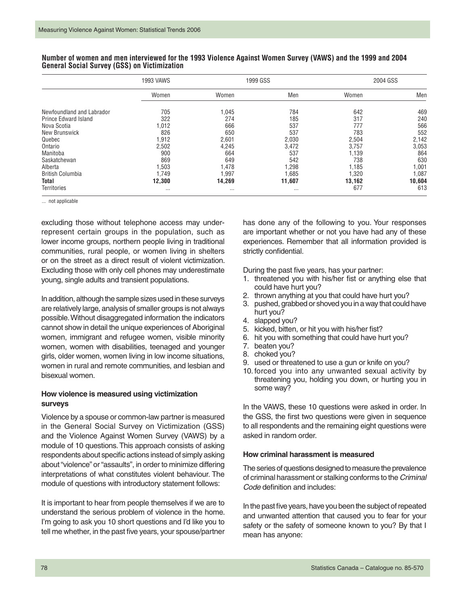|                           | <b>1993 VAWS</b> |          | 1999 GSS | 2004 GSS |        |
|---------------------------|------------------|----------|----------|----------|--------|
|                           | Women            | Women    | Men      | Women    | Men    |
| Newfoundland and Labrador | 705              | 1,045    | 784      | 642      | 469    |
| Prince Edward Island      | 322              | 274      | 185      | 317      | 240    |
| Nova Scotia               | ,012             | 666      | 537      | 777      | 566    |
| <b>New Brunswick</b>      | 826              | 650      | 537      | 783      | 552    |
| Quebec                    | .912             | 2,601    | 2,030    | 2,504    | 2,142  |
| Ontario                   | 2,502            | 4,245    | 3.472    | 3,757    | 3,053  |
| Manitoba                  | 900              | 664      | 537      | 1,139    | 864    |
| Saskatchewan              | 869              | 649      | 542      | 738      | 630    |
| Alberta                   | .503             | 1,478    | 1,298    | 1,185    | 1.001  |
| <b>British Columbia</b>   | .749             | 1,997    | 1,685    | 1,320    | 1,087  |
| <b>Total</b>              | 12,300           | 14,269   | 11,607   | 13,162   | 10,604 |
| <b>Territories</b>        | $\cdots$         | $\cdots$ | $\cdots$ | 677      | 613    |

#### **Number of women and men interviewed for the 1993 Violence Against Women Survey (VAWS) and the 1999 and 2004 General Social Survey (GSS) on Victimization**

... not applicable

excluding those without telephone access may underrepresent certain groups in the population, such as lower income groups, northern people living in traditional communities, rural people, or women living in shelters or on the street as a direct result of violent victimization. Excluding those with only cell phones may underestimate young, single adults and transient populations.

In addition, although the sample sizes used in these surveys are relatively large, analysis of smaller groups is not always possible. Without disaggregated information the indicators cannot show in detail the unique experiences of Aboriginal women, immigrant and refugee women, visible minority women, women with disabilities, teenaged and younger girls, older women, women living in low income situations, women in rural and remote communities, and lesbian and bisexual women.

#### **How violence is measured using victimization surveys**

Violence by a spouse or common-law partner is measured in the General Social Survey on Victimization (GSS) and the Violence Against Women Survey (VAWS) by a module of 10 questions. This approach consists of asking respondents about specific actions instead of simply asking about "violence" or "assaults", in order to minimize differing interpretations of what constitutes violent behaviour. The module of questions with introductory statement follows:

It is important to hear from people themselves if we are to understand the serious problem of violence in the home. I'm going to ask you 10 short questions and I'd like you to tell me whether, in the past five years, your spouse/partner has done any of the following to you. Your responses are important whether or not you have had any of these experiences. Remember that all information provided is strictly confidential.

During the past five years, has your partner:

- 1. threatened you with his/her fist or anything else that could have hurt you?
- 2. thrown anything at you that could have hurt you?
- 3. pushed, grabbed or shoved you in a way that could have hurt you?
- 4. slapped you?
- 5. kicked, bitten, or hit you with his/her fist?
- 6. hit you with something that could have hurt you?
- 7. beaten you?
- 8. choked you?
- 9. used or threatened to use a gun or knife on you?
- 10. forced you into any unwanted sexual activity by threatening you, holding you down, or hurting you in some way?

In the VAWS, these 10 questions were asked in order. In the GSS, the first two questions were given in sequence to all respondents and the remaining eight questions were asked in random order.

#### **How criminal harassment is measured**

The series of questions designed to measure the prevalence of criminal harassment or stalking conforms to the *Criminal Code* definition and includes:

In the past five years, have you been the subject of repeated and unwanted attention that caused you to fear for your safety or the safety of someone known to you? By that I mean has anyone: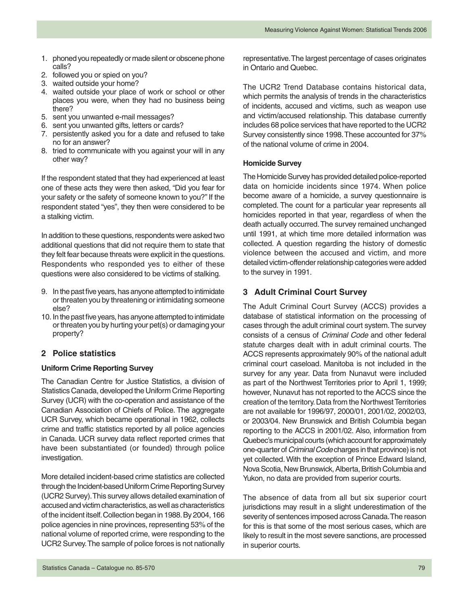- 1. phoned you repeatedly or made silent or obscene phone calls?
- 2. followed you or spied on you?
- 3. waited outside your home?
- 4. waited outside your place of work or school or other places you were, when they had no business being there?
- 5. sent you unwanted e-mail messages?
- 6. sent you unwanted gifts, letters or cards?
- 7. persistently asked you for a date and refused to take no for an answer?
- 8. tried to communicate with you against your will in any other way?

If the respondent stated that they had experienced at least one of these acts they were then asked, "Did you fear for your safety or the safety of someone known to you?" If the respondent stated "yes", they then were considered to be a stalking victim.

In addition to these questions, respondents were asked two additional questions that did not require them to state that they felt fear because threats were explicit in the questions. Respondents who responded yes to either of these questions were also considered to be victims of stalking.

- 9. In the past five years, has anyone attempted to intimidate or threaten you by threatening or intimidating someone else?
- 10. In the past five years, has anyone attempted to intimidate or threaten you by hurting your pet(s) or damaging your property?

### **2 Police statistics**

#### **Uniform Crime Reporting Survey**

The Canadian Centre for Justice Statistics, a division of Statistics Canada, developed the Uniform Crime Reporting Survey (UCR) with the co-operation and assistance of the Canadian Association of Chiefs of Police. The aggregate UCR Survey, which became operational in 1962, collects crime and traffic statistics reported by all police agencies in Canada. UCR survey data reflect reported crimes that have been substantiated (or founded) through police investigation.

More detailed incident-based crime statistics are collected through the Incident-based Uniform Crime Reporting Survey (UCR2 Survey). This survey allows detailed examination of accused and victim characteristics, as well as characteristics of the incident itself. Collection began in 1988. By 2004, 166 police agencies in nine provinces, representing 53% of the national volume of reported crime, were responding to the UCR2 Survey. The sample of police forces is not nationally representative. The largest percentage of cases originates in Ontario and Quebec.

The UCR2 Trend Database contains historical data, which permits the analysis of trends in the characteristics of incidents, accused and victims, such as weapon use and victim/accused relationship. This database currently includes 68 police services that have reported to the UCR2 Survey consistently since 1998. These accounted for 37% of the national volume of crime in 2004.

#### **Homicide Survey**

The Homicide Survey has provided detailed police-reported data on homicide incidents since 1974. When police become aware of a homicide, a survey questionnaire is completed. The count for a particular year represents all homicides reported in that year, regardless of when the death actually occurred. The survey remained unchanged until 1991, at which time more detailed information was collected. A question regarding the history of domestic violence between the accused and victim, and more detailed victim-offender relationship categories were added to the survey in 1991.

### **3 Adult Criminal Court Survey**

The Adult Criminal Court Survey (ACCS) provides a database of statistical information on the processing of cases through the adult criminal court system. The survey consists of a census of *Criminal Code* and other federal statute charges dealt with in adult criminal courts. The ACCS represents approximately 90% of the national adult criminal court caseload. Manitoba is not included in the survey for any year. Data from Nunavut were included as part of the Northwest Territories prior to April 1, 1999; however, Nunavut has not reported to the ACCS since the creation of the territory. Data from the Northwest Territories are not available for 1996/97, 2000/01, 2001/02, 2002/03, or 2003/04. New Brunswick and British Columbia began reporting to the ACCS in 2001/02. Also, information from Quebec's municipal courts (which account for approximately one-quarter of *Criminal Code* charges in that province) is not yet collected. With the exception of Prince Edward Island, Nova Scotia, New Brunswick, Alberta, British Columbia and Yukon, no data are provided from superior courts.

The absence of data from all but six superior court jurisdictions may result in a slight underestimation of the severity of sentences imposed across Canada. The reason for this is that some of the most serious cases, which are likely to result in the most severe sanctions, are processed in superior courts.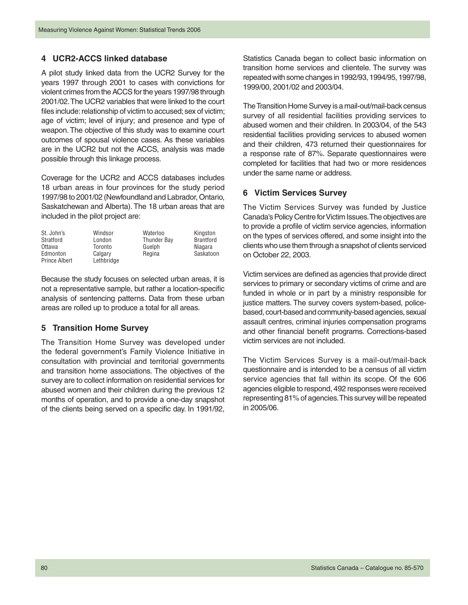#### **4 UCR2-ACCS linked database**

A pilot study linked data from the UCR2 Survey for the years 1997 through 2001 to cases with convictions for violent crimes from the ACCS for the years 1997/98 through 2001/02. The UCR2 variables that were linked to the court files include: relationship of victim to accused; sex of victim; age of victim; level of injury; and presence and type of weapon. The objective of this study was to examine court outcomes of spousal violence cases. As these variables are in the UCR2 but not the ACCS, analysis was made possible through this linkage process.

Coverage for the UCR2 and ACCS databases includes 18 urban areas in four provinces for the study period 1997/98 to 2001/02 (Newfoundland and Labrador, Ontario, Saskatchewan and Alberta). The 18 urban areas that are included in the pilot project are:

| St. John's           | Windsor    | Waterloo           | Kingston  |
|----------------------|------------|--------------------|-----------|
| Stratford            | London     | <b>Thunder Bay</b> | Brantford |
| Ottawa               | Toronto    | Guelph             | Niagara   |
| Edmonton             | Calgary    | Regina             | Saskatoon |
| <b>Prince Albert</b> | Lethbridge |                    |           |

Because the study focuses on selected urban areas, it is not a representative sample, but rather a location-specific analysis of sentencing patterns. Data from these urban areas are rolled up to produce a total for all areas.

#### **5 Transition Home Survey**

The Transition Home Survey was developed under the federal government's Family Violence Initiative in consultation with provincial and territorial governments and transition home associations. The objectives of the survey are to collect information on residential services for abused women and their children during the previous 12 months of operation, and to provide a one-day snapshot of the clients being served on a specific day. In 1991/92,

Statistics Canada began to collect basic information on transition home services and clientele. The survey was repeated with some changes in 1992/93, 1994/95, 1997/98, 1999/00, 2001/02 and 2003/04.

The Transition Home Survey is a mail-out/mail-back census survey of all residential facilities providing services to abused women and their children. In 2003/04, of the 543 residential facilities providing services to abused women and their children, 473 returned their questionnaires for a response rate of 87%. Separate questionnaires were completed for facilities that had two or more residences under the same name or address.

#### **6 Victim Services Survey**

The Victim Services Survey was funded by Justice Canada's Policy Centre for Victim Issues. The objectives are to provide a profile of victim service agencies, information on the types of services offered, and some insight into the clients who use them through a snapshot of clients serviced on October 22, 2003.

Victim services are defined as agencies that provide direct services to primary or secondary victims of crime and are funded in whole or in part by a ministry responsible for justice matters. The survey covers system-based, policebased, court-based and community-based agencies, sexual assault centres, criminal injuries compensation programs and other financial benefit programs. Corrections-based victim services are not included.

The Victim Services Survey is a mail-out/mail-back questionnaire and is intended to be a census of all victim service agencies that fall within its scope. Of the 606 agencies eligible to respond, 492 responses were received representing 81% of agencies. This survey will be repeated in 2005/06.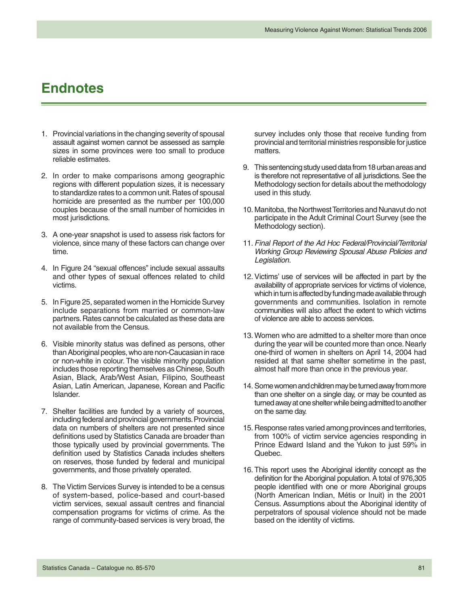# **Endnotes**

- 1. Provincial variations in the changing severity of spousal assault against women cannot be assessed as sample sizes in some provinces were too small to produce reliable estimates.
- 2. In order to make comparisons among geographic regions with different population sizes, it is necessary to standardize rates to a common unit. Rates of spousal homicide are presented as the number per 100,000 couples because of the small number of homicides in most jurisdictions.
- 3. A one-year snapshot is used to assess risk factors for violence, since many of these factors can change over time.
- 4. In Figure 24 "sexual offences" include sexual assaults and other types of sexual offences related to child victims.
- 5. In Figure 25, separated women in the Homicide Survey include separations from married or common-law partners. Rates cannot be calculated as these data are not available from the Census.
- 6. Visible minority status was defined as persons, other than Aboriginal peoples, who are non-Caucasian in race or non-white in colour. The visible minority population includes those reporting themselves as Chinese, South Asian, Black, Arab/West Asian, Filipino, Southeast Asian, Latin American, Japanese, Korean and Pacific Islander.
- 7. Shelter facilities are funded by a variety of sources, including federal and provincial governments. Provincial data on numbers of shelters are not presented since definitions used by Statistics Canada are broader than those typically used by provincial governments. The definition used by Statistics Canada includes shelters on reserves, those funded by federal and municipal governments, and those privately operated.
- 8. The Victim Services Survey is intended to be a census of system-based, police-based and court-based victim services, sexual assault centres and financial compensation programs for victims of crime. As the range of community-based services is very broad, the

survey includes only those that receive funding from provincial and territorial ministries responsible for justice matters.

- 9. This sentencing study used data from 18 urban areas and is therefore not representative of all jurisdictions. See the Methodology section for details about the methodology used in this study.
- 10. Manitoba, the Northwest Territories and Nunavut do not participate in the Adult Criminal Court Survey (see the Methodology section).
- 11. *Final Report of the Ad Hoc Federal/Provincial/Territorial Working Group Reviewing Spousal Abuse Policies and Legislation.*
- 12. Victims' use of services will be affected in part by the availability of appropriate services for victims of violence, which in turn is affected by funding made available through governments and communities. Isolation in remote communities will also affect the extent to which victims of violence are able to access services.
- 13. Women who are admitted to a shelter more than once during the year will be counted more than once. Nearly one-third of women in shelters on April 14, 2004 had resided at that same shelter sometime in the past, almost half more than once in the previous year.
- 14. Some women and children may be turned away from more than one shelter on a single day, or may be counted as turned away at one shelter while being admitted to another on the same day.
- 15. Response rates varied among provinces and territories, from 100% of victim service agencies responding in Prince Edward Island and the Yukon to just 59% in Quebec.
- 16. This report uses the Aboriginal identity concept as the definition for the Aboriginal population. A total of 976,305 people identified with one or more Aboriginal groups (North American Indian, Métis or Inuit) in the 2001 Census. Assumptions about the Aboriginal identity of perpetrators of spousal violence should not be made based on the identity of victims.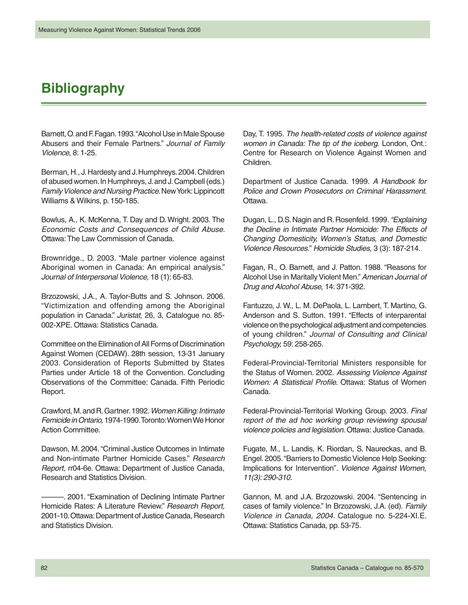# **Bibliography**

Barnett, O. and F. Fagan. 1993. "Alcohol Use in Male Spouse Abusers and their Female Partners." *Journal of Family Violence,* 8: 1-25.

Berman, H., J. Hardesty and J. Humphreys. 2004. Children of abused women. In Humphreys, J. and J. Campbell (eds.) *Family Violence and Nursing Practice.* New York: Lippincott Williams & Wilkins, p. 150-185.

Bowlus, A., K. McKenna, T. Day and D. Wright. 2003. The *Economic Costs and Consequences of Child Abuse.*  Ottawa: The Law Commission of Canada.

Brownridge., D. 2003. "Male partner violence against Aboriginal women in Canada: An empirical analysis." *Journal of Interpersonal Violence,* 18 (1): 65-83.

Brzozowski, J.A., A. Taylor-Butts and S. Johnson. 2006. "Victimization and offending among the Aboriginal population in Canada." *Juristat,* 26, 3, Catalogue no. 85- 002-XPE. Ottawa: Statistics Canada.

Committee on the Elimination of All Forms of Discrimination Against Women (CEDAW). 28th session, 13-31 January 2003. Consideration of Reports Submitted by States Parties under Article 18 of the Convention. Concluding Observations of the Committee: Canada. Fifth Periodic Report.

Crawford, M. and R. Gartner. 1992. *Women Killing: Intimate Femicide in Ontario,* 1974-1990. Toronto: Women We Honor Action Committee.

Dawson, M. 2004. "Criminal Justice Outcomes in Intimate and Non-intimate Partner Homicide Cases." *Research Report,* rr04-6e. Ottawa: Department of Justice Canada, Research and Statistics Division.

-. 2001. "Examination of Declining Intimate Partner Homicide Rates: A Literature Review." *Research Report,*  2001-10. Ottawa: Department of Justice Canada, Research and Statistics Division.

Day, T. 1995. *The health-related costs of violence against women in Canada: The tip of the iceberg.* London, Ont.: Centre for Research on Violence Against Women and Children.

Department of Justice Canada. 1999. *A Handbook for Police and Crown Prosecutors on Criminal Harassment.*  Ottawa.

Dugan, L., D.S. Nagin and R. Rosenfeld. 1999. *"Explaining the Decline in Intimate Partner Homicide: The Effects of Changing Domesticity, Women's Status, and Domestic Violence Resources.*" *Homicide Studies*, 3 (3): 187-214.

Fagan, R., O. Barnett, and J. Patton. 1988. "Reasons for Alcohol Use in Maritally Violent Men." *American Journal of Drug and Alcohol Abuse,* 14: 371-392.

Fantuzzo, J. W., L. M. DePaola, L. Lambert, T. Martino, G. Anderson and S. Sutton. 1991. "Effects of interparental violence on the psychological adjustment and competencies of young children." *Journal of Consulting and Clinical Psychology,* 59: 258-265.

Federal-Provincial-Territorial Ministers responsible for the Status of Women. 2002. *Assessing Violence Against Women: A Statistical Profile. Ottawa: Status of Women* Canada.

Federal-Provincial-Territorial Working Group. 2003. *Final report of the ad hoc working group reviewing spousal violence policies and legislation.* Ottawa: Justice Canada.

Fugate, M., L. Landis, K. Riordan, S. Naureckas, and B. Engel. 2005. "Barriers to Domestic Violence Help Seeking: Implications for Intervention". *Violence Against Women, 11(3): 290-310.*

Gannon, M. and J.A. Brzozowski. 2004. "Sentencing in cases of family violence." In Brzozowski, J.A. (ed). *Family Violence in Canada, 2004.* Catalogue no. 5-224-XI.E. Ottawa: Statistics Canada, pp. 53-75.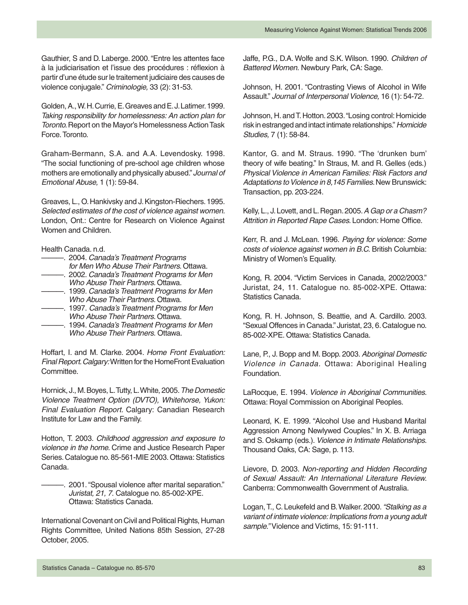Gauthier, S and D. Laberge. 2000. "Entre les attentes face à la judiciarisation et l'issue des procédures : réflexion à partir d'une étude sur le traitement judiciaire des causes de violence conjugale." *Criminologie,* 33 (2): 31-53.

Golden, A., W. H. Currie, E. Greaves and E. J. Latimer. 1999. *Taking responsibility for homelessness: An action plan for Toronto.* Report on the Mayor's Homelessness Action Task Force. Toronto.

Graham-Bermann, S.A. and A.A. Levendosky. 1998. "The social functioning of pre-school age children whose mothers are emotionally and physically abused." *Journal of Emotional Abuse,* 1 (1): 59-84.

Greaves, L., O. Hankivsky and J. Kingston-Riechers. 1995. *Selected estimates of the cost of violence against women.*  London, Ont.: Centre for Research on Violence Against Women and Children.

Health Canada. n.d.

| -. 2004. Canada's Treatment Programs         |
|----------------------------------------------|
| for Men Who Abuse Their Partners. Ottawa.    |
| -. 2002. Canada's Treatment Programs for Men |
| Who Abuse Their Partners. Ottawa.            |
| -. 1999. Canada's Treatment Programs for Men |
| Who Abuse Their Partners. Ottawa.            |
| -. 1997. Canada's Treatment Programs for Men |

 *Who Abuse Their Partners.* Ottawa. ———. 1994. *Canada's Treatment Programs for Men* 

 *Who Abuse Their Partners.* Ottawa.

Hoffart, I. and M. Clarke. 2004. *Home Front Evaluation: Final Report. Calgary:* Written for the HomeFront Evaluation Committee.

Hornick, J., M. Boyes, L. Tutty, L. White, 2005. *The Domestic Violence Treatment Option (DVTO), Whitehorse, Yukon: Final Evaluation Report.* Calgary: Canadian Research Institute for Law and the Family.

Hotton, T. 2003. *Childhood aggression and exposure to violence in the home.* Crime and Justice Research Paper Series. Catalogue no. 85-561-MIE 2003. Ottawa: Statistics Canada.

International Covenant on Civil and Political Rights, Human Rights Committee, United Nations 85th Session, 27-28 October, 2005.

Jaffe, P.G., D.A. Wolfe and S.K. Wilson. 1990. *Children of Battered Women.* Newbury Park, CA: Sage.

Johnson, H. 2001. "Contrasting Views of Alcohol in Wife Assault." *Journal of Interpersonal Violence,* 16 (1): 54-72.

Johnson, H. and T. Hotton. 2003. "Losing control: Homicide risk in estranged and intact intimate relationships." *Homicide Studies,* 7 (1): 58-84.

Kantor, G. and M. Straus. 1990. "The 'drunken bum' theory of wife beating." In Straus, M. and R. Gelles (eds.) *Physical Violence in American Families: Risk Factors and Adaptations to Violence in 8,145 Families.* New Brunswick: Transaction, pp. 203-224.

Kelly, L., J. Lovett, and L. Regan. 2005. *A Gap or a Chasm?*  Attrition in Reported Rape Cases. London: Home Office.

Kerr, R. and J. McLean. 1996. *Paying for violence: Some costs of violence against women in B.C.* British Columbia: Ministry of Women's Equality.

Kong, R. 2004. "Victim Services in Canada, 2002/2003." Juristat, 24, 11. Catalogue no. 85-002-XPE. Ottawa: Statistics Canada.

Kong, R. H. Johnson, S. Beattie, and A. Cardillo. 2003. "Sexual Offences in Canada." Juristat, 23, 6. Catalogue no. 85-002-XPE. Ottawa: Statistics Canada.

Lane, P., J. Bopp and M. Bopp. 2003. *Aboriginal Domestic Violence in Canada.* Ottawa: Aboriginal Healing Foundation.

LaRocque, E. 1994. *Violence in Aboriginal Communities.*  Ottawa: Royal Commission on Aboriginal Peoples.

Leonard, K. E. 1999. "Alcohol Use and Husband Marital Aggression Among Newlywed Couples." In X. B. Arriaga and S. Oskamp (eds.). *Violence in Intimate Relationships.*  Thousand Oaks, CA: Sage, p. 113.

Lievore, D. 2003. *Non-reporting and Hidden Recording of Sexual Assault: An International Literature Review.*  Canberra: Commonwealth Government of Australia.

Logan, T., C. Leukefeld and B. Walker. 2000. *"Stalking as a variant of intimate violence: Implications from a young adult sample."* Violence and Victims, 15: 91-111.

<sup>———. 2001. &</sup>quot;Spousal violence after marital separation." *Juristat, 21, 7.* Catalogue no. 85-002-XPE. Ottawa: Statistics Canada.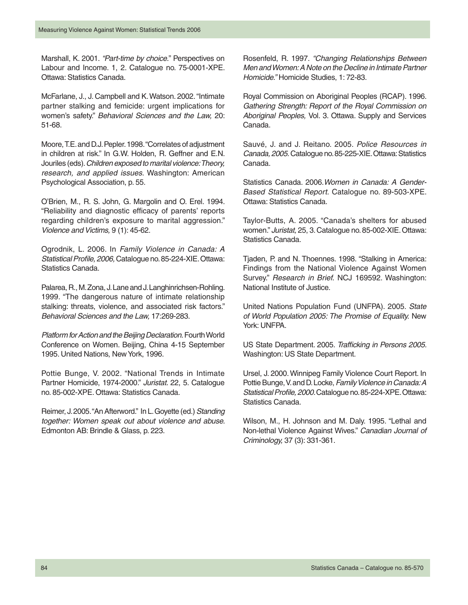Marshall, K. 2001. *"Part-time by choice.*" Perspectives on Labour and Income. 1, 2. Catalogue no. 75-0001-XPE. Ottawa: Statistics Canada.

McFarlane, J., J. Campbell and K. Watson. 2002. "Intimate partner stalking and femicide: urgent implications for women's safety." *Behavioral Sciences and the Law,* 20: 51-68.

Moore, T.E. and D.J. Pepler. 1998. "Correlates of adjustment in children at risk." In G.W. Holden, R. Geffner and E.N. Jouriles (eds). *Children exposed to marital violence: Theory, research, and applied issues.* Washington: American Psychological Association, p. 55.

O'Brien, M., R. S. John, G. Margolin and O. Erel. 1994. "Reliability and diagnostic efficacy of parents' reports regarding children's exposure to marital aggression." *Violence and Victims,* 9 (1): 45-62.

Ogrodnik, L. 2006. In *Family Violence in Canada: A Statistical Profi le, 2006,* Catalogue no. 85-224-XIE. Ottawa: Statistics Canada.

Palarea, R., M. Zona, J. Lane and J. Langhinrichsen-Rohling. 1999. "The dangerous nature of intimate relationship stalking: threats, violence, and associated risk factors." *Behavioral Sciences and the Law,* 17:269-283.

*Platform for Action and the Beijing Declaration.* Fourth World Conference on Women. Beijing, China 4-15 September 1995. United Nations, New York, 1996.

Pottie Bunge, V. 2002. "National Trends in Intimate Partner Homicide, 1974-2000." *Juristat.* 22, 5. Catalogue no. 85-002-XPE. Ottawa: Statistics Canada.

Reimer, J. 2005. "An Afterword." In L. Goyette (ed.) *Standing together: Women speak out about violence and abuse.*  Edmonton AB: Brindle & Glass, p. 223.

Rosenfeld, R. 1997. *"Changing Relationships Between Men and Women: A Note on the Decline in Intimate Partner Homicide."* Homicide Studies, 1: 72-83.

Royal Commission on Aboriginal Peoples (RCAP). 1996. *Gathering Strength: Report of the Royal Commission on Aboriginal Peoples,* Vol. 3. Ottawa. Supply and Services Canada.

Sauvé, J. and J. Reitano. 2005. *Police Resources in Canada, 2005.* Catalogue no. 85-225-XIE. Ottawa: Statistics Canada.

Statistics Canada. 2006.*Women in Canada: A Gender-Based Statistical Report.* Catalogue no. 89-503-XPE. Ottawa: Statistics Canada.

Taylor-Butts, A. 2005. "Canada's shelters for abused women." *Juristat,* 25, 3. Catalogue no. 85-002-XIE. Ottawa: Statistics Canada.

Tjaden, P. and N. Thoennes. 1998. "Stalking in America: Findings from the National Violence Against Women Survey." *Research in Brief.* NCJ 169592. Washington: National Institute of Justice.

United Nations Population Fund (UNFPA). 2005. *State of World Population 2005: The Promise of Equality.* New York: UNFPA.

US State Department. 2005. *Trafficking in Persons 2005.* Washington: US State Department.

Ursel, J. 2000. Winnipeg Family Violence Court Report. In Pottie Bunge, V. and D. Locke, *Family Violence in Canada: A Statistical Profi le, 2000.* Catalogue no. 85-224-XPE. Ottawa: Statistics Canada.

Wilson, M., H. Johnson and M. Daly. 1995. "Lethal and Non-lethal Violence Against Wives." *Canadian Journal of Criminology,* 37 (3): 331-361.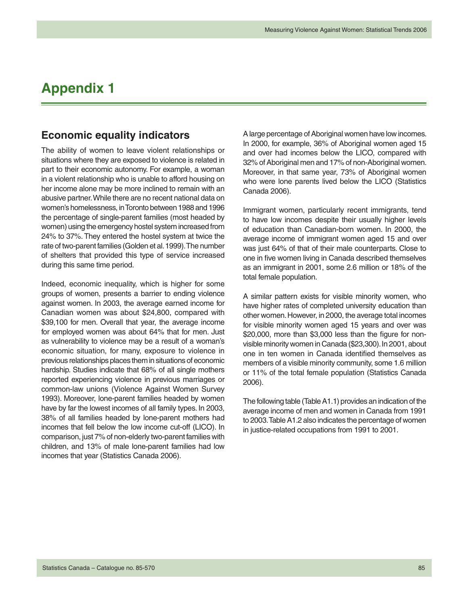# **Appendix 1**

## **Economic equality indicators**

The ability of women to leave violent relationships or situations where they are exposed to violence is related in part to their economic autonomy. For example, a woman in a violent relationship who is unable to afford housing on her income alone may be more inclined to remain with an abusive partner. While there are no recent national data on women's homelessness, in Toronto between 1988 and 1996 the percentage of single-parent families (most headed by women) using the emergency hostel system increased from 24% to 37%. They entered the hostel system at twice the rate of two-parent families (Golden et al. 1999). The number of shelters that provided this type of service increased during this same time period.

Indeed, economic inequality, which is higher for some groups of women, presents a barrier to ending violence against women. In 2003, the average earned income for Canadian women was about \$24,800, compared with \$39,100 for men. Overall that year, the average income for employed women was about 64% that for men. Just as vulnerability to violence may be a result of a woman's economic situation, for many, exposure to violence in previous relationships places them in situations of economic hardship. Studies indicate that 68% of all single mothers reported experiencing violence in previous marriages or common-law unions (Violence Against Women Survey 1993). Moreover, lone-parent families headed by women have by far the lowest incomes of all family types. In 2003, 38% of all families headed by lone-parent mothers had incomes that fell below the low income cut-off (LICO). In comparison, just 7% of non-elderly two-parent families with children, and 13% of male lone-parent families had low incomes that year (Statistics Canada 2006).

A large percentage of Aboriginal women have low incomes. In 2000, for example, 36% of Aboriginal women aged 15 and over had incomes below the LICO, compared with 32% of Aboriginal men and 17% of non-Aboriginal women. Moreover, in that same year, 73% of Aboriginal women who were lone parents lived below the LICO (Statistics Canada 2006).

Immigrant women, particularly recent immigrants, tend to have low incomes despite their usually higher levels of education than Canadian-born women. In 2000, the average income of immigrant women aged 15 and over was just 64% of that of their male counterparts. Close to one in five women living in Canada described themselves as an immigrant in 2001, some 2.6 million or 18% of the total female population.

A similar pattern exists for visible minority women, who have higher rates of completed university education than other women. However, in 2000, the average total incomes for visible minority women aged 15 years and over was  $$20,000$ , more than  $$3,000$  less than the figure for nonvisible minority women in Canada (\$23,300). In 2001, about one in ten women in Canada identified themselves as members of a visible minority community, some 1.6 million or 11% of the total female population (Statistics Canada 2006).

The following table (Table A1.1) provides an indication of the average income of men and women in Canada from 1991 to 2003. Table A1.2 also indicates the percentage of women in justice-related occupations from 1991 to 2001.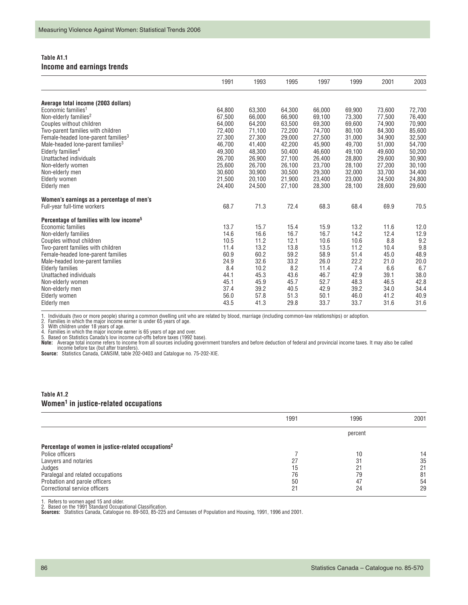#### **Table A1.1 Income and earnings trends**

|                                                     | 1991   | 1993   | 1995   | 1997   | 1999   | 2001   | 2003   |
|-----------------------------------------------------|--------|--------|--------|--------|--------|--------|--------|
| Average total income (2003 dollars)                 |        |        |        |        |        |        |        |
| Economic families <sup>1</sup>                      | 64,800 | 63,300 | 64,300 | 66,000 | 69,900 | 73,600 | 72,700 |
| Non-elderly families <sup>2</sup>                   | 67,500 | 66,000 | 66,900 | 69,100 | 73,300 | 77,500 | 76,400 |
| Couples without children                            | 64.000 | 64,200 | 63,500 | 69,300 | 69,600 | 74,900 | 70,900 |
| Two-parent families with children                   | 72,400 | 71.100 | 72,200 | 74.700 | 80.100 | 84,300 | 85,600 |
| Female-headed lone-parent families <sup>3</sup>     | 27.300 | 27.300 | 29.000 | 27.500 | 31.000 | 34,900 | 32,500 |
| Male-headed lone-parent families <sup>3</sup>       | 46,700 | 41,400 | 42,200 | 45,900 | 49,700 | 51,000 | 54,700 |
| Elderly families <sup>4</sup>                       | 49,300 | 48,300 | 50,400 | 46,600 | 49,100 | 49,600 | 50,200 |
| Unattached individuals                              | 26,700 | 26,900 | 27,100 | 26,400 | 28,800 | 29,600 | 30,900 |
| Non-elderly women                                   | 25.600 | 26.700 | 26.100 | 23,700 | 28,100 | 27,200 | 30,100 |
| Non-elderly men                                     | 30,600 | 30,900 | 30,500 | 29,300 | 32,000 | 33,700 | 34,400 |
| Elderly women                                       | 21,500 | 20,100 | 21,900 | 23,400 | 23,000 | 24,500 | 24,800 |
| Elderly men                                         | 24,400 | 24,500 | 27,100 | 28,300 | 28,100 | 28,600 | 29,600 |
| Women's earnings as a percentage of men's           |        |        |        |        |        |        |        |
| Full-year full-time workers                         | 68.7   | 71.3   | 72.4   | 68.3   | 68.4   | 69.9   | 70.5   |
| Percentage of families with low income <sup>5</sup> |        |        |        |        |        |        |        |
| Economic families                                   | 13.7   | 15.7   | 15.4   | 15.9   | 13.2   | 11.6   | 12.0   |
| Non-elderly families                                | 14.6   | 16.6   | 16.7   | 16.7   | 14.2   | 12.4   | 12.9   |
| Couples without children                            | 10.5   | 11.2   | 12.1   | 10.6   | 10.6   | 8.8    | 9.2    |
| Two-parent families with children                   | 11.4   | 13.2   | 13.8   | 13.5   | 11.2   | 10.4   | 9.8    |
| Female-headed lone-parent families                  | 60.9   | 60.2   | 59.2   | 58.9   | 51.4   | 45.0   | 48.9   |
| Male-headed lone-parent families                    | 24.9   | 32.6   | 33.2   | 26.0   | 22.2   | 21.0   | 20.0   |
| <b>Elderly families</b>                             | 8.4    | 10.2   | 8.2    | 11.4   | 7.4    | 6.6    | 6.7    |
| Unattached individuals                              | 44.1   | 45.3   | 43.6   | 46.7   | 42.9   | 39.1   | 38.0   |
| Non-elderly women                                   | 45.1   | 45.9   | 45.7   | 52.7   | 48.3   | 46.5   | 42.8   |
| Non-elderly men                                     | 37.4   | 39.2   | 40.5   | 42.9   | 39.2   | 34.0   | 34.4   |
| Elderly women                                       | 56.0   | 57.8   | 51.3   | 50.1   | 46.0   | 41.2   | 40.9   |
| Elderly men                                         | 43.5   | 41.3   | 29.8   | 33.7   | 33.7   | 31.6   | 31.6   |

1. Individuals (two or more people) sharing a common dwelling unit who are related by blood, marriage (including common-law relationships) or adoption.<br>2. Families in which the major income earner is under 65 years of age. income before tax (but after transfers). **Source:** Statistics Canada, CANSIM, table 202-0403 and Catalogue no. 75-202-XIE.

#### **Table A1.2 Women1 in justice-related occupations**

|                                                                 | 1991 | 1996    | 2001 |
|-----------------------------------------------------------------|------|---------|------|
|                                                                 |      | percent |      |
| Percentage of women in justice-related occupations <sup>2</sup> |      |         |      |
| Police officers                                                 |      | 10      | 14   |
| Lawyers and notaries                                            |      | 31      | 35   |
| Judges                                                          | 15   | 21      | 21   |
| Paralegal and related occupations                               | 76   | 79      | 81   |
| Probation and parole officers                                   | 50   | 47      | 54   |
| Correctional service officers                                   | 21   | 24      | 29   |

1. Refers to women aged 15 and older.<br>2. Based on the 1991 Standard Occupational Classification.<br>**Sources:** Statistics Canada, Catalogue no. 89-503, 85-225 and Censuses of Population and Housing, 1991, 1996 and 2001.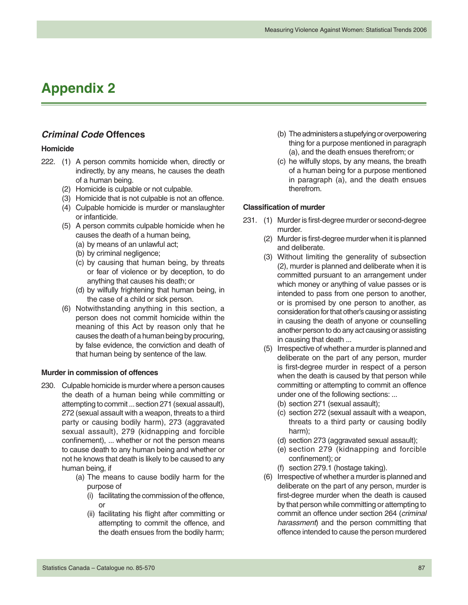# **Appendix 2**

### *Criminal Code* **Offences**

#### **Homicide**

- 222. (1) A person commits homicide when, directly or indirectly, by any means, he causes the death of a human being.
	- (2) Homicide is culpable or not culpable.
	- (3) Homicide that is not culpable is not an offence.
	- (4) Culpable homicide is murder or manslaughter or infanticide.
	- (5) A person commits culpable homicide when he causes the death of a human being,
		- (a) by means of an unlawful act;
		- (b) by criminal negligence;
		- (c) by causing that human being, by threats or fear of violence or by deception, to do anything that causes his death; or
		- (d) by wilfully frightening that human being, in the case of a child or sick person.
	- (6) Notwithstanding anything in this section, a person does not commit homicide within the meaning of this Act by reason only that he causes the death of a human being by procuring, by false evidence, the conviction and death of that human being by sentence of the law.

#### **Murder in commission of offences**

- 230. Culpable homicide is murder where a person causes the death of a human being while committing or attempting to commit ... section 271 (sexual assault), 272 (sexual assault with a weapon, threats to a third party or causing bodily harm), 273 (aggravated sexual assault), 279 (kidnapping and forcible confinement), ... whether or not the person means to cause death to any human being and whether or not he knows that death is likely to be caused to any human being, if
	- (a) The means to cause bodily harm for the purpose of
		- (i) facilitating the commission of the offence, or
		- (ii) facilitating his flight after committing or attempting to commit the offence, and the death ensues from the bodily harm;
- (b) The administers a stupefying or overpowering thing for a purpose mentioned in paragraph (a), and the death ensues therefrom; or
- (c) he wilfully stops, by any means, the breath of a human being for a purpose mentioned in paragraph (a), and the death ensues therefrom.

#### **Classification of murder**

- 231. (1) Murder is first-degree murder or second-degree murder.
	- (2) Murder is first-degree murder when it is planned and deliberate.
	- (3) Without limiting the generality of subsection (2), murder is planned and deliberate when it is committed pursuant to an arrangement under which money or anything of value passes or is intended to pass from one person to another, or is promised by one person to another, as consideration for that other's causing or assisting in causing the death of anyone or counselling another person to do any act causing or assisting in causing that death ...
	- (5) Irrespective of whether a murder is planned and deliberate on the part of any person, murder is first-degree murder in respect of a person when the death is caused by that person while committing or attempting to commit an offence under one of the following sections: ...
		- (b) section 271 (sexual assault);
		- (c) section 272 (sexual assault with a weapon, threats to a third party or causing bodily harm);
		- (d) section 273 (aggravated sexual assault);
		- (e) section 279 (kidnapping and forcible confinement); or
		- (f) section 279.1 (hostage taking).
	- (6) Irrespective of whether a murder is planned and deliberate on the part of any person, murder is first-degree murder when the death is caused by that person while committing or attempting to commit an offence under section 264 (*criminal harassment*) and the person committing that offence intended to cause the person murdered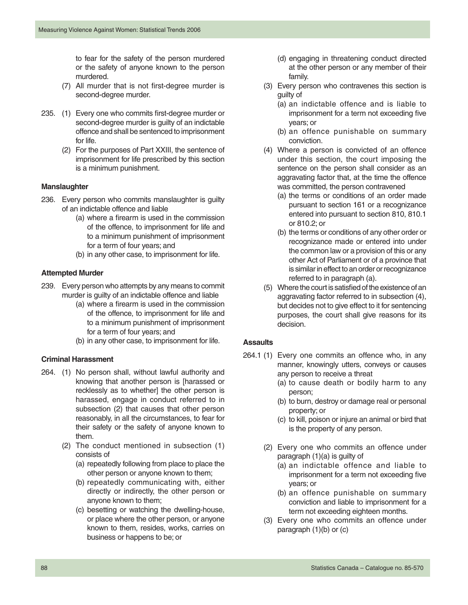to fear for the safety of the person murdered or the safety of anyone known to the person murdered.

- (7) All murder that is not first-degree murder is second-degree murder.
- 235. (1) Every one who commits first-degree murder or second-degree murder is guilty of an indictable offence and shall be sentenced to imprisonment for life.
	- (2) For the purposes of Part XXIII, the sentence of imprisonment for life prescribed by this section is a minimum punishment.

#### **Manslaughter**

- 236. Every person who commits manslaughter is guilty of an indictable offence and liable
	- (a) where a firearm is used in the commission of the offence, to imprisonment for life and to a minimum punishment of imprisonment for a term of four years; and
	- (b) in any other case, to imprisonment for life.

#### **Attempted Murder**

- 239. Every person who attempts by any means to commit murder is guilty of an indictable offence and liable
	- (a) where a firearm is used in the commission of the offence, to imprisonment for life and to a minimum punishment of imprisonment for a term of four years; and
	- (b) in any other case, to imprisonment for life.

#### **Criminal Harassment**

- 264. (1) No person shall, without lawful authority and knowing that another person is [harassed or recklessly as to whether] the other person is harassed, engage in conduct referred to in subsection (2) that causes that other person reasonably, in all the circumstances, to fear for their safety or the safety of anyone known to them.
	- (2) The conduct mentioned in subsection (1) consists of
		- (a) repeatedly following from place to place the other person or anyone known to them;
		- (b) repeatedly communicating with, either directly or indirectly, the other person or anyone known to them;
		- (c) besetting or watching the dwelling-house, or place where the other person, or anyone known to them, resides, works, carries on business or happens to be; or
- (d) engaging in threatening conduct directed at the other person or any member of their family.
- (3) Every person who contravenes this section is guilty of
	- (a) an indictable offence and is liable to imprisonment for a term not exceeding five years; or
	- (b) an offence punishable on summary conviction.
- (4) Where a person is convicted of an offence under this section, the court imposing the sentence on the person shall consider as an aggravating factor that, at the time the offence was committed, the person contravened
	- (a) the terms or conditions of an order made pursuant to section 161 or a recognizance entered into pursuant to section 810, 810.1 or 810.2; or
	- (b) the terms or conditions of any other order or recognizance made or entered into under the common law or a provision of this or any other Act of Parliament or of a province that is similar in effect to an order or recognizance referred to in paragraph (a).
- (5) Where the court is satisfied of the existence of an aggravating factor referred to in subsection (4), but decides not to give effect to it for sentencing purposes, the court shall give reasons for its decision.

#### **Assaults**

- 264.1 (1) Every one commits an offence who, in any manner, knowingly utters, conveys or causes any person to receive a threat
	- (a) to cause death or bodily harm to any person;
	- (b) to burn, destroy or damage real or personal property; or
	- (c) to kill, poison or injure an animal or bird that is the property of any person.
	- (2) Every one who commits an offence under paragraph (1)(a) is guilty of
		- (a) an indictable offence and liable to imprisonment for a term not exceeding five years; or
		- (b) an offence punishable on summary conviction and liable to imprisonment for a term not exceeding eighteen months.
	- (3) Every one who commits an offence under paragraph (1)(b) or (c)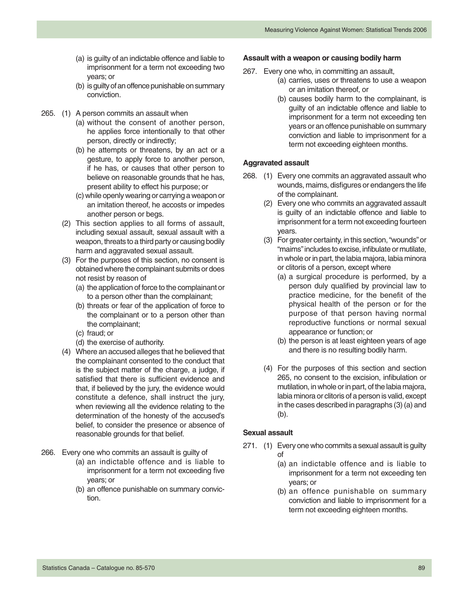- (a) is guilty of an indictable offence and liable to imprisonment for a term not exceeding two years; or
- (b) is guilty of an offence punishable on summary conviction.
- 265. (1) A person commits an assault when
	- (a) without the consent of another person, he applies force intentionally to that other person, directly or indirectly;
	- (b) he attempts or threatens, by an act or a gesture, to apply force to another person, if he has, or causes that other person to believe on reasonable grounds that he has, present ability to effect his purpose; or
	- (c) while openly wearing or carrying a weapon or an imitation thereof, he accosts or impedes another person or begs.
	- (2) This section applies to all forms of assault, including sexual assault, sexual assault with a weapon, threats to a third party or causing bodily harm and aggravated sexual assault.
	- (3) For the purposes of this section, no consent is obtained where the complainant submits or does not resist by reason of
		- (a) the application of force to the complainant or to a person other than the complainant;
		- (b) threats or fear of the application of force to the complainant or to a person other than the complainant;
		- (c) fraud; or
		- (d) the exercise of authority.
	- (4) Where an accused alleges that he believed that the complainant consented to the conduct that is the subject matter of the charge, a judge, if satisfied that there is sufficient evidence and that, if believed by the jury, the evidence would constitute a defence, shall instruct the jury, when reviewing all the evidence relating to the determination of the honesty of the accused's belief, to consider the presence or absence of reasonable grounds for that belief.
- 266. Every one who commits an assault is guilty of
	- (a) an indictable offence and is liable to imprisonment for a term not exceeding five years; or
	- (b) an offence punishable on summary conviction.

#### **Assault with a weapon or causing bodily harm**

- 267. Every one who, in committing an assault,
	- (a) carries, uses or threatens to use a weapon or an imitation thereof, or
	- (b) causes bodily harm to the complainant, is guilty of an indictable offence and liable to imprisonment for a term not exceeding ten years or an offence punishable on summary conviction and liable to imprisonment for a term not exceeding eighteen months.

#### **Aggravated assault**

- 268. (1) Every one commits an aggravated assault who wounds, maims, disfigures or endangers the life of the complainant.
	- (2) Every one who commits an aggravated assault is guilty of an indictable offence and liable to imprisonment for a term not exceeding fourteen years.
	- (3) For greater certainty, in this section, "wounds" or "maims" includes to excise, infibulate or mutilate, in whole or in part, the labia majora, labia minora or clitoris of a person, except where
		- (a) a surgical procedure is performed, by a person duly qualified by provincial law to practice medicine, for the benefit of the physical health of the person or for the purpose of that person having normal reproductive functions or normal sexual appearance or function; or
		- (b) the person is at least eighteen years of age and there is no resulting bodily harm.
	- (4) For the purposes of this section and section 265, no consent to the excision, infibulation or mutilation, in whole or in part, of the labia majora, labia minora or clitoris of a person is valid, except in the cases described in paragraphs (3) (a) and (b).

#### **Sexual assault**

- 271. (1) Every one who commits a sexual assault is guilty of
	- (a) an indictable offence and is liable to imprisonment for a term not exceeding ten years; or
	- (b) an offence punishable on summary conviction and liable to imprisonment for a term not exceeding eighteen months.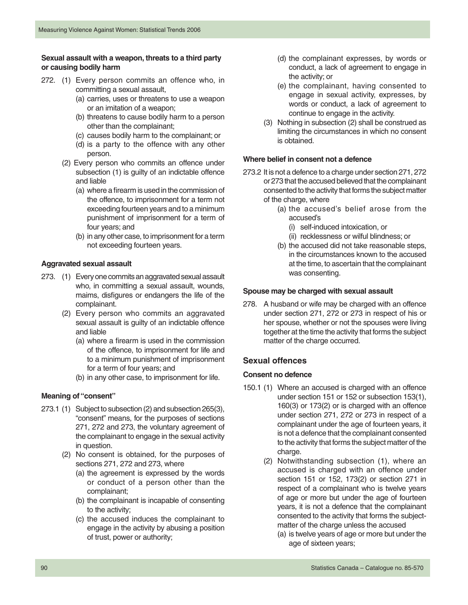#### **Sexual assault with a weapon, threats to a third party or causing bodily harm**

- 272. (1) Every person commits an offence who, in committing a sexual assault,
	- (a) carries, uses or threatens to use a weapon or an imitation of a weapon;
	- (b) threatens to cause bodily harm to a person other than the complainant;
	- (c) causes bodily harm to the complainant; or
	- (d) is a party to the offence with any other person.
	- (2) Every person who commits an offence under subsection (1) is guilty of an indictable offence and liable
		- (a) where a firearm is used in the commission of the offence, to imprisonment for a term not exceeding fourteen years and to a minimum punishment of imprisonment for a term of four years; and
		- (b) in any other case, to imprisonment for a term not exceeding fourteen years.

### **Aggravated sexual assault**

- 273. (1) Every one commits an aggravated sexual assault who, in committing a sexual assault, wounds, maims, disfigures or endangers the life of the complainant.
	- (2) Every person who commits an aggravated sexual assault is guilty of an indictable offence and liable
		- (a) where a firearm is used in the commission of the offence, to imprisonment for life and to a minimum punishment of imprisonment for a term of four years; and
		- (b) in any other case, to imprisonment for life.

#### **Meaning of "consent"**

- 273.1 (1) Subject to subsection (2) and subsection 265(3), "consent" means, for the purposes of sections 271, 272 and 273, the voluntary agreement of the complainant to engage in the sexual activity in question.
	- (2) No consent is obtained, for the purposes of sections 271, 272 and 273, where
		- (a) the agreement is expressed by the words or conduct of a person other than the complainant;
		- (b) the complainant is incapable of consenting to the activity;
		- (c) the accused induces the complainant to engage in the activity by abusing a position of trust, power or authority;
- (d) the complainant expresses, by words or conduct, a lack of agreement to engage in the activity; or
- (e) the complainant, having consented to engage in sexual activity, expresses, by words or conduct, a lack of agreement to continue to engage in the activity.
- (3) Nothing in subsection (2) shall be construed as limiting the circumstances in which no consent is obtained.

#### **Where belief in consent not a defence**

- 273.2 It is not a defence to a charge under section 271, 272 or 273 that the accused believed that the complainant consented to the activity that forms the subject matter of the charge, where
	- (a) the accused's belief arose from the accused's
		- (i) self-induced intoxication, or
		- (ii) recklessness or wilful blindness; or
	- (b) the accused did not take reasonable steps, in the circumstances known to the accused at the time, to ascertain that the complainant was consenting.

#### **Spouse may be charged with sexual assault**

278. A husband or wife may be charged with an offence under section 271, 272 or 273 in respect of his or her spouse, whether or not the spouses were living together at the time the activity that forms the subject matter of the charge occurred.

### **Sexual offences**

### **Consent no defence**

- 150.1 (1) Where an accused is charged with an offence under section 151 or 152 or subsection 153(1), 160(3) or 173(2) or is charged with an offence under section 271, 272 or 273 in respect of a complainant under the age of fourteen years, it is not a defence that the complainant consented to the activity that forms the subject matter of the charge.
	- (2) Notwithstanding subsection (1), where an accused is charged with an offence under section 151 or 152, 173(2) or section 271 in respect of a complainant who is twelve years of age or more but under the age of fourteen years, it is not a defence that the complainant consented to the activity that forms the subjectmatter of the charge unless the accused
		- (a) is twelve years of age or more but under the age of sixteen years;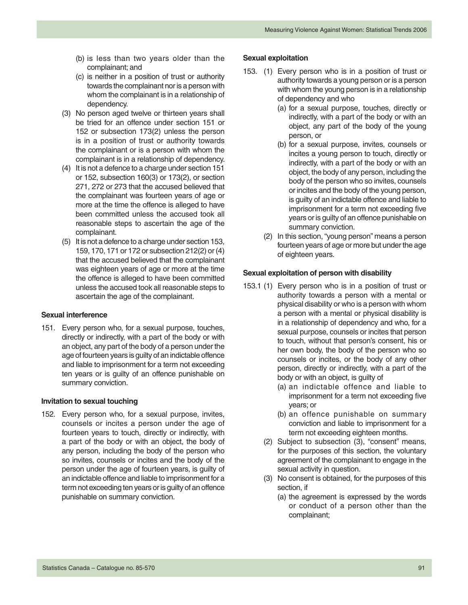- (b) is less than two years older than the complainant; and
- (c) is neither in a position of trust or authority towards the complainant nor is a person with whom the complainant is in a relationship of dependency.
- (3) No person aged twelve or thirteen years shall be tried for an offence under section 151 or 152 or subsection 173(2) unless the person is in a position of trust or authority towards the complainant or is a person with whom the complainant is in a relationship of dependency.
- (4) It is not a defence to a charge under section 151 or 152, subsection 160(3) or 173(2), or section 271, 272 or 273 that the accused believed that the complainant was fourteen years of age or more at the time the offence is alleged to have been committed unless the accused took all reasonable steps to ascertain the age of the complainant.
- (5) It is not a defence to a charge under section 153, 159, 170, 171 or 172 or subsection 212(2) or (4) that the accused believed that the complainant was eighteen years of age or more at the time the offence is alleged to have been committed unless the accused took all reasonable steps to ascertain the age of the complainant.

#### **Sexual interference**

151. Every person who, for a sexual purpose, touches, directly or indirectly, with a part of the body or with an object, any part of the body of a person under the age of fourteen years is guilty of an indictable offence and liable to imprisonment for a term not exceeding ten years or is guilty of an offence punishable on summary conviction.

#### **Invitation to sexual touching**

152. Every person who, for a sexual purpose, invites, counsels or incites a person under the age of fourteen years to touch, directly or indirectly, with a part of the body or with an object, the body of any person, including the body of the person who so invites, counsels or incites and the body of the person under the age of fourteen years, is guilty of an indictable offence and liable to imprisonment for a term not exceeding ten years or is guilty of an offence punishable on summary conviction.

#### **Sexual exploitation**

- 153. (1) Every person who is in a position of trust or authority towards a young person or is a person with whom the young person is in a relationship of dependency and who
	- (a) for a sexual purpose, touches, directly or indirectly, with a part of the body or with an object, any part of the body of the young person, or
	- (b) for a sexual purpose, invites, counsels or incites a young person to touch, directly or indirectly, with a part of the body or with an object, the body of any person, including the body of the person who so invites, counsels or incites and the body of the young person, is guilty of an indictable offence and liable to imprisonment for a term not exceeding five years or is guilty of an offence punishable on summary conviction.
	- (2) In this section, "young person" means a person fourteen years of age or more but under the age of eighteen years.

#### **Sexual exploitation of person with disability**

- 153.1 (1) Every person who is in a position of trust or authority towards a person with a mental or physical disability or who is a person with whom a person with a mental or physical disability is in a relationship of dependency and who, for a sexual purpose, counsels or incites that person to touch, without that person's consent, his or her own body, the body of the person who so counsels or incites, or the body of any other person, directly or indirectly, with a part of the body or with an object, is guilty of
	- (a) an indictable offence and liable to imprisonment for a term not exceeding five years; or
	- (b) an offence punishable on summary conviction and liable to imprisonment for a term not exceeding eighteen months.
	- (2) Subject to subsection (3), "consent" means, for the purposes of this section, the voluntary agreement of the complainant to engage in the sexual activity in question.
	- (3) No consent is obtained, for the purposes of this section, if
		- (a) the agreement is expressed by the words or conduct of a person other than the complainant;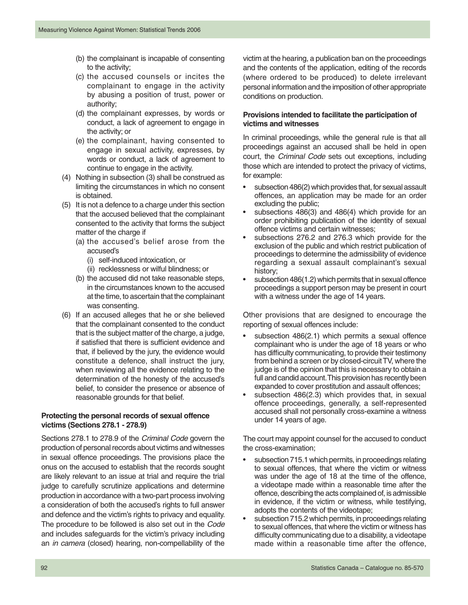- (b) the complainant is incapable of consenting to the activity;
- (c) the accused counsels or incites the complainant to engage in the activity by abusing a position of trust, power or authority;
- (d) the complainant expresses, by words or conduct, a lack of agreement to engage in the activity; or
- (e) the complainant, having consented to engage in sexual activity, expresses, by words or conduct, a lack of agreement to continue to engage in the activity.
- (4) Nothing in subsection (3) shall be construed as limiting the circumstances in which no consent is obtained.
- (5) It is not a defence to a charge under this section that the accused believed that the complainant consented to the activity that forms the subject matter of the charge if
	- (a) the accused's belief arose from the accused's
		- (i) self-induced intoxication, or
		- (ii) recklessness or wilful blindness; or
	- (b) the accused did not take reasonable steps, in the circumstances known to the accused at the time, to ascertain that the complainant was consenting.
- (6) If an accused alleges that he or she believed that the complainant consented to the conduct that is the subject matter of the charge, a judge, if satisfied that there is sufficient evidence and that, if believed by the jury, the evidence would constitute a defence, shall instruct the jury, when reviewing all the evidence relating to the determination of the honesty of the accused's belief, to consider the presence or absence of reasonable grounds for that belief.

#### **Protecting the personal records of sexual offence victims (Sections 278.1 - 278.9)**

Sections 278.1 to 278.9 of the *Criminal Code* govern the production of personal records about victims and witnesses in sexual offence proceedings. The provisions place the onus on the accused to establish that the records sought are likely relevant to an issue at trial and require the trial judge to carefully scrutinize applications and determine production in accordance with a two-part process involving a consideration of both the accused's rights to full answer and defence and the victim's rights to privacy and equality. The procedure to be followed is also set out in the *Code* and includes safeguards for the victim's privacy including an *in camera* (closed) hearing, non-compellability of the

victim at the hearing, a publication ban on the proceedings and the contents of the application, editing of the records (where ordered to be produced) to delete irrelevant personal information and the imposition of other appropriate conditions on production.

#### **Provisions intended to facilitate the participation of victims and witnesses**

In criminal proceedings, while the general rule is that all proceedings against an accused shall be held in open court, the *Criminal Code* sets out exceptions, including those which are intended to protect the privacy of victims, for example:

- subsection 486(2) which provides that, for sexual assault offences, an application may be made for an order excluding the public;
- subsections 486(3) and 486(4) which provide for an order prohibiting publication of the identity of sexual offence victims and certain witnesses;
- subsections 276.2 and 276.3 which provide for the exclusion of the public and which restrict publication of proceedings to determine the admissibility of evidence regarding a sexual assault complainant's sexual history;
- subsection 486(1.2) which permits that in sexual offence proceedings a support person may be present in court with a witness under the age of 14 years.

Other provisions that are designed to encourage the reporting of sexual offences include:

- subsection 486(2.1) which permits a sexual offence complainant who is under the age of 18 years or who has difficulty communicating, to provide their testimony from behind a screen or by closed-circuit TV, where the judge is of the opinion that this is necessary to obtain a full and candid account. This provision has recently been expanded to cover prostitution and assault offences;
- subsection 486(2.3) which provides that, in sexual offence proceedings, generally, a self-represented accused shall not personally cross-examine a witness under 14 years of age.

The court may appoint counsel for the accused to conduct the cross-examination;

- subsection 715.1 which permits, in proceedings relating to sexual offences, that where the victim or witness was under the age of 18 at the time of the offence, a videotape made within a reasonable time after the offence, describing the acts complained of, is admissible in evidence, if the victim or witness, while testifying, adopts the contents of the videotape;
- subsection 715.2 which permits, in proceedings relating to sexual offences, that where the victim or witness has difficulty communicating due to a disability, a videotape made within a reasonable time after the offence,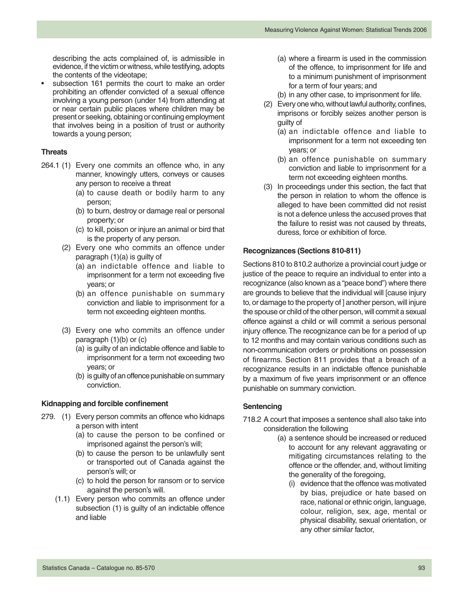describing the acts complained of, is admissible in evidence, if the victim or witness, while testifying, adopts the contents of the videotape;

subsection 161 permits the court to make an order prohibiting an offender convicted of a sexual offence involving a young person (under 14) from attending at or near certain public places where children may be present or seeking, obtaining or continuing employment that involves being in a position of trust or authority towards a young person;

#### **Threats**

- 264.1 (1) Every one commits an offence who, in any manner, knowingly utters, conveys or causes any person to receive a threat
	- (a) to cause death or bodily harm to any person;
	- (b) to burn, destroy or damage real or personal property; or
	- (c) to kill, poison or injure an animal or bird that is the property of any person.
	- (2) Every one who commits an offence under paragraph (1)(a) is guilty of
		- (a) an indictable offence and liable to imprisonment for a term not exceeding five years; or
		- (b) an offence punishable on summary conviction and liable to imprisonment for a term not exceeding eighteen months.
	- (3) Every one who commits an offence under paragraph (1)(b) or (c)
		- (a) is guilty of an indictable offence and liable to imprisonment for a term not exceeding two years; or
		- (b) is guilty of an offence punishable on summary conviction.

#### **Kidnapping and forcible confinement**

- 279. (1) Every person commits an offence who kidnaps a person with intent
	- (a) to cause the person to be confined or imprisoned against the person's will;
	- (b) to cause the person to be unlawfully sent or transported out of Canada against the person's will; or
	- (c) to hold the person for ransom or to service against the person's will.
	- (1.1) Every person who commits an offence under subsection (1) is guilty of an indictable offence and liable
- (a) where a firearm is used in the commission of the offence, to imprisonment for life and to a minimum punishment of imprisonment for a term of four years; and
- (b) in any other case, to imprisonment for life.
- (2) Every one who, without lawful authority, confines, imprisons or forcibly seizes another person is guilty of
	- (a) an indictable offence and liable to imprisonment for a term not exceeding ten years; or
	- (b) an offence punishable on summary conviction and liable to imprisonment for a term not exceeding eighteen months.
- (3) In proceedings under this section, the fact that the person in relation to whom the offence is alleged to have been committed did not resist is not a defence unless the accused proves that the failure to resist was not caused by threats, duress, force or exhibition of force.

#### **Recognizances (Sections 810-811)**

Sections 810 to 810.2 authorize a provincial court judge or justice of the peace to require an individual to enter into a recognizance (also known as a "peace bond") where there are grounds to believe that the individual will [cause injury to, or damage to the property of ] another person, will injure the spouse or child of the other person, will commit a sexual offence against a child or will commit a serious personal injury offence. The recognizance can be for a period of up to 12 months and may contain various conditions such as non-communication orders or prohibitions on possession of firearms. Section 811 provides that a breach of a recognizance results in an indictable offence punishable by a maximum of five years imprisonment or an offence punishable on summary conviction.

#### **Sentencing**

- 718.2 A court that imposes a sentence shall also take into consideration the following
	- (a) a sentence should be increased or reduced to account for any relevant aggravating or mitigating circumstances relating to the offence or the offender, and, without limiting the generality of the foregoing,
		- (i) evidence that the offence was motivated by bias, prejudice or hate based on race, national or ethnic origin, language, colour, religion, sex, age, mental or physical disability, sexual orientation, or any other similar factor,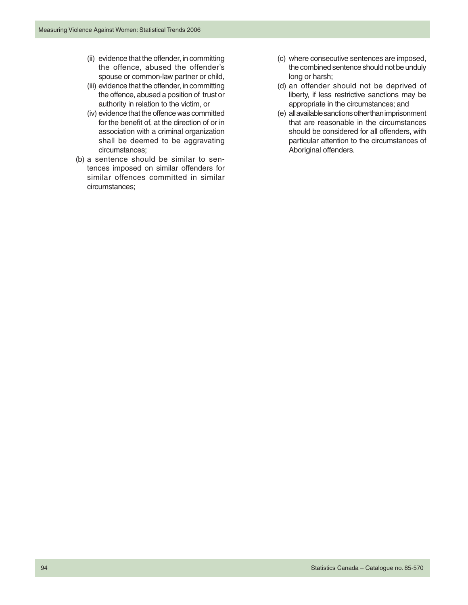- (ii) evidence that the offender, in committing the offence, abused the offender's spouse or common-law partner or child,
- (iii) evidence that the offender, in committing the offence, abused a position of trust or authority in relation to the victim, or
- (iv) evidence that the offence was committed for the benefit of, at the direction of or in association with a criminal organization shall be deemed to be aggravating circumstances;
- (b) a sentence should be similar to sentences imposed on similar offenders for similar offences committed in similar circumstances;
- (c) where consecutive sentences are imposed, the combined sentence should not be unduly long or harsh;
- (d) an offender should not be deprived of liberty, if less restrictive sanctions may be appropriate in the circumstances; and
- (e) all available sanctions other than imprisonment that are reasonable in the circumstances should be considered for all offenders, with particular attention to the circumstances of Aboriginal offenders.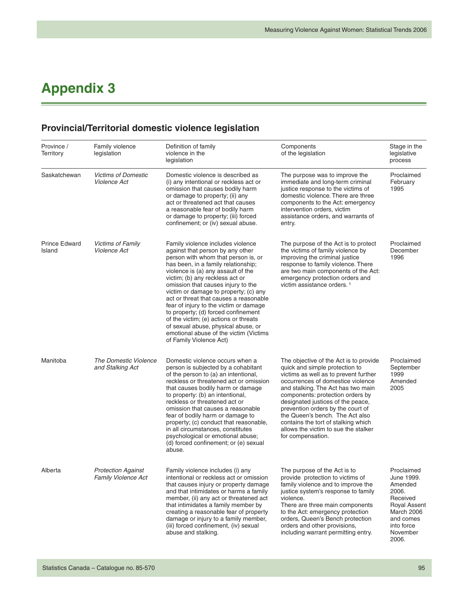# **Appendix 3**

## **Provincial/Territorial domestic violence legislation**

| Province /<br>Territory        | Family violence<br>legislation                          | Definition of family<br>violence in the<br>legislation                                                                                                                                                                                                                                                                                                                                                                                                                                                                                                                                      | Components<br>of the legislation                                                                                                                                                                                                                                                                                                                                                                                                                  | Stage in the<br>legislative<br>process                                                                                                        |
|--------------------------------|---------------------------------------------------------|---------------------------------------------------------------------------------------------------------------------------------------------------------------------------------------------------------------------------------------------------------------------------------------------------------------------------------------------------------------------------------------------------------------------------------------------------------------------------------------------------------------------------------------------------------------------------------------------|---------------------------------------------------------------------------------------------------------------------------------------------------------------------------------------------------------------------------------------------------------------------------------------------------------------------------------------------------------------------------------------------------------------------------------------------------|-----------------------------------------------------------------------------------------------------------------------------------------------|
| Saskatchewan                   | <b>Victims of Domestic</b><br><b>Violence Act</b>       | Domestic violence is described as<br>(i) any intentional or reckless act or<br>omission that causes bodily harm<br>or damage to property; (ii) any<br>act or threatened act that causes<br>a reasonable fear of bodily harm<br>or damage to property; (iii) forced<br>confinement; or (iv) sexual abuse.                                                                                                                                                                                                                                                                                    | The purpose was to improve the<br>immediate and long-term criminal<br>justice response to the victims of<br>domestic violence. There are three<br>components to the Act: emergency<br>intervention orders, victim<br>assistance orders, and warrants of<br>entry.                                                                                                                                                                                 | Proclaimed<br>February<br>1995                                                                                                                |
| <b>Prince Edward</b><br>Island | Victims of Family<br><i><b>Violence Act</b></i>         | Family violence includes violence<br>against that person by any other<br>person with whom that person is, or<br>has been, in a family relationship;<br>violence is (a) any assault of the<br>victim; (b) any reckless act or<br>omission that causes injury to the<br>victim or damage to property; (c) any<br>act or threat that causes a reasonable<br>fear of injury to the victim or damage<br>to property; (d) forced confinement<br>of the victim; (e) actions or threats<br>of sexual abuse, physical abuse, or<br>emotional abuse of the victim (Victims<br>of Family Violence Act) | The purpose of the Act is to protect<br>the victims of family violence by<br>improving the criminal justice<br>response to family violence. There<br>are two main components of the Act:<br>emergency protection orders and<br>victim assistance orders. <sup>1</sup>                                                                                                                                                                             | Proclaimed<br>December<br>1996                                                                                                                |
| Manitoba                       | <b>The Domestic Violence</b><br>and Stalking Act        | Domestic violence occurs when a<br>person is subjected by a cohabitant<br>of the person to (a) an intentional,<br>reckless or threatened act or omission<br>that causes bodily harm or damage<br>to property: (b) an intentional,<br>reckless or threatened act or<br>omission that causes a reasonable<br>fear of bodily harm or damage to<br>property; (c) conduct that reasonable,<br>in all circumstances, constitutes<br>psychological or emotional abuse;<br>(d) forced confinement; or (e) sexual<br>abuse.                                                                          | The objective of the Act is to provide<br>quick and simple protection to<br>victims as well as to prevent further<br>occurrences of domestice violence<br>and stalking. The Act has two main<br>components: protection orders by<br>designated justices of the peace,<br>prevention orders by the court of<br>the Queen's bench. The Act also<br>contains the tort of stalking which<br>allows the victim to sue the stalker<br>for compensation. | Proclaimed<br>September<br>1999<br>Amended<br>2005                                                                                            |
| Alberta                        | <b>Protection Against</b><br><b>Family Violence Act</b> | Family violence includes (i) any<br>intentional or reckless act or omission<br>that causes injury or property damage<br>and that intimidates or harms a family<br>member, (ii) any act or threatened act<br>that intimidates a family member by<br>creating a reasonable fear of property<br>damage or injury to a family member,<br>(iii) forced confinement, (iv) sexual<br>abuse and stalking.                                                                                                                                                                                           | The purpose of the Act is to<br>provide protection to victims of<br>family violence and to improve the<br>justice system's response to family<br>violence.<br>There are three main components<br>to the Act: emergency protection<br>orders, Queen's Bench protection<br>orders and other provisions,<br>including warrant permitting entry.                                                                                                      | Proclaimed<br>June 1999.<br>Amended<br>2006.<br>Received<br>Royal Assent<br><b>March 2006</b><br>and comes<br>into force<br>November<br>2006. |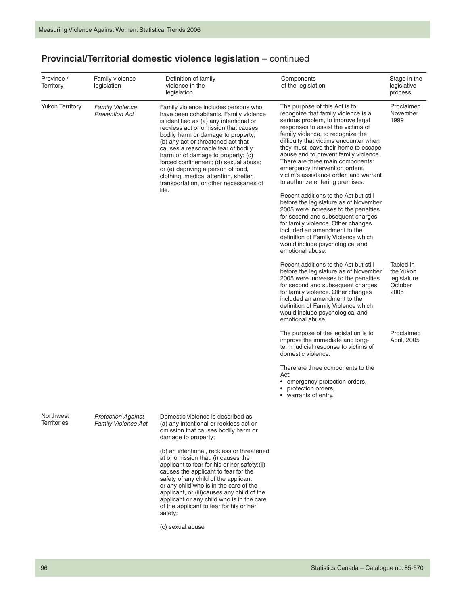| Province /<br>Territory         | Family violence<br>legislation                   | Definition of family<br>violence in the<br>legislation                                                                                                                                                                                                                                                                                                                                                                                                                                                | Components<br>of the legislation                                                                                                                                                                                                                                                                                                                                                                                                                                                                                                                                                                                                                                                                                                                                                                      | Stage in the<br>legislative<br>process                   |
|---------------------------------|--------------------------------------------------|-------------------------------------------------------------------------------------------------------------------------------------------------------------------------------------------------------------------------------------------------------------------------------------------------------------------------------------------------------------------------------------------------------------------------------------------------------------------------------------------------------|-------------------------------------------------------------------------------------------------------------------------------------------------------------------------------------------------------------------------------------------------------------------------------------------------------------------------------------------------------------------------------------------------------------------------------------------------------------------------------------------------------------------------------------------------------------------------------------------------------------------------------------------------------------------------------------------------------------------------------------------------------------------------------------------------------|----------------------------------------------------------|
| <b>Yukon Territory</b>          | <b>Family Violence</b><br><b>Prevention Act</b>  | Family violence includes persons who<br>have been cohabitants. Family violence<br>is identified as (a) any intentional or<br>reckless act or omission that causes<br>bodily harm or damage to property;<br>(b) any act or threatened act that<br>causes a reasonable fear of bodily<br>harm or of damage to property; (c)<br>forced confinement; (d) sexual abuse;<br>or (e) depriving a person of food,<br>clothing, medical attention, shelter,<br>transportation, or other necessaries of<br>life. | The purpose of this Act is to<br>recognize that family violence is a<br>serious problem, to improve legal<br>responses to assist the victims of<br>family violence, to recognize the<br>difficulty that victims encounter when<br>they must leave their home to escape<br>abuse and to prevent family violence.<br>There are three main components:<br>emergency intervention orders,<br>victim's assistance order, and warrant<br>to authorize entering premises.<br>Recent additions to the Act but still<br>before the legislature as of November<br>2005 were increases to the penalties<br>for second and subsequent charges<br>for family violence. Other changes<br>included an amendment to the<br>definition of Family Violence which<br>would include psychological and<br>emotional abuse. | Proclaimed<br>November<br>1999                           |
|                                 |                                                  |                                                                                                                                                                                                                                                                                                                                                                                                                                                                                                       | Recent additions to the Act but still<br>before the legislature as of November<br>2005 were increases to the penalties<br>for second and subsequent charges<br>for family violence. Other changes<br>included an amendment to the<br>definition of Family Violence which<br>would include psychological and<br>emotional abuse.                                                                                                                                                                                                                                                                                                                                                                                                                                                                       | Tabled in<br>the Yukon<br>legislature<br>October<br>2005 |
|                                 |                                                  |                                                                                                                                                                                                                                                                                                                                                                                                                                                                                                       | The purpose of the legislation is to<br>improve the immediate and long-<br>term judicial response to victims of<br>domestic violence.                                                                                                                                                                                                                                                                                                                                                                                                                                                                                                                                                                                                                                                                 | Proclaimed<br>April, 2005                                |
|                                 |                                                  |                                                                                                                                                                                                                                                                                                                                                                                                                                                                                                       | There are three components to the<br>Act:<br>emergency protection orders,<br>protection orders,<br>٠<br>• warrants of entry.                                                                                                                                                                                                                                                                                                                                                                                                                                                                                                                                                                                                                                                                          |                                                          |
| Northwest<br><b>Territories</b> | <b>Protection Against</b><br>Family Violence Act | Domestic violence is described as<br>(a) any intentional or reckless act or<br>omission that causes bodily harm or<br>damage to property;                                                                                                                                                                                                                                                                                                                                                             |                                                                                                                                                                                                                                                                                                                                                                                                                                                                                                                                                                                                                                                                                                                                                                                                       |                                                          |
|                                 |                                                  | (b) an intentional, reckless or threatened<br>at or omission that: (i) causes the<br>applicant to fear for his or her safety;(ii)<br>causes the applicant to fear for the<br>safety of any child of the applicant<br>or any child who is in the care of the<br>applicant, or (iii)causes any child of the<br>applicant or any child who is in the care                                                                                                                                                |                                                                                                                                                                                                                                                                                                                                                                                                                                                                                                                                                                                                                                                                                                                                                                                                       |                                                          |

## **Provincial/Territorial domestic violence legislation** – continued

(c) sexual abuse

safety;

of the applicant to fear for his or her